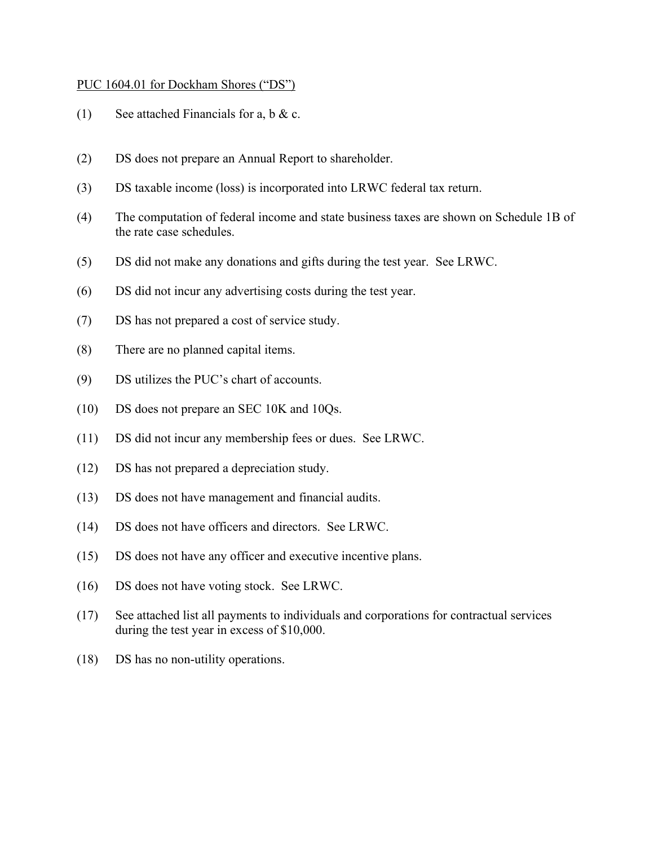### PUC 1604.01 for Dockham Shores ("DS")

- (1) See attached Financials for a, b & c.
- (2) DS does not prepare an Annual Report to shareholder.
- (3) DS taxable income (loss) is incorporated into LRWC federal tax return.
- (4) The computation of federal income and state business taxes are shown on Schedule 1B of the rate case schedules.
- (5) DS did not make any donations and gifts during the test year. See LRWC.
- (6) DS did not incur any advertising costs during the test year.
- (7) DS has not prepared a cost of service study.
- (8) There are no planned capital items.
- (9) DS utilizes the PUC's chart of accounts.
- (10) DS does not prepare an SEC 10K and 10Qs.
- (11) DS did not incur any membership fees or dues. See LRWC.
- (12) DS has not prepared a depreciation study.
- (13) DS does not have management and financial audits.
- (14) DS does not have officers and directors. See LRWC.
- (15) DS does not have any officer and executive incentive plans.
- (16) DS does not have voting stock. See LRWC.
- (17) See attached list all payments to individuals and corporations for contractual services during the test year in excess of \$10,000.
- (18) DS has no non-utility operations.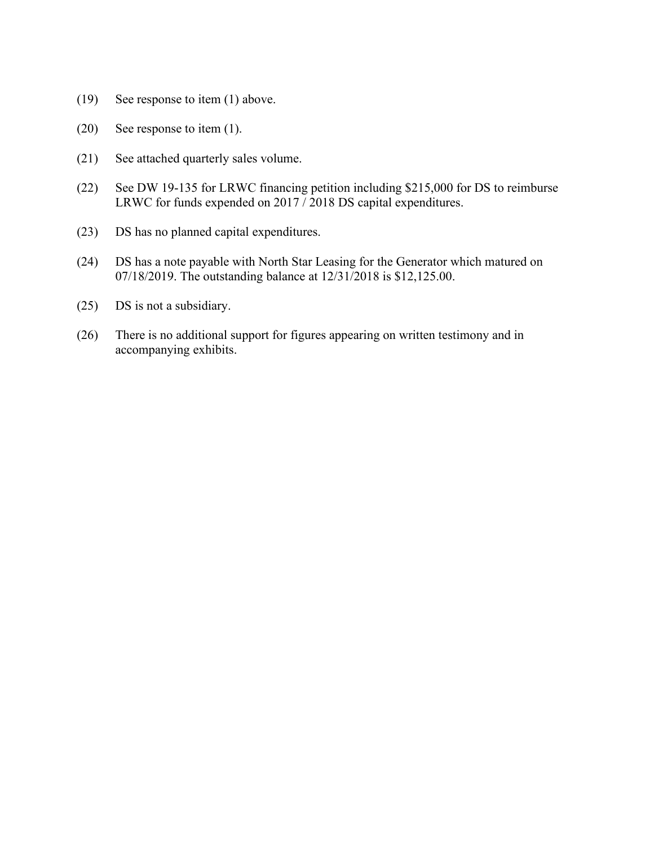- (19) See response to item (1) above.
- (20) See response to item (1).
- (21) See attached quarterly sales volume.
- (22) See DW 19-135 for LRWC financing petition including \$215,000 for DS to reimburse LRWC for funds expended on 2017 / 2018 DS capital expenditures.
- (23) DS has no planned capital expenditures.
- (24) DS has a note payable with North Star Leasing for the Generator which matured on 07/18/2019. The outstanding balance at 12/31/2018 is \$12,125.00.
- (25) DS is not a subsidiary.
- (26) There is no additional support for figures appearing on written testimony and in accompanying exhibits.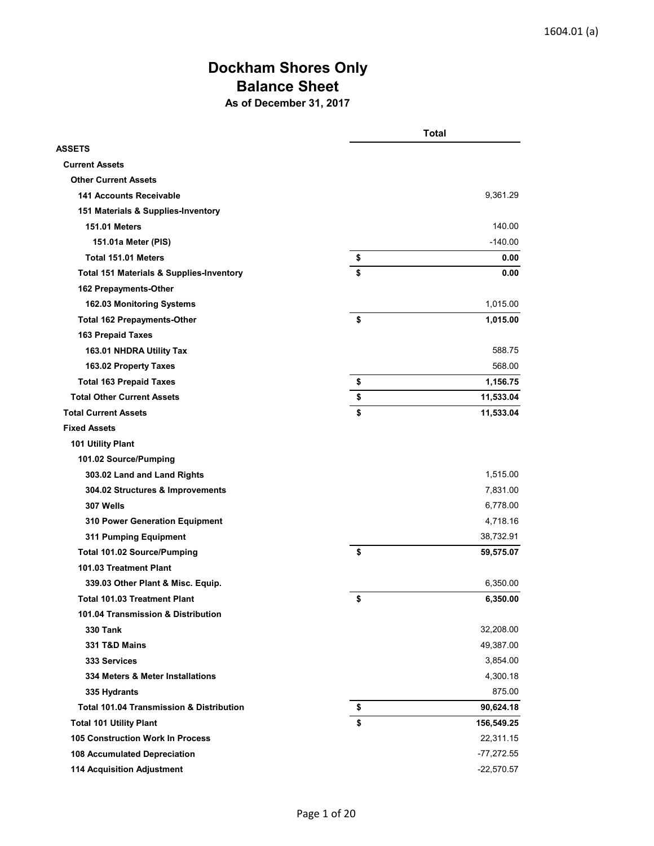# **Dockham Shores Only Balance Sheet As of December 31, 2017**

|                                                     | Total            |
|-----------------------------------------------------|------------------|
| <b>ASSETS</b>                                       |                  |
| <b>Current Assets</b>                               |                  |
| <b>Other Current Assets</b>                         |                  |
| <b>141 Accounts Receivable</b>                      | 9,361.29         |
| 151 Materials & Supplies-Inventory                  |                  |
| <b>151.01 Meters</b>                                | 140.00           |
| 151.01a Meter (PIS)                                 | $-140.00$        |
| Total 151.01 Meters                                 | \$<br>0.00       |
| <b>Total 151 Materials &amp; Supplies-Inventory</b> | \$<br>0.00       |
| <b>162 Prepayments-Other</b>                        |                  |
| 162.03 Monitoring Systems                           | 1,015.00         |
| <b>Total 162 Prepayments-Other</b>                  | \$<br>1,015.00   |
| <b>163 Prepaid Taxes</b>                            |                  |
| 163.01 NHDRA Utility Tax                            | 588.75           |
| 163.02 Property Taxes                               | 568.00           |
| <b>Total 163 Prepaid Taxes</b>                      | \$<br>1,156.75   |
| <b>Total Other Current Assets</b>                   | \$<br>11,533.04  |
| <b>Total Current Assets</b>                         | \$<br>11,533.04  |
| <b>Fixed Assets</b>                                 |                  |
| 101 Utility Plant                                   |                  |
| 101.02 Source/Pumping                               |                  |
| 303.02 Land and Land Rights                         | 1,515.00         |
| 304.02 Structures & Improvements                    | 7,831.00         |
| 307 Wells                                           | 6,778.00         |
| 310 Power Generation Equipment                      | 4,718.16         |
| 311 Pumping Equipment                               | 38,732.91        |
| <b>Total 101.02 Source/Pumping</b>                  | \$<br>59,575.07  |
| 101.03 Treatment Plant                              |                  |
| 339.03 Other Plant & Misc. Equip.                   | 6.350.00         |
| <b>Total 101.03 Treatment Plant</b>                 | \$<br>6,350.00   |
| 101.04 Transmission & Distribution                  |                  |
| <b>330 Tank</b>                                     | 32,208.00        |
| 331 T&D Mains                                       | 49,387.00        |
| 333 Services                                        | 3,854.00         |
| 334 Meters & Meter Installations                    | 4,300.18         |
| 335 Hydrants                                        | 875.00           |
| Total 101.04 Transmission & Distribution            | \$<br>90,624.18  |
| <b>Total 101 Utility Plant</b>                      | \$<br>156,549.25 |
| <b>105 Construction Work In Process</b>             | 22,311.15        |
| 108 Accumulated Depreciation                        | $-77,272.55$     |
| <b>114 Acquisition Adjustment</b>                   | $-22,570.57$     |
|                                                     |                  |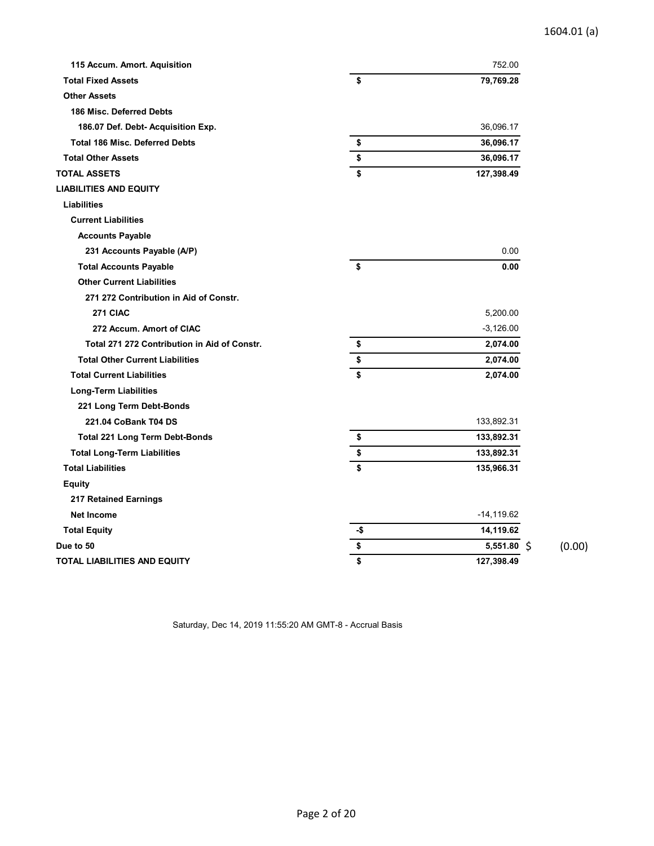### 1604.01 (a)

| 115 Accum. Amort. Aquisition                 |     | 752.00        |        |
|----------------------------------------------|-----|---------------|--------|
| <b>Total Fixed Assets</b>                    | \$  | 79,769.28     |        |
| <b>Other Assets</b>                          |     |               |        |
| 186 Misc. Deferred Debts                     |     |               |        |
| 186.07 Def. Debt- Acquisition Exp.           |     | 36,096.17     |        |
| <b>Total 186 Misc. Deferred Debts</b>        | \$  | 36,096.17     |        |
| <b>Total Other Assets</b>                    | \$  | 36,096.17     |        |
| <b>TOTAL ASSETS</b>                          | \$  | 127,398.49    |        |
| <b>LIABILITIES AND EQUITY</b>                |     |               |        |
| <b>Liabilities</b>                           |     |               |        |
| <b>Current Liabilities</b>                   |     |               |        |
| <b>Accounts Payable</b>                      |     |               |        |
| 231 Accounts Payable (A/P)                   |     | 0.00          |        |
| <b>Total Accounts Payable</b>                | \$  | 0.00          |        |
| <b>Other Current Liabilities</b>             |     |               |        |
| 271 272 Contribution in Aid of Constr.       |     |               |        |
| 271 CIAC                                     |     | 5,200.00      |        |
| 272 Accum. Amort of CIAC                     |     | $-3,126.00$   |        |
| Total 271 272 Contribution in Aid of Constr. | \$  | 2,074.00      |        |
| <b>Total Other Current Liabilities</b>       | \$  | 2,074.00      |        |
| <b>Total Current Liabilities</b>             | \$  | 2,074.00      |        |
| <b>Long-Term Liabilities</b>                 |     |               |        |
| 221 Long Term Debt-Bonds                     |     |               |        |
| 221.04 CoBank T04 DS                         |     | 133,892.31    |        |
| <b>Total 221 Long Term Debt-Bonds</b>        | \$  | 133,892.31    |        |
| <b>Total Long-Term Liabilities</b>           | \$  | 133,892.31    |        |
| <b>Total Liabilities</b>                     | \$  | 135,966.31    |        |
| Equity                                       |     |               |        |
| 217 Retained Earnings                        |     |               |        |
| <b>Net Income</b>                            |     | $-14, 119.62$ |        |
| <b>Total Equity</b>                          | -\$ | 14,119.62     |        |
| Due to 50                                    | \$  | 5,551.80 \$   | (0.00) |
| TOTAL LIABILITIES AND EQUITY                 | \$  | 127,398.49    |        |

Saturday, Dec 14, 2019 11:55:20 AM GMT-8 - Accrual Basis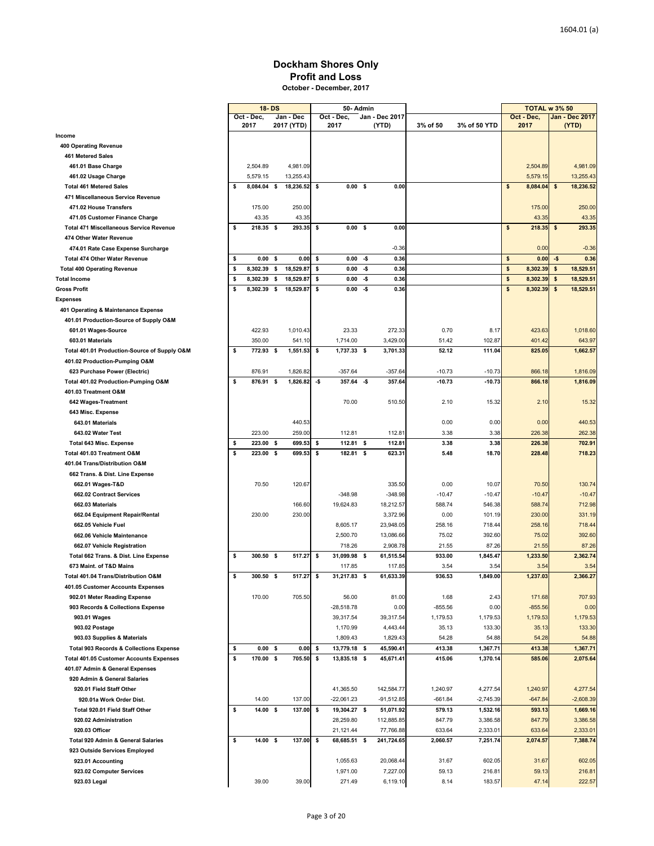#### **Dockham Shores Only Profit and Loss October - December, 2017**

|                                                    | 18-DS             |      |            | 50 Admin |                |     |                |           |              | <b>TOTAL w 3% 50</b> |               |                |
|----------------------------------------------------|-------------------|------|------------|----------|----------------|-----|----------------|-----------|--------------|----------------------|---------------|----------------|
|                                                    | Oct - Dec.        |      | Jan - Dec  |          | Oct - Dec,     |     | Jan - Dec 2017 |           |              | Oct - Dec,           |               | Jan - Dec 2017 |
|                                                    | 2017              |      | 2017 (YTD) |          | 2017           |     | (YTD)          | 3% of 50  | 3% of 50 YTD | 2017                 |               | (YTD)          |
| Income                                             |                   |      |            |          |                |     |                |           |              |                      |               |                |
| 400 Operating Revenue                              |                   |      |            |          |                |     |                |           |              |                      |               |                |
| <b>461 Metered Sales</b>                           |                   |      |            |          |                |     |                |           |              | 2,504.89             |               |                |
| 461.01 Base Charge                                 | 2,504.89          |      | 4,981.09   |          |                |     |                |           |              |                      |               | 4,981.09       |
| 461.02 Usage Charge                                | 5,579.15          |      | 13,255.43  |          |                |     |                |           |              | 5,579.15             |               | 13,255.43      |
| <b>Total 461 Metered Sales</b>                     | \$<br>8,084.04 \$ |      | 18,236.52  | \$       | 0.00%          |     | 0.00           |           |              | \$<br>8,084.04       | \$            | 18,236.52      |
| 471 Miscellaneous Service Revenue                  |                   |      |            |          |                |     |                |           |              |                      |               |                |
| 471.02 House Transfers                             | 175.00            |      | 250.00     |          |                |     |                |           |              | 175.00               |               | 250.00         |
| 471.05 Customer Finance Charge                     | 43.35             |      | 43.35      |          |                |     |                |           |              | 43.35                |               | 43.35          |
| <b>Total 471 Miscellaneous Service Revenue</b>     | \$<br>218.35 \$   |      | 293.35 \$  |          | $0.00\quad$ \$ |     | 0.00           |           |              | \$<br>218.35         | $\sqrt[6]{2}$ | 293.35         |
| 474 Other Water Revenue                            |                   |      |            |          |                |     |                |           |              |                      |               |                |
| 474.01 Rate Case Expense Surcharge                 |                   |      |            |          |                |     | $-0.36$        |           |              | 0.00                 |               | $-0.36$        |
| <b>Total 474 Other Water Revenue</b>               | \$<br>0.00        | - \$ | 0.00       | \$       | 0.00           | -\$ | 0.36           |           |              | \$<br>0.00           | -\$           | 0.36           |
| <b>Total 400 Operating Revenue</b>                 | \$<br>8,302.39    | \$   | 18,529.87  | \$       | 0.00           | -\$ | 0.36           |           |              | \$<br>8,302.39       | \$            | 18,529.51      |
| <b>Total Income</b>                                | \$<br>8,302.39    | - \$ | 18,529.87  | \$       | 0.00           | -\$ | 0.36           |           |              | \$<br>8,302.39       | \$            | 18,529.51      |
| <b>Gross Profit</b>                                | \$<br>8,302.39    | \$   | 18,529.87  | \$       | 0.00           | -\$ | 0.36           |           |              | \$<br>8,302.39       | \$            | 18,529.51      |
| <b>Expenses</b>                                    |                   |      |            |          |                |     |                |           |              |                      |               |                |
| 401 Operating & Maintenance Expense                |                   |      |            |          |                |     |                |           |              |                      |               |                |
| 401.01 Production-Source of Supply O&M             |                   |      |            |          |                |     |                |           |              |                      |               |                |
| 601.01 Wages-Source                                | 422.93            |      | 1,010.43   |          | 23.33          |     | 272.33         | 0.70      | 8.17         | 423.63               |               | 1,018.60       |
| 603.01 Materials                                   | 350.00            |      | 541.10     |          | 1,714.00       |     | 3,429.00       | 51.42     | 102.87       | 401.42               |               | 643.97         |
| Total 401.01 Production-Source of Supply O&M       | \$<br>772.93 \$   |      | 1,551.53   | \$       | 1,737.33 \$    |     | 3,701.33       | 52.12     | 111.04       | 825.05               |               | 1,662.57       |
| 401.02 Production-Pumping O&M                      |                   |      |            |          |                |     |                |           |              |                      |               |                |
| 623 Purchase Power (Electric)                      | 876.91            |      | 1,826.82   |          | $-357.64$      |     | $-357.64$      | $-10.73$  | $-10.73$     | 866.18               |               | 1,816.09       |
| Total 401.02 Production-Pumping O&M                | \$<br>876.91 \$   |      | 1,826.82   | -\$      | $357.64 - $$   |     | 357.64         | $-10.73$  | $-10.73$     | 866.18               |               | 1,816.09       |
| 401.03 Treatment O&M                               |                   |      |            |          |                |     |                |           |              |                      |               |                |
| 642 Wages-Treatment                                |                   |      |            |          | 70.00          |     | 510.50         | 2.10      | 15.32        | 2.10                 |               | 15.32          |
| 643 Misc. Expense                                  |                   |      |            |          |                |     |                |           |              |                      |               |                |
| 643.01 Materials                                   |                   |      | 440.53     |          |                |     |                | 0.00      | 0.00         | 0.00                 |               | 440.53         |
| 643.02 Water Test                                  | 223.00            |      | 259.00     |          | 112.81         |     | 112.81         | 3.38      | 3.38         | 226.38               |               | 262.38         |
| <b>Total 643 Misc. Expense</b>                     | \$<br>223.00      | -\$  | 699.53     | s        | 112.81         | \$  | 112.81         | 3.38      | 3.38         | 226.38               |               | 702.91         |
| Total 401.03 Treatment O&M                         | \$<br>223.00 \$   |      | 699.53     | \$       | 182.81 \$      |     | 623.31         | 5.48      | 18.70        | 228.48               |               | 718.23         |
| 401.04 Trans/Distribution O&M                      |                   |      |            |          |                |     |                |           |              |                      |               |                |
| 662 Trans. & Dist. Line Expense                    |                   |      |            |          |                |     |                |           |              |                      |               |                |
| 662.01 Wages-T&D                                   | 70.50             |      | 120.67     |          |                |     | 335.50         | 0.00      | 10.07        | 70.50                |               | 130.74         |
| 662.02 Contract Services                           |                   |      |            |          | $-348.98$      |     | $-348.98$      | $-10.47$  | $-10.47$     | $-10.47$             |               | $-10.47$       |
| 662.03 Materials                                   |                   |      | 166.60     |          | 19,624.83      |     | 18,212.57      | 588.74    | 546.38       | 588.74               |               | 712.98         |
| 662.04 Equipment Repair/Rental                     | 230.00            |      | 230.00     |          |                |     | 3,372.96       | 0.00      | 101.19       | 230.00               |               | 331.19         |
| 662.05 Vehicle Fuel                                |                   |      |            |          | 8,605.17       |     | 23,948.05      | 258.16    | 718.44       | 258.16               |               | 718.44         |
| 662.06 Vehicle Maintenance                         |                   |      |            |          | 2,500.70       |     | 13,086.66      | 75.02     | 392.60       | 75.02                |               | 392.60         |
| 662.07 Vehicle Registration                        |                   |      |            |          | 718.26         |     | 2,908.78       | 21.55     | 87.26        | 21.55                |               | 87.26          |
| Total 662 Trans. & Dist. Line Expense              | \$<br>300.50 \$   |      | 517.27     | \$       | 31,099.98 \$   |     | 61,515.54      | 933.00    | 1,845.47     | 1,233.50             |               | 2,362.74       |
| 673 Maint. of T&D Mains                            |                   |      |            |          | 117.85         |     | 117.85         | 3.54      | 3.54         | 3.54                 |               | 3.54           |
| Total 401.04 Trans/Distribution O&M                | \$<br>300.50 \$   |      | 517.27     | \$       | 31,217.83 \$   |     | 61.633.39      | 936.53    | 1,849.00     | 1,237.03             |               | 2.366.27       |
| 401.05 Customer Accounts Expenses                  |                   |      |            |          |                |     |                |           |              |                      |               |                |
| 902.01 Meter Reading Expense                       | 170.00            |      | 705.50     |          | 56.00          |     | 81.00          | 1.68      | 2.43         | 171.68               |               | 707.93         |
| 903 Records & Collections Expense                  |                   |      |            |          | $-28,518.78$   |     | 0.00           | $-855.56$ | 0.00         | $-855.56$            |               | 0.00           |
| 903.01 Wages                                       |                   |      |            |          | 39,317.54      |     | 39,317.54      | 1,179.53  | 1,179.53     | 1,179.53             |               | 1,179.53       |
| 903.02 Postage                                     |                   |      |            |          | 1,170.99       |     | 4,443.44       | 35.13     | 133.30       | 35.13                |               | 133.30         |
| 903.03 Supplies & Materials                        |                   |      |            |          | 1,809.43       |     | 1,829.43       | 54.28     | 54.88        | 54.28                |               | 54.88          |
| <b>Total 903 Records &amp; Collections Expense</b> | \$<br>0.00%       |      | 0.00       | \$       | 13,779.18 \$   |     | 45,590.41      | 413.38    | 1,367.71     | 413.38               |               | 1,367.71       |
| <b>Total 401.05 Customer Accounts Expenses</b>     | \$<br>170.00 \$   |      | 705.50     | \$       | 13,835.18 \$   |     | 45,671.41      | 415.06    | 1,370.14     | 585.06               |               | 2,075.64       |
|                                                    |                   |      |            |          |                |     |                |           |              |                      |               |                |
| 401.07 Admin & General Expenses                    |                   |      |            |          |                |     |                |           |              |                      |               |                |
| 920 Admin & General Salaries                       |                   |      |            |          |                |     |                |           |              |                      |               |                |
| 920.01 Field Staff Other                           |                   |      |            |          | 41,365.50      |     | 142,584.77     | 1,240.97  | 4,277.54     | 1,240.97             |               | 4,277.54       |
| 920.01a Work Order Dist.                           | 14.00             |      | 137.00     |          | -22,061.23     |     | $-91,512.85$   | $-661.84$ | $-2,745.39$  | $-647.84$            |               | $-2,608.39$    |
| Total 920.01 Field Staff Other                     | \$<br>$14.00$ \$  |      | 137.00     | - \$     | 19,304.27 \$   |     | 51,071.92      | 579.13    | 1,532.16     | 593.13               |               | 1,669.16       |
| 920.02 Administration                              |                   |      |            |          | 28,259.80      |     | 112,885.85     | 847.79    | 3,386.58     | 847.79               |               | 3,386.58       |
| 920.03 Officer                                     |                   |      |            |          | 21,121.44      |     | 77,766.88      | 633.64    | 2,333.01     | 633.64               |               | 2,333.01       |
| Total 920 Admin & General Salaries                 | \$<br>$14.00$ \$  |      | 137.00 \$  |          | 68,685.51 \$   |     | 241,724.65     | 2,060.57  | 7,251.74     | 2,074.57             |               | 7,388.74       |
| 923 Outside Services Employed                      |                   |      |            |          |                |     |                |           |              |                      |               |                |
| 923.01 Accounting                                  |                   |      |            |          | 1,055.63       |     | 20,068.44      | 31.67     | 602.05       | 31.67                |               | 602.05         |
| 923.02 Computer Services                           |                   |      |            |          | 1,971.00       |     | 7,227.00       | 59.13     | 216.81       | 59.13                |               | 216.81         |
| 923.03 Legal                                       | 39.00             |      | 39.00      |          | 271.49         |     | 6,119.10       | 8.14      | 183.57       | 47.14                |               | 222.57         |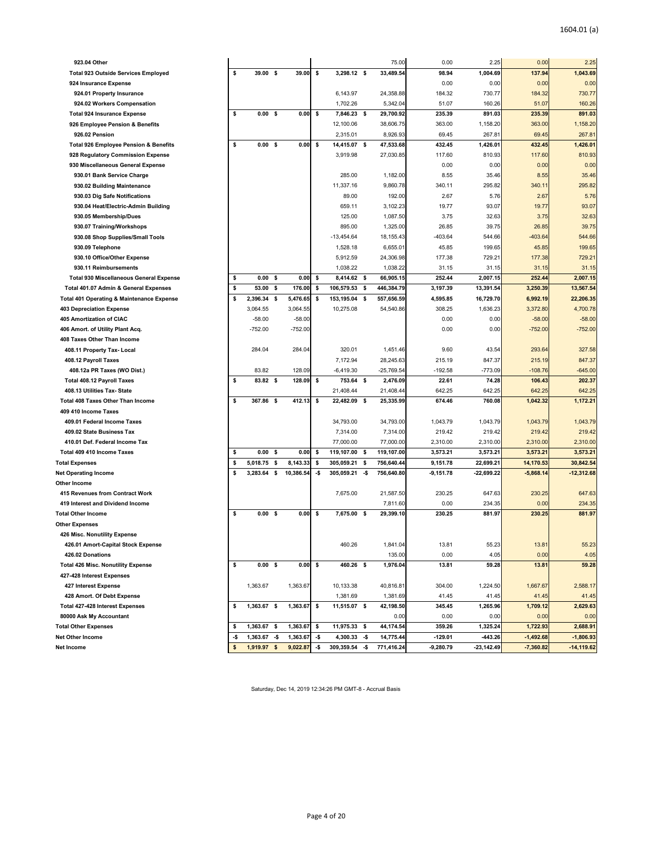| 923.04 Other                                         |          |                   |                 |           |                          |      | 75.00        | 0.00        | 2.25         | 0.00        | 2.25          |
|------------------------------------------------------|----------|-------------------|-----------------|-----------|--------------------------|------|--------------|-------------|--------------|-------------|---------------|
| <b>Total 923 Outside Services Employed</b>           | \$       | 39.00 \$          | 39.00           | \$        | 3,298.12 \$              |      | 33,489.54    | 98.94       | 1,004.69     | 137.94      | 1,043.69      |
| 924 Insurance Expense                                |          |                   |                 |           |                          |      |              | 0.00        | 0.00         | 0.00        | 0.00          |
| 924.01 Property Insurance                            |          |                   |                 |           | 6,143.97                 |      | 24,358.88    | 184.32      | 730.77       | 184.32      | 730.77        |
| 924.02 Workers Compensation                          |          |                   |                 |           | 1,702.26                 |      | 5,342.04     | 51.07       | 160.26       | 51.07       | 160.26        |
| <b>Total 924 Insurance Expense</b>                   | \$       | 0.00 <sup>5</sup> | 0.00            | \$        | 7,846.23 \$              |      | 29,700.92    | 235.39      | 891.03       | 235.39      | 891.03        |
| 926 Employee Pension & Benefits                      |          |                   |                 |           | 12,100.06                |      | 38,606.75    | 363.00      | 1,158.20     | 363.00      | 1,158.20      |
| 926.02 Pension                                       |          |                   |                 |           | 2,315.01                 |      | 8,926.93     | 69.45       | 267.81       | 69.45       | 267.81        |
| Total 926 Employee Pension & Benefits                | \$       | 0.00              | \$<br>0.00      | \$        | 14,415.07                | -\$  | 47,533.68    | 432.45      | 1,426.01     | 432.45      | 1,426.01      |
| 928 Regulatory Commission Expense                    |          |                   |                 |           | 3,919.98                 |      | 27,030.85    | 117.60      | 810.93       | 117.60      | 810.93        |
| 930 Miscellaneous General Expense                    |          |                   |                 |           |                          |      |              | 0.00        | 0.00         | 0.00        | 0.00          |
| 930.01 Bank Service Charge                           |          |                   |                 |           | 285.00                   |      | 1,182.00     | 8.55        | 35.46        | 8.55        | 35.46         |
| 930.02 Building Maintenance                          |          |                   |                 |           | 11,337.16                |      | 9,860.78     | 340.11      | 295.82       | 340.11      | 295.82        |
| 930.03 Dig Safe Notifications                        |          |                   |                 |           | 89.00                    |      | 192.00       | 2.67        | 5.76         | 2.67        | 5.76          |
| 930.04 Heat/Electric-Admin Building                  |          |                   |                 |           | 659.11                   |      | 3,102.23     | 19.77       | 93.07        | 19.77       | 93.07         |
| 930.05 Membership/Dues                               |          |                   |                 |           | 125.00                   |      | 1,087.50     | 3.75        | 32.63        | 3.75        | 32.63         |
| 930.07 Training/Workshops                            |          |                   |                 |           | 895.00                   |      | 1,325.00     | 26.85       | 39.75        | 26.85       | 39.75         |
| 930.08 Shop Supplies/Small Tools                     |          |                   |                 |           | $-13,454.64$             |      | 18,155.43    | $-403.64$   | 544.66       | $-403.64$   | 544.66        |
| 930.09 Telephone                                     |          |                   |                 |           | 1,528.18                 |      | 6,655.01     | 45.85       | 199.65       | 45.85       | 199.65        |
| 930.10 Office/Other Expense                          |          |                   |                 |           | 5,912.59                 |      | 24,306.98    | 177.38      | 729.21       | 177.38      | 729.21        |
| 930.11 Reimbursements                                |          |                   |                 |           | 1,038.22                 |      | 1,038.22     | 31.15       | 31.15        | 31.15       | 31.15         |
| <b>Total 930 Miscellaneous General Expense</b>       | \$       | 0.00 <sup>5</sup> | 0.00            | \$        | 8,414.62 \$              |      | 66,905.15    | 252.44      | 2,007.15     | 252.44      | 2,007.15      |
| Total 401.07 Admin & General Expenses                | \$       | 53.00 \$          | 176.00          | \$        | 106,579.53               | - \$ | 446,384.79   | 3,197.39    | 13,391.54    | 3,250.39    | 13,567.54     |
| <b>Total 401 Operating &amp; Maintenance Expense</b> | \$       | 2,396.34          | \$<br>5,476.65  | \$        | 153,195.04               | -\$  | 557,656.59   | 4,595.85    | 16,729.70    | 6,992.19    | 22,206.35     |
| <b>403 Depreciation Expense</b>                      |          | 3,064.55          | 3,064.55        |           | 10,275.08                |      | 54,540.86    | 308.25      | 1,636.23     | 3,372.80    | 4,700.78      |
| 405 Amortization of CIAC                             |          | $-58.00$          | $-58.00$        |           |                          |      |              | 0.00        | 0.00         | $-58.00$    | $-58.00$      |
| 406 Amort. of Utility Plant Acq.                     |          | $-752.00$         | $-752.00$       |           |                          |      |              | 0.00        | 0.00         | $-752.00$   | $-752.00$     |
| 408 Taxes Other Than Income                          |          |                   |                 |           |                          |      |              |             |              |             |               |
| 408.11 Property Tax- Local                           |          | 284.04            | 284.04          |           | 320.01                   |      | 1,451.46     | 9.60        | 43.54        | 293.64      | 327.58        |
| 408.12 Payroll Taxes                                 |          |                   |                 |           | 7,172.94                 |      | 28,245.63    | 215.19      | 847.37       | 215.19      | 847.37        |
| 408.12a PR Taxes (WO Dist.)                          |          | 83.82             | 128.09          |           | $-6,419.30$              |      | $-25,769.54$ | $-192.58$   | $-773.09$    | $-108.76$   | $-645.00$     |
| Total 408.12 Payroll Taxes                           | \$       | 83.82 \$          | 128.09          | \$        | 753.64 \$                |      | 2,476.09     | 22.61       | 74.28        | 106.43      | 202.37        |
| 408.13 Utilities Tax- State                          |          |                   |                 |           | 21,408.44                |      | 21,408.44    | 642.25      | 642.25       | 642.25      | 642.25        |
| Total 408 Taxes Other Than Income                    | \$       | 367.86            | \$<br>412.13    | \$        | 22,482.09                | -\$  | 25,335.99    | 674.46      | 760.08       | 1,042.32    | 1,172.21      |
| 409 410 Income Taxes                                 |          |                   |                 |           |                          |      |              |             |              |             |               |
| 409.01 Federal Income Taxes                          |          |                   |                 |           | 34,793.00                |      | 34,793.00    | 1,043.79    | 1,043.79     | 1,043.79    | 1,043.79      |
| 409.02 State Business Tax                            |          |                   |                 |           | 7,314.00                 |      | 7,314.00     | 219.42      | 219.42       | 219.42      | 219.42        |
| 410.01 Def. Federal Income Tax                       |          |                   |                 |           | 77,000.00                |      | 77,000.00    | 2,310.00    | 2,310.00     | 2,310.00    | 2,310.00      |
| Total 409 410 Income Taxes                           | \$       | 0.00              | \$<br>0.00      | \$        | 119,107.00               | \$   | 119,107.00   | 3,573.21    | 3,573.21     | 3,573.21    | 3,573.21      |
| <b>Total Expenses</b>                                | \$<br>\$ | 5,018.75          | \$<br>8,143.33  | \$<br>-\$ | 305,059.21<br>305,059.21 | -\$  | 756,640.44   | 9,151.78    | 22,699.21    | 14,170.53   | 30,842.54     |
| <b>Net Operating Income</b><br><b>Other Income</b>   |          | 3,283.64          | \$<br>10,386.54 |           |                          | -\$  | 756,640.80   | $-9,151.78$ | $-22,699.22$ | $-5,868.14$ | $-12,312.68$  |
| 415 Revenues from Contract Work                      |          |                   |                 |           | 7,675.00                 |      | 21,587.50    | 230.25      | 647.63       | 230.25      | 647.63        |
| 419 Interest and Dividend Income                     |          |                   |                 |           |                          |      | 7,811.60     | 0.00        | 234.35       | 0.00        | 234.35        |
| <b>Total Other Income</b>                            | \$       | 0.00 S            | 0.00            | \$        | 7,675.00 \$              |      | 29,399.10    | 230.25      | 881.97       | 230.25      | 881.97        |
| <b>Other Expenses</b>                                |          |                   |                 |           |                          |      |              |             |              |             |               |
| 426 Misc. Nonutility Expense                         |          |                   |                 |           |                          |      |              |             |              |             |               |
| 426.01 Amort-Capital Stock Expense                   |          |                   |                 |           | 460.26                   |      | 1,841.04     | 13.81       | 55.23        | 13.81       | 55.23         |
| 426.02 Donations                                     |          |                   |                 |           |                          |      | 135.00       | 0.00        | 4.05         | 0.00        | 4.05          |
| <b>Total 426 Misc. Nonutility Expense</b>            | \$       | $0.00\frac{1}{5}$ | 0.00            | \$        | 460.26 \$                |      | 1,976.04     | 13.81       | 59.28        | 13.81       | 59.28         |
| 427-428 Interest Expenses                            |          |                   |                 |           |                          |      |              |             |              |             |               |
| 427 Interest Expense                                 |          | 1,363.67          | 1,363.67        |           | 10,133.38                |      | 40,816.81    | 304.00      | 1,224.50     | 1,667.67    | 2,588.17      |
| 428 Amort. Of Debt Expense                           |          |                   |                 |           | 1,381.69                 |      | 1,381.69     | 41.45       | 41.45        | 41.45       | 41.45         |
| Total 427-428 Interest Expenses                      | \$       | 1,363.67 \$       | 1,363.67        | \$        | 11,515.07 \$             |      | 42,198.50    | 345.45      | 1,265.96     | 1,709.12    | 2,629.63      |
| 80000 Ask My Accountant                              |          |                   |                 |           |                          |      | 0.00         | 0.00        | 0.00         | 0.00        | 0.00          |
| <b>Total Other Expenses</b>                          | \$       | 1,363.67 \$       | 1,363.67        | \$        | 11,975.33 \$             |      | 44,174.54    | 359.26      | 1,325.24     | 1,722.93    | 2,688.91      |
| <b>Net Other Income</b>                              | -\$      | $1,363.67 - $$    | 1,363.67        | -\$       | 4,300.33                 | -\$  | 14,775.44    | $-129.01$   | -443.26      | $-1,492.68$ | $-1,806.93$   |
| Net Income                                           | \$       | 1,919.97 \$       | 9,022.87        | -\$       | 309,359.54               | -\$  | 771,416.24   | $-9,280.79$ | $-23,142.49$ | $-7,360.82$ | $-14, 119.62$ |
|                                                      |          |                   |                 |           |                          |      |              |             |              |             |               |

Saturday, Dec 14, 2019 12:34:26 PM GMT-8 - Accrual Basis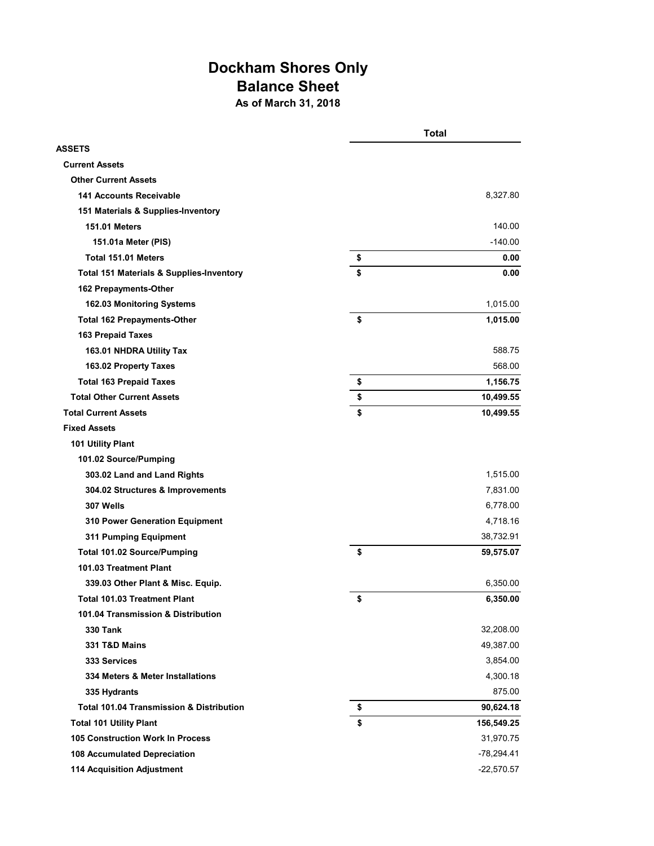# **Dockham Shores Only Balance Sheet As of March 31, 2018**

|                                                     | <b>Total</b>     |
|-----------------------------------------------------|------------------|
| ASSETS                                              |                  |
| <b>Current Assets</b>                               |                  |
| <b>Other Current Assets</b>                         |                  |
| <b>141 Accounts Receivable</b>                      | 8,327.80         |
| 151 Materials & Supplies-Inventory                  |                  |
| <b>151.01 Meters</b>                                | 140.00           |
| 151.01a Meter (PIS)                                 | $-140.00$        |
| Total 151.01 Meters                                 | \$<br>0.00       |
| <b>Total 151 Materials &amp; Supplies-Inventory</b> | \$<br>0.00       |
| 162 Prepayments-Other                               |                  |
| 162.03 Monitoring Systems                           | 1,015.00         |
| <b>Total 162 Prepayments-Other</b>                  | \$<br>1,015.00   |
| <b>163 Prepaid Taxes</b>                            |                  |
| 163.01 NHDRA Utility Tax                            | 588.75           |
| 163.02 Property Taxes                               | 568.00           |
| <b>Total 163 Prepaid Taxes</b>                      | \$<br>1,156.75   |
| <b>Total Other Current Assets</b>                   | \$<br>10,499.55  |
| <b>Total Current Assets</b>                         | \$<br>10,499.55  |
| <b>Fixed Assets</b>                                 |                  |
| 101 Utility Plant                                   |                  |
| 101.02 Source/Pumping                               |                  |
| 303.02 Land and Land Rights                         | 1,515.00         |
| 304.02 Structures & Improvements                    | 7,831.00         |
| 307 Wells                                           | 6,778.00         |
| 310 Power Generation Equipment                      | 4,718.16         |
| 311 Pumping Equipment                               | 38,732.91        |
| Total 101.02 Source/Pumping                         | \$<br>59,575.07  |
| 101.03 Treatment Plant                              |                  |
| 339.03 Other Plant & Misc. Equip.                   | 6,350.00         |
| <b>Total 101.03 Treatment Plant</b>                 | \$<br>6,350.00   |
| 101.04 Transmission & Distribution                  |                  |
| <b>330 Tank</b>                                     | 32,208.00        |
| 331 T&D Mains                                       | 49,387.00        |
| 333 Services                                        | 3,854.00         |
| 334 Meters & Meter Installations                    | 4,300.18         |
| 335 Hydrants                                        | 875.00           |
| Total 101.04 Transmission & Distribution            | \$<br>90,624.18  |
| <b>Total 101 Utility Plant</b>                      | \$<br>156,549.25 |
| 105 Construction Work In Process                    | 31,970.75        |
| 108 Accumulated Depreciation                        | $-78,294.41$     |
| <b>114 Acquisition Adjustment</b>                   | $-22,570.57$     |
|                                                     |                  |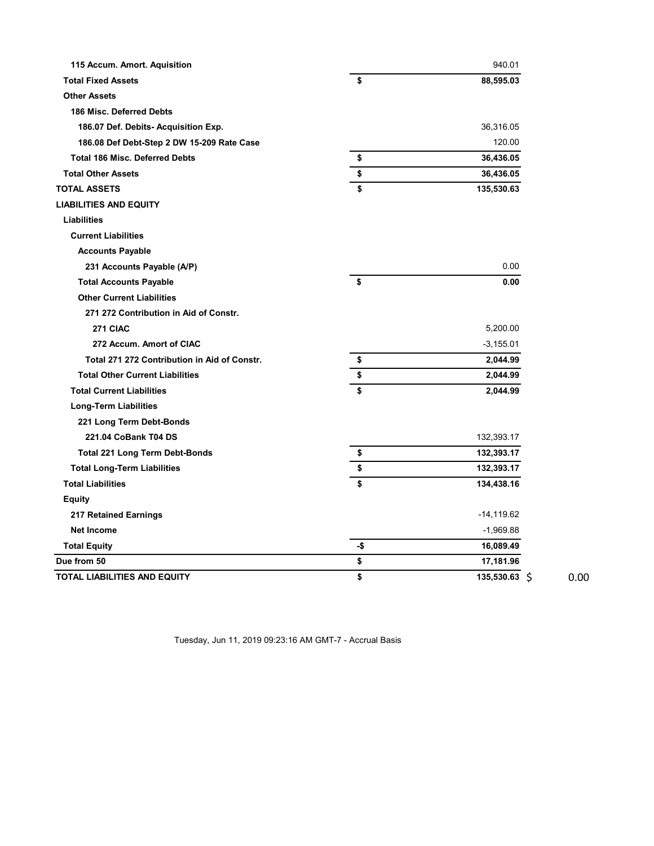| 115 Accum. Amort. Aquisition                 |     | 940.01        |      |
|----------------------------------------------|-----|---------------|------|
| <b>Total Fixed Assets</b>                    | \$  | 88,595.03     |      |
| <b>Other Assets</b>                          |     |               |      |
| 186 Misc. Deferred Debts                     |     |               |      |
| 186.07 Def. Debits-Acquisition Exp.          |     | 36,316.05     |      |
| 186.08 Def Debt-Step 2 DW 15-209 Rate Case   |     | 120.00        |      |
| <b>Total 186 Misc. Deferred Debts</b>        | \$  | 36,436.05     |      |
| <b>Total Other Assets</b>                    | \$  | 36,436.05     |      |
| <b>TOTAL ASSETS</b>                          | \$  | 135,530.63    |      |
| <b>LIABILITIES AND EQUITY</b>                |     |               |      |
| <b>Liabilities</b>                           |     |               |      |
| <b>Current Liabilities</b>                   |     |               |      |
| <b>Accounts Payable</b>                      |     |               |      |
| 231 Accounts Payable (A/P)                   |     | 0.00          |      |
| <b>Total Accounts Payable</b>                | \$  | 0.00          |      |
| <b>Other Current Liabilities</b>             |     |               |      |
| 271 272 Contribution in Aid of Constr.       |     |               |      |
| 271 CIAC                                     |     | 5,200.00      |      |
| 272 Accum. Amort of CIAC                     |     | $-3,155.01$   |      |
| Total 271 272 Contribution in Aid of Constr. | \$  | 2,044.99      |      |
| <b>Total Other Current Liabilities</b>       | \$  | 2,044.99      |      |
| <b>Total Current Liabilities</b>             | \$  | 2,044.99      |      |
| <b>Long-Term Liabilities</b>                 |     |               |      |
| 221 Long Term Debt-Bonds                     |     |               |      |
| 221.04 CoBank T04 DS                         |     | 132,393.17    |      |
| <b>Total 221 Long Term Debt-Bonds</b>        | \$  | 132,393.17    |      |
| <b>Total Long-Term Liabilities</b>           | \$  | 132,393.17    |      |
| <b>Total Liabilities</b>                     | \$  | 134,438.16    |      |
| <b>Equity</b>                                |     |               |      |
| <b>217 Retained Earnings</b>                 |     | $-14,119.62$  |      |
| <b>Net Income</b>                            |     | $-1,969.88$   |      |
| <b>Total Equity</b>                          | -\$ | 16,089.49     |      |
| Due from 50                                  | \$  | 17,181.96     |      |
| TOTAL LIABILITIES AND EQUITY                 | \$  | 135,530.63 \$ | 0.00 |

Tuesday, Jun 11, 2019 09:23:16 AM GMT-7 - Accrual Basis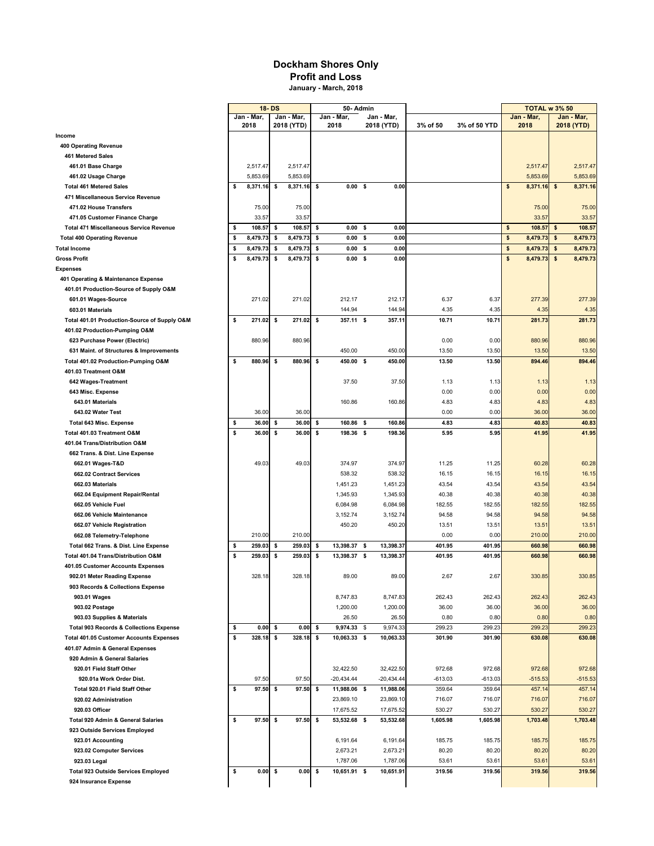#### **Dockham Shores Only Profit and Loss January - March, 2018**

|                                                                          | <b>18-DS</b>               |                            |     | 50 Admin                  |      |                           |                  |                  | <b>TOTAL w 3% 50</b>                              |                                       |  |  |  |
|--------------------------------------------------------------------------|----------------------------|----------------------------|-----|---------------------------|------|---------------------------|------------------|------------------|---------------------------------------------------|---------------------------------------|--|--|--|
|                                                                          | Jan - Mar,                 | Jan - Mar,                 |     | Jan - Mar,                |      | Jan - Mar,                |                  |                  | Jan - Mar,                                        | Jan - Mar,                            |  |  |  |
|                                                                          | 2018                       | 2018 (YTD)                 |     | 2018                      |      | 2018 (YTD)                | 3% of 50         | 3% of 50 YTD     | 2018                                              | 2018 (YTD)                            |  |  |  |
| Income                                                                   |                            |                            |     |                           |      |                           |                  |                  |                                                   |                                       |  |  |  |
| 400 Operating Revenue                                                    |                            |                            |     |                           |      |                           |                  |                  |                                                   |                                       |  |  |  |
| 461 Metered Sales                                                        |                            |                            |     |                           |      |                           |                  |                  |                                                   |                                       |  |  |  |
| 461.01 Base Charge                                                       | 2,517.47                   | 2,517.47                   |     |                           |      |                           |                  |                  | 2,517.47                                          | 2,517.47                              |  |  |  |
| 461.02 Usage Charge<br><b>Total 461 Metered Sales</b>                    | \$<br>5,853.69<br>8,371.16 | \$<br>5,853.69<br>8,371.16 | -\$ | $0.00\quad$ \$            |      | 0.00                      |                  |                  | 5,853.69<br>$\boldsymbol{\mathsf{s}}$<br>8,371.16 | 5,853.69<br>$\sqrt[6]{3}$<br>8,371.16 |  |  |  |
| 471 Miscellaneous Service Revenue                                        |                            |                            |     |                           |      |                           |                  |                  |                                                   |                                       |  |  |  |
| 471.02 House Transfers                                                   | 75.00                      | 75.00                      |     |                           |      |                           |                  |                  | 75.00                                             | 75.00                                 |  |  |  |
| 471.05 Customer Finance Charge                                           | 33.57                      | 33.57                      |     |                           |      |                           |                  |                  | 33.57                                             | 33.57                                 |  |  |  |
| <b>Total 471 Miscellaneous Service Revenue</b>                           | \$<br>108.57               | \$<br>108.57               | \$  | 0.00 <sup>5</sup>         |      | 0.00                      |                  |                  | $\pmb{\mathsf{s}}$<br>108.57                      | 108.57<br>\$                          |  |  |  |
| <b>Total 400 Operating Revenue</b>                                       | \$<br>8,479.73             | \$<br>8,479.73             | \$  | 0.00 <sup>5</sup>         |      | 0.00                      |                  |                  | \$<br>8,479.73                                    | 8,479.73<br>\$                        |  |  |  |
| <b>Total Income</b>                                                      | \$<br>8,479.73             | \$<br>8,479.73             | \$  | 0.00                      | \$   | 0.00                      |                  |                  | \$<br>8,479.73                                    | 8,479.73<br>\$                        |  |  |  |
| <b>Gross Profit</b>                                                      | \$<br>8,479.73             | \$<br>8,479.73             | \$  | $0.00\quad$ \$            |      | 0.00                      |                  |                  | \$<br>8,479.73                                    | \$<br>8,479.73                        |  |  |  |
| <b>Expenses</b>                                                          |                            |                            |     |                           |      |                           |                  |                  |                                                   |                                       |  |  |  |
| 401 Operating & Maintenance Expense                                      |                            |                            |     |                           |      |                           |                  |                  |                                                   |                                       |  |  |  |
| 401.01 Production-Source of Supply O&M                                   |                            |                            |     |                           |      |                           |                  |                  |                                                   |                                       |  |  |  |
| 601.01 Wages-Source                                                      | 271.02                     | 271.02                     |     | 212.17                    |      | 212.17                    | 6.37             | 6.37             | 277.39                                            | 277.39                                |  |  |  |
| 603.01 Materials                                                         |                            |                            |     | 144.94                    |      | 144.94                    | 4.35             | 4.35             | 4.35                                              | 4.35                                  |  |  |  |
| Total 401.01 Production-Source of Supply O&M                             | \$<br>271.02               | \$<br>271.02               | \$  | 357.11 \$                 |      | 357.11                    | 10.71            | 10.71            | 281.73                                            | 281.73                                |  |  |  |
| 401.02 Production-Pumping O&M                                            | 880.96                     |                            |     |                           |      |                           |                  |                  |                                                   |                                       |  |  |  |
| 623 Purchase Power (Electric)<br>631 Maint. of Structures & Improvements |                            | 880.96                     |     | 450.00                    |      | 450.00                    | 0.00<br>13.50    | 0.00<br>13.50    | 880.96<br>13.50                                   | 880.96<br>13.50                       |  |  |  |
| Total 401.02 Production-Pumping O&M                                      | \$<br>880.96               | \$<br>880.96               | -\$ | 450.00 \$                 |      | 450.00                    | 13.50            | 13.50            | 894.46                                            | 894.46                                |  |  |  |
| 401.03 Treatment O&M                                                     |                            |                            |     |                           |      |                           |                  |                  |                                                   |                                       |  |  |  |
| 642 Wages-Treatment                                                      |                            |                            |     | 37.50                     |      | 37.50                     | 1.13             | 1.13             | 1.13                                              | 1.13                                  |  |  |  |
| 643 Misc. Expense                                                        |                            |                            |     |                           |      |                           | 0.00             | 0.00             | 0.00                                              | 0.00                                  |  |  |  |
| 643.01 Materials                                                         |                            |                            |     | 160.86                    |      | 160.86                    | 4.83             | 4.83             | 4.83                                              | 4.83                                  |  |  |  |
| 643.02 Water Test                                                        | 36.00                      | 36.00                      |     |                           |      |                           | 0.00             | 0.00             | 36.00                                             | 36.00                                 |  |  |  |
| <b>Total 643 Misc. Expense</b>                                           | \$<br>36.00                | \$<br>36.00                | \$  | 160.86                    | \$   | 160.86                    | 4.83             | 4.83             | 40.83                                             | 40.83                                 |  |  |  |
| Total 401.03 Treatment O&M                                               | \$<br>36.00                | \$<br>36.00                | \$  | 198.36 \$                 |      | 198.36                    | 5.95             | 5.95             | 41.95                                             | 41.95                                 |  |  |  |
| 401.04 Trans/Distribution O&M                                            |                            |                            |     |                           |      |                           |                  |                  |                                                   |                                       |  |  |  |
| 662 Trans. & Dist. Line Expense                                          |                            |                            |     |                           |      |                           |                  |                  |                                                   |                                       |  |  |  |
| 662.01 Wages-T&D                                                         | 49.03                      | 49.03                      |     | 374.97                    |      | 374.97                    | 11.25            | 11.25            | 60.28                                             | 60.28                                 |  |  |  |
| 662.02 Contract Services                                                 |                            |                            |     | 538.32                    |      | 538.32                    | 16.15            | 16.15            | 16.15                                             | 16.15                                 |  |  |  |
| 662.03 Materials                                                         |                            |                            |     | 1,451.23                  |      | 1,451.23                  | 43.54            | 43.54            | 43.54                                             | 43.54                                 |  |  |  |
| 662.04 Equipment Repair/Rental                                           |                            |                            |     | 1,345.93                  |      | 1,345.93                  | 40.38            | 40.38            | 40.38                                             | 40.38                                 |  |  |  |
| 662.05 Vehicle Fuel                                                      |                            |                            |     | 6,084.98<br>3,152.74      |      | 6,084.98                  | 182.55<br>94.58  | 182.55<br>94.58  | 182.55<br>94.58                                   | 182.55<br>94.58                       |  |  |  |
| 662.06 Vehicle Maintenance<br>662.07 Vehicle Registration                |                            |                            |     | 450.20                    |      | 3,152.74<br>450.20        | 13.51            | 13.51            | 13.51                                             | 13.51                                 |  |  |  |
| 662.08 Telemetry-Telephone                                               | 210.00                     | 210.00                     |     |                           |      |                           | 0.00             | 0.00             | 210.00                                            | 210.00                                |  |  |  |
| Total 662 Trans. & Dist. Line Expense                                    | \$<br>259.03               | \$<br>259.03               | -\$ | 13,398.37                 | - \$ | 13,398.37                 | 401.95           | 401.95           | 660.98                                            | 660.98                                |  |  |  |
| Total 401.04 Trans/Distribution O&M                                      | \$<br>259.03               | \$<br>259.03               | \$  | 13,398.37 \$              |      | 13,398.37                 | 401.95           | 401.95           | 660.98                                            | 660.98                                |  |  |  |
| 401.05 Customer Accounts Expenses                                        |                            |                            |     |                           |      |                           |                  |                  |                                                   |                                       |  |  |  |
| 902.01 Meter Reading Expense                                             | 328.18                     | 328.18                     |     | 89.00                     |      | 89.00                     | 2.67             | 2.67             | 330.85                                            | 330.85                                |  |  |  |
| 903 Records & Collections Expense                                        |                            |                            |     |                           |      |                           |                  |                  |                                                   |                                       |  |  |  |
| 903.01 Wages                                                             |                            |                            |     | 8,747.83                  |      | 8,747.83                  | 262.43           | 262.43           | 262.43                                            | 262.43                                |  |  |  |
| 903.02 Postage                                                           |                            |                            |     | 1,200.00                  |      | 1,200.00                  | 36.00            | 36.00            | 36.00                                             | 36.00                                 |  |  |  |
| 903.03 Supplies & Materials                                              |                            |                            |     | 26.50                     |      | 26.50                     | 0.80             | 0.80             | 0.80                                              | 0.80                                  |  |  |  |
| <b>Total 903 Records &amp; Collections Expense</b>                       | \$<br>0.00                 | \$<br>0.00                 | -\$ | 9,974.33 \$               |      | 9,974.33                  | 299.23           | 299.23           | 299.23                                            | 299.23                                |  |  |  |
| <b>Total 401.05 Customer Accounts Expenses</b>                           | \$<br>328.18               | \$<br>328.18               | \$  | 10,063.33 \$              |      | 10,063.33                 | 301.90           | 301.90           | 630.08                                            | 630.08                                |  |  |  |
| 401.07 Admin & General Expenses                                          |                            |                            |     |                           |      |                           |                  |                  |                                                   |                                       |  |  |  |
| 920 Admin & General Salaries                                             |                            |                            |     |                           |      |                           |                  |                  |                                                   |                                       |  |  |  |
| 920.01 Field Staff Other                                                 |                            |                            |     | 32,422.50                 |      | 32,422.50                 | 972.68           | 972.68           | 972.68                                            | 972.68                                |  |  |  |
| 920.01a Work Order Dist.                                                 | 97.50                      | 97.50                      |     | $-20,434.44$              |      | $-20,434.44$<br>11,988.06 | $-613.03$        | $-613.03$        | $-515.53$                                         | $-515.53$                             |  |  |  |
| Total 920.01 Field Staff Other<br>920.02 Administration                  | \$<br>97.50                | \$<br>97.50                | -\$ | 11,988.06 \$<br>23,869.10 |      | 23,869.10                 | 359.64<br>716.07 | 359.64<br>716.07 | 457.14<br>716.07                                  | 457.14<br>716.07                      |  |  |  |
| 920.03 Officer                                                           |                            |                            |     | 17,675.52                 |      | 17,675.52                 | 530.27           | 530.27           | 530.27                                            | 530.27                                |  |  |  |
| Total 920 Admin & General Salaries                                       | \$<br>97.50                | \$<br>97.50                | \$  | 53,532.68 \$              |      | 53,532.68                 | 1,605.98         | 1,605.98         | 1,703.48                                          | 1,703.48                              |  |  |  |
| 923 Outside Services Employed                                            |                            |                            |     |                           |      |                           |                  |                  |                                                   |                                       |  |  |  |
| 923.01 Accounting                                                        |                            |                            |     | 6,191.64                  |      | 6,191.64                  | 185.75           | 185.75           | 185.75                                            | 185.75                                |  |  |  |
| 923.02 Computer Services                                                 |                            |                            |     | 2,673.21                  |      | 2,673.21                  | 80.20            | 80.20            | 80.20                                             | 80.20                                 |  |  |  |
| 923.03 Legal                                                             |                            |                            |     | 1,787.06                  |      | 1,787.06                  | 53.61            | 53.61            | 53.61                                             | 53.61                                 |  |  |  |
| <b>Total 923 Outside Services Employed</b>                               | \$<br>0.00                 | \$<br>0.00                 | -\$ | 10,651.91 \$              |      | 10,651.91                 | 319.56           | 319.56           | 319.56                                            | 319.56                                |  |  |  |
| 924 Insurance Expense                                                    |                            |                            |     |                           |      |                           |                  |                  |                                                   |                                       |  |  |  |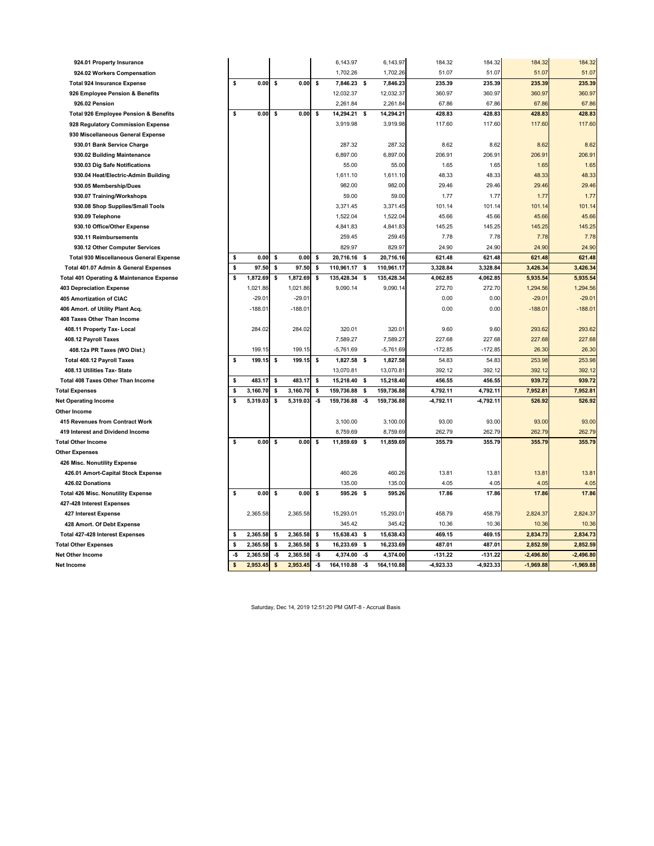| 924.01 Property Insurance                      |     |           |              |           |          | 6,143.97     |      | 6,143.97    | 184.32      | 184.32      | 184.32      | 184.32      |
|------------------------------------------------|-----|-----------|--------------|-----------|----------|--------------|------|-------------|-------------|-------------|-------------|-------------|
| 924.02 Workers Compensation                    |     |           |              |           |          | 1,702.26     |      | 1,702.26    | 51.07       | 51.07       | 51.07       | 51.07       |
| <b>Total 924 Insurance Expense</b>             | \$  | 0.00      | $\mathbf{s}$ | 0.00      | \$       | 7,846.23     | \$   | 7,846.23    | 235.39      | 235.39      | 235.39      | 235.39      |
| 926 Employee Pension & Benefits                |     |           |              |           |          | 12,032.37    |      | 12,032.37   | 360.97      | 360.97      | 360.97      | 360.97      |
| 926.02 Pension                                 |     |           |              |           |          | 2.261.84     |      | 2,261.84    | 67.86       | 67.86       | 67.86       | 67.86       |
| Total 926 Employee Pension & Benefits          | \$  | 0.00      | \$           | 0.00      | \$       | 14,294.21 \$ |      | 14,294.21   | 428.83      | 428.83      | 428.83      | 428.83      |
| 928 Regulatory Commission Expense              |     |           |              |           |          | 3,919.98     |      | 3,919.98    | 117.60      | 117.60      | 117.60      | 117.60      |
| 930 Miscellaneous General Expense              |     |           |              |           |          |              |      |             |             |             |             |             |
| 930.01 Bank Service Charge                     |     |           |              |           |          | 287.32       |      | 287.32      | 8.62        | 8.62        | 8.62        | 8.62        |
| 930.02 Building Maintenance                    |     |           |              |           |          | 6,897.00     |      | 6,897.00    | 206.91      | 206.91      | 206.9'      | 206.91      |
| 930.03 Dig Safe Notifications                  |     |           |              |           |          | 55.00        |      | 55.00       | 1.65        | 1.65        | 1.65        | 1.65        |
| 930.04 Heat/Electric-Admin Building            |     |           |              |           |          | 1,611.10     |      | 1,611.10    | 48.33       | 48.33       | 48.33       | 48.33       |
| 930.05 Membership/Dues                         |     |           |              |           |          | 982.00       |      | 982.00      | 29.46       | 29.46       | 29.46       | 29.46       |
| 930.07 Training/Workshops                      |     |           |              |           |          | 59.00        |      | 59.00       | 1.77        | 1.77        | 1.77        | 1.77        |
| 930.08 Shop Supplies/Small Tools               |     |           |              |           |          | 3,371.45     |      | 3,371.45    | 101.14      | 101.14      | 101.14      | 101.14      |
| 930.09 Telephone                               |     |           |              |           |          | 1,522.04     |      | 1,522.04    | 45.66       | 45.66       | 45.66       | 45.66       |
| 930.10 Office/Other Expense                    |     |           |              |           |          | 4,841.83     |      | 4,841.83    | 145.25      | 145.25      | 145.25      | 145.25      |
| 930.11 Reimbursements                          |     |           |              |           |          | 259.45       |      | 259.45      | 7.78        | 7.78        | 7.78        | 7.78        |
| 930.12 Other Computer Services                 |     |           |              |           |          | 829.97       |      | 829.97      | 24.90       | 24.90       | 24.90       | 24.90       |
| <b>Total 930 Miscellaneous General Expense</b> | \$  | 0.00      | \$           | 0.00      | <b>s</b> | 20,716.16    | S.   | 20,716.16   | 621.48      | 621.48      | 621.48      | 621.48      |
| Total 401.07 Admin & General Expenses          | \$  | 97.50     | s            | 97.50     | \$       | 110,961.17   | \$   | 110,961.17  | 3,328.84    | 3,328.84    | 3,426.34    | 3,426.34    |
| Total 401 Operating & Maintenance Expense      | \$  | 1,872.69  | \$           | 1,872.69  | \$       | 135,428.34   | \$   | 135,428.34  | 4,062.85    | 4,062.85    | 5,935.54    | 5,935.54    |
| 403 Depreciation Expense                       |     | 1,021.86  |              | 1,021.86  |          | 9,090.14     |      | 9,090.14    | 272.70      | 272.70      | 1,294.56    | 1,294.56    |
| 405 Amortization of CIAC                       |     | $-29.01$  |              | $-29.01$  |          |              |      |             | 0.00        | 0.00        | $-29.0$     | $-29.01$    |
| 406 Amort. of Utility Plant Acq.               |     | $-188.01$ |              | $-188.01$ |          |              |      |             | 0.00        | 0.00        | $-188.0$    | $-188.01$   |
| 408 Taxes Other Than Income                    |     |           |              |           |          |              |      |             |             |             |             |             |
| 408.11 Property Tax- Local                     |     | 284.02    |              | 284.02    |          | 320.01       |      | 320.01      | 9.60        | 9.60        | 293.62      | 293.62      |
| 408.12 Payroll Taxes                           |     |           |              |           |          | 7,589.27     |      | 7,589.27    | 227.68      | 227.68      | 227.68      | 227.68      |
| 408.12a PR Taxes (WO Dist.)                    |     | 199.15    |              | 199.15    |          | $-5,761.69$  |      | $-5,761.69$ | $-172.85$   | $-172.85$   | 26.30       | 26.30       |
| Total 408.12 Payroll Taxes                     | \$  | 199.15    | \$           | 199.15    | \$       | 1,827.58     | - \$ | 1,827.58    | 54.83       | 54.83       | 253.98      | 253.98      |
| 408.13 Utilities Tax- State                    |     |           |              |           |          | 13,070.81    |      | 13,070.81   | 392.12      | 392.12      | 392.12      | 392.12      |
| Total 408 Taxes Other Than Income              | s   | 483.17    | \$           | 483.17    | \$       | 15,218.40    | \$   | 15,218.40   | 456.55      | 456.55      | 939.72      | 939.72      |
| <b>Total Expenses</b>                          | s   | 3,160.70  | s            | 3,160.70  | s        | 159,736.88   | \$   | 159,736.88  | 4,792.11    | 4,792.11    | 7,952.81    | 7,952.81    |
| <b>Net Operating Income</b>                    | \$  | 5,319.03  | \$           | 5,319.03  | -\$      | 159,736.88   | -\$  | 159,736.88  | $-4,792.11$ | $-4,792.11$ | 526.92      | 526.92      |
| Other Income                                   |     |           |              |           |          |              |      |             |             |             |             |             |
| 415 Revenues from Contract Work                |     |           |              |           |          | 3,100.00     |      | 3,100.00    | 93.00       | 93.00       | 93.00       | 93.00       |
| 419 Interest and Dividend Income               |     |           |              |           |          | 8,759.69     |      | 8,759.69    | 262.79      | 262.79      | 262.79      | 262.79      |
| <b>Total Other Income</b>                      | \$  | 0.00      | \$           | 0.00      | \$       | 11,859.69    | -\$  | 11,859.69   | 355.79      | 355.79      | 355.79      | 355.79      |
| <b>Other Expenses</b>                          |     |           |              |           |          |              |      |             |             |             |             |             |
| 426 Misc. Nonutility Expense                   |     |           |              |           |          |              |      |             |             |             |             |             |
| 426.01 Amort-Capital Stock Expense             |     |           |              |           |          | 460.26       |      | 460.26      | 13.81       | 13.81       | 13.81       | 13.81       |
| 426.02 Donations                               |     |           |              |           |          | 135.00       |      | 135.00      | 4.05        | 4.05        | 4.05        | 4.05        |
| <b>Total 426 Misc. Nonutility Expense</b>      | \$  | 0.00      | \$           | 0.00      | \$       | 595.26       | \$   | 595.26      | 17.86       | 17.86       | 17.86       | 17.86       |
| 427-428 Interest Expenses                      |     |           |              |           |          |              |      |             |             |             |             |             |
| 427 Interest Expense                           |     | 2,365.58  |              | 2,365.58  |          | 15,293.01    |      | 15,293.01   | 458.79      | 458.79      | 2,824.37    | 2,824.37    |
| 428 Amort. Of Debt Expense                     |     |           |              |           |          | 345.42       |      | 345.42      | 10.36       | 10.36       | 10.36       | 10.36       |
| Total 427-428 Interest Expenses                | \$  | 2,365.58  | \$           | 2,365.58  | -S       | 15,638.43    | \$   | 15,638.43   | 469.15      | 469.15      | 2,834 73    | 2,834.73    |
| <b>Total Other Expenses</b>                    | s   | 2,365.58  | \$           | 2,365.58  | -S       | 16,233.69    | \$   | 16,233.69   | 487.01      | 487.01      | 2,852.59    | 2,852.59    |
| Net Other Income                               | -\$ | 2,365.58  | -\$          | 2,365.58  | -\$      | 4,374.00     | -\$  | 4,374.00    | $-131.22$   | $-131.22$   | $-2,496.80$ | $-2,496.80$ |
| Net Income                                     | \$  | 2,953.45  | \$           | 2,953.45  | -\$      | 164,110.88   | -\$  | 164,110.88  | $-4,923.33$ | $-4,923.33$ | $-1,969.88$ | $-1,969.88$ |

Saturday, Dec 14, 2019 12:51:20 PM GMT-8 - Accrual Basis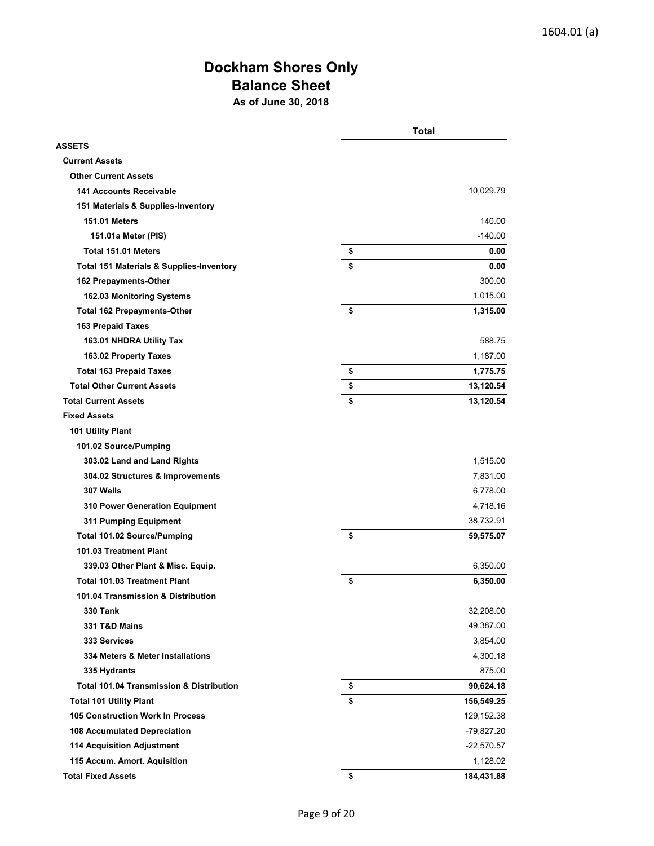## **Dockham Shores Only Balance Sheet As of June 30, 2018**

|                                                     | <b>Total</b>     |
|-----------------------------------------------------|------------------|
| <b>ASSETS</b>                                       |                  |
| <b>Current Assets</b>                               |                  |
| <b>Other Current Assets</b>                         |                  |
| <b>141 Accounts Receivable</b>                      | 10,029.79        |
| 151 Materials & Supplies-Inventory                  |                  |
| <b>151.01 Meters</b>                                | 140.00           |
| 151.01a Meter (PIS)                                 | $-140.00$        |
| Total 151.01 Meters                                 | \$<br>0.00       |
| <b>Total 151 Materials &amp; Supplies-Inventory</b> | \$<br>0.00       |
| 162 Prepayments-Other                               | 300.00           |
| 162.03 Monitoring Systems                           | 1,015.00         |
| <b>Total 162 Prepayments-Other</b>                  | \$<br>1,315.00   |
| <b>163 Prepaid Taxes</b>                            |                  |
| 163.01 NHDRA Utility Tax                            | 588.75           |
| 163.02 Property Taxes                               | 1,187.00         |
| <b>Total 163 Prepaid Taxes</b>                      | \$<br>1,775.75   |
| <b>Total Other Current Assets</b>                   | \$<br>13,120.54  |
| <b>Total Current Assets</b>                         | \$<br>13,120.54  |
| <b>Fixed Assets</b>                                 |                  |
| 101 Utility Plant                                   |                  |
| 101.02 Source/Pumping                               |                  |
| 303.02 Land and Land Rights                         | 1,515.00         |
| 304.02 Structures & Improvements                    | 7,831.00         |
| 307 Wells                                           | 6,778.00         |
| 310 Power Generation Equipment                      | 4,718.16         |
| 311 Pumping Equipment                               | 38,732.91        |
| <b>Total 101.02 Source/Pumping</b>                  | \$<br>59,575.07  |
| 101.03 Treatment Plant                              |                  |
| 339.03 Other Plant & Misc. Equip.                   | 6,350.00         |
| <b>Total 101.03 Treatment Plant</b>                 | \$<br>6,350.00   |
| 101.04 Transmission & Distribution                  |                  |
| <b>330 Tank</b>                                     | 32,208.00        |
| 331 T&D Mains                                       | 49,387.00        |
| 333 Services                                        | 3,854.00         |
| 334 Meters & Meter Installations                    | 4,300.18         |
| 335 Hydrants                                        | 875.00           |
| <b>Total 101.04 Transmission &amp; Distribution</b> | \$<br>90,624.18  |
| <b>Total 101 Utility Plant</b>                      | \$<br>156,549.25 |
| 105 Construction Work In Process                    | 129,152.38       |
| 108 Accumulated Depreciation                        | $-79,827.20$     |
| <b>114 Acquisition Adjustment</b>                   | $-22,570.57$     |
| 115 Accum. Amort. Aquisition                        | 1,128.02         |
| <b>Total Fixed Assets</b>                           | \$<br>184,431.88 |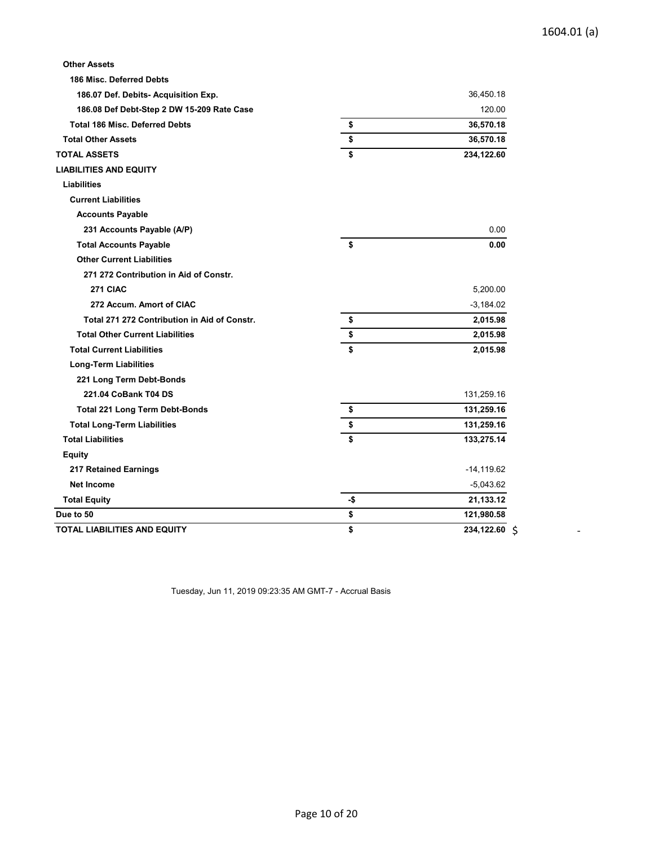## 1604.01 (a)

| <b>Other Assets</b>                          |     |               |
|----------------------------------------------|-----|---------------|
| 186 Misc. Deferred Debts                     |     |               |
| 186.07 Def. Debits- Acquisition Exp.         |     | 36,450.18     |
| 186.08 Def Debt-Step 2 DW 15-209 Rate Case   |     | 120.00        |
| <b>Total 186 Misc. Deferred Debts</b>        | \$  | 36,570.18     |
| <b>Total Other Assets</b>                    | \$  | 36,570.18     |
| <b>TOTAL ASSETS</b>                          | \$  | 234,122.60    |
| <b>LIABILITIES AND EQUITY</b>                |     |               |
| <b>Liabilities</b>                           |     |               |
| <b>Current Liabilities</b>                   |     |               |
| <b>Accounts Payable</b>                      |     |               |
| 231 Accounts Payable (A/P)                   |     | 0.00          |
| <b>Total Accounts Payable</b>                | \$  | 0.00          |
| <b>Other Current Liabilities</b>             |     |               |
| 271 272 Contribution in Aid of Constr.       |     |               |
| 271 CIAC                                     |     | 5,200.00      |
| 272 Accum. Amort of CIAC                     |     | $-3,184.02$   |
| Total 271 272 Contribution in Aid of Constr. | \$  | 2,015.98      |
| <b>Total Other Current Liabilities</b>       | \$  | 2,015.98      |
| <b>Total Current Liabilities</b>             | \$  | 2,015.98      |
| <b>Long-Term Liabilities</b>                 |     |               |
| 221 Long Term Debt-Bonds                     |     |               |
| 221.04 CoBank T04 DS                         |     | 131,259.16    |
| <b>Total 221 Long Term Debt-Bonds</b>        | \$  | 131,259.16    |
| <b>Total Long-Term Liabilities</b>           | \$  | 131,259.16    |
| <b>Total Liabilities</b>                     | \$  | 133,275.14    |
| <b>Equity</b>                                |     |               |
| <b>217 Retained Earnings</b>                 |     | $-14, 119.62$ |
| <b>Net Income</b>                            |     | $-5,043.62$   |
| <b>Total Equity</b>                          | -\$ | 21,133.12     |
| Due to 50                                    | \$  | 121,980.58    |
| <b>TOTAL LIABILITIES AND EQUITY</b>          | \$  | 234,122.60 \$ |

Tuesday, Jun 11, 2019 09:23:35 AM GMT-7 - Accrual Basis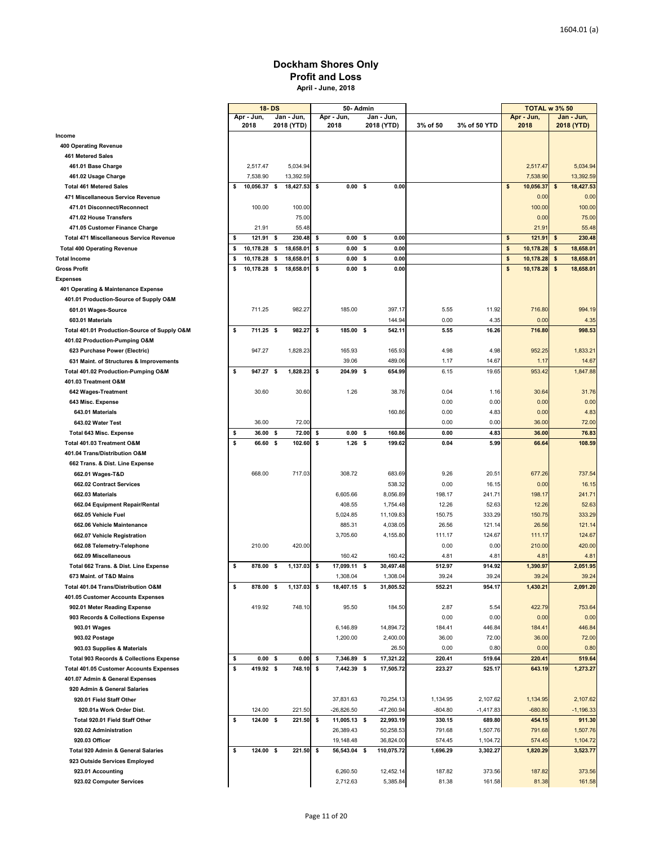#### **Dockham Shores Only Profit and Loss April - June, 2018**

|                                                          |         | 18 DS              |                 | 50- Admin |                    |    |                          |           |              |                    |                    | <b>TOTAL w 3% 50</b> |                 |  |
|----------------------------------------------------------|---------|--------------------|-----------------|-----------|--------------------|----|--------------------------|-----------|--------------|--------------------|--------------------|----------------------|-----------------|--|
|                                                          |         | Apr - Jun,<br>2018 | Jan Jun,        |           | Apr - Jun,<br>2018 |    | Jan - Jun,<br>2018 (YTD) | 3% of 50  | 3% of 50 YTD |                    | Apr - Jun,<br>2018 |                      | Jan - Jun,      |  |
|                                                          |         |                    | 2018 (YTD)      |           |                    |    |                          |           |              |                    |                    |                      | 2018 (YTD)      |  |
| Income                                                   |         |                    |                 |           |                    |    |                          |           |              |                    |                    |                      |                 |  |
| 400 Operating Revenue                                    |         |                    |                 |           |                    |    |                          |           |              |                    |                    |                      |                 |  |
| 461 Metered Sales                                        |         | 2,517.47           | 5,034.94        |           |                    |    |                          |           |              |                    | 2,517.47           |                      | 5,034.94        |  |
| 461.01 Base Charge<br>461.02 Usage Charge                |         | 7,538.90           | 13,392.59       |           |                    |    |                          |           |              |                    | 7,538.90           |                      | 13,392.59       |  |
|                                                          |         |                    |                 |           |                    |    | 0.00                     |           |              |                    |                    | \$                   |                 |  |
| <b>Total 461 Metered Sales</b>                           | \$      | 10,056.37 \$       | 18,427.53       | \$        | $0.00\quad$ \$     |    |                          |           |              | \$                 | 10,056.37          |                      | 18,427.53       |  |
| 471 Miscellaneous Service Revenue                        |         |                    |                 |           |                    |    |                          |           |              |                    | 0.00               |                      | 0.00            |  |
| 471.01 Disconnect/Reconnect                              |         | 100.00             | 100.00          |           |                    |    |                          |           |              |                    | 100.00<br>0.00     |                      | 100.00<br>75.00 |  |
| 471.02 House Transfers<br>471.05 Customer Finance Charge |         |                    | 75.00           |           |                    |    |                          |           |              |                    |                    |                      |                 |  |
|                                                          |         | 21.91              | 55.48           |           |                    |    |                          |           |              |                    | 21.91              |                      | 55.48           |  |
| Total 471 Miscellaneous Service Revenue                  | \$      | 121.91 \$          | 230.48          | -\$       | $0.00\quad$ \$     |    | 0.00                     |           |              | \$                 | 121.91             | \$                   | 230.48          |  |
| <b>Total 400 Operating Revenue</b>                       | \$<br>Ś | 10,178.28          | \$<br>18,658.01 | \$        | 0.00               | \$ | 0.00                     |           |              | \$<br>$\mathbf{s}$ | 10,178.28          | \$                   | 18,658.01       |  |
| <b>Total Income</b>                                      |         | 10,178.28          | \$<br>18,658.01 | \$        | 0.00               | \$ | 0.00                     |           |              |                    | 10,178.28          | \$                   | 18,658.01       |  |
| <b>Gross Profit</b>                                      | \$      | 10,178.28 \$       | 18,658.01       | \$        | $0.00\quad$ \$     |    | 0.00                     |           |              | $\boldsymbol{s}$   | 10,178.28          | \$                   | 18,658.01       |  |
| <b>Expenses</b>                                          |         |                    |                 |           |                    |    |                          |           |              |                    |                    |                      |                 |  |
| 401 Operating & Maintenance Expense                      |         |                    |                 |           |                    |    |                          |           |              |                    |                    |                      |                 |  |
| 401.01 Production-Source of Supply O&M                   |         |                    |                 |           |                    |    |                          |           |              |                    |                    |                      |                 |  |
| 601.01 Wages-Source                                      |         | 711.25             | 982.27          |           | 185.00             |    | 397.17                   | 5.55      | 11.92        |                    | 716.80             |                      | 994.19          |  |
| 603.01 Materials                                         |         |                    |                 |           |                    |    | 144.94                   | 0.00      | 4.35         |                    | 0.00               |                      | 4.35            |  |
| Total 401.01 Production-Source of Supply O&M             | \$      | 711.25 \$          | 982.27          | \$        | 185.00 \$          |    | 542.11                   | 5.55      | 16.26        |                    | 716.80             |                      | 998.53          |  |
| 401.02 Production-Pumping O&M                            |         |                    |                 |           |                    |    |                          |           |              |                    |                    |                      |                 |  |
| 623 Purchase Power (Electric)                            |         | 947.27             | 1,828.23        |           | 165.93             |    | 165.93                   | 4.98      | 4.98         |                    | 952.25             |                      | 1,833.21        |  |
| 631 Maint. of Structures & Improvements                  |         |                    |                 |           | 39.06              |    | 489.06                   | 1.17      | 14.67        |                    | 1.17               |                      | 14.67           |  |
| Total 401.02 Production-Pumping O&M                      | \$      | 947.27 \$          | 1,828.23        | \$        | 204.99 \$          |    | 654.99                   | 6.15      | 19.65        |                    | 953.42             |                      | 1,847.88        |  |
| 401.03 Treatment O&M                                     |         |                    |                 |           |                    |    |                          |           |              |                    |                    |                      |                 |  |
| 642 Wages-Treatment                                      |         | 30.60              | 30.60           |           | 1.26               |    | 38.76                    | 0.04      | 1.16         |                    | 30.64              |                      | 31.76           |  |
| 643 Misc. Expense                                        |         |                    |                 |           |                    |    |                          | 0.00      | 0.00         |                    | 0.00               |                      | 0.00            |  |
| 643.01 Materials                                         |         |                    |                 |           |                    |    | 160.86                   | 0.00      | 4.83         |                    | 0.00               |                      | 4.83            |  |
| 643.02 Water Test                                        |         | 36.00              | 72.00           |           |                    |    |                          | 0.00      | 0.00         |                    | 36.00              |                      | 72.00           |  |
| <b>Total 643 Misc. Expense</b>                           | \$      | 36.00 \$           | 72.00           | \$        | $0.00\quad$ \$     |    | 160.86                   | 0.00      | 4.83         |                    | 36.00              |                      | 76.83           |  |
| Total 401.03 Treatment O&M                               | \$      | 66.60 \$           | 102.60          | \$        | $1.26$ \$          |    | 199.62                   | 0.04      | 5.99         |                    | 66.64              |                      | 108.59          |  |
| 401.04 Trans/Distribution O&M                            |         |                    |                 |           |                    |    |                          |           |              |                    |                    |                      |                 |  |
| 662 Trans. & Dist. Line Expense                          |         |                    |                 |           |                    |    |                          |           |              |                    |                    |                      |                 |  |
| 662.01 Wages-T&D                                         |         | 668.00             | 717.03          |           | 308.72             |    | 683.69                   | 9.26      | 20.51        |                    | 677.26             |                      | 737.54          |  |
| 662.02 Contract Services                                 |         |                    |                 |           |                    |    | 538.32                   | 0.00      | 16.15        |                    | 0.00               |                      | 16.15           |  |
| 662.03 Materials                                         |         |                    |                 |           | 6,605.66           |    | 8,056.89                 | 198.17    | 241.71       |                    | 198.17             |                      | 241.71          |  |
| 662.04 Equipment Repair/Rental                           |         |                    |                 |           | 408.55             |    | 1,754.48                 | 12.26     | 52.63        |                    | 12.26              |                      | 52.63           |  |
| 662.05 Vehicle Fuel                                      |         |                    |                 |           | 5,024.85           |    | 11,109.83                | 150.75    | 333.29       |                    | 150.75             |                      | 333.29          |  |
| 662.06 Vehicle Maintenance                               |         |                    |                 |           | 885.31             |    | 4,038.05                 | 26.56     | 121.14       |                    | 26.56              |                      | 121.14          |  |
| 662.07 Vehicle Registration                              |         |                    |                 |           | 3,705.60           |    | 4,155.80                 | 111.17    | 124.67       |                    | 111.17             |                      | 124.67          |  |
| 662.08 Telemetry-Telephone                               |         | 210.00             | 420.00          |           |                    |    |                          | 0.00      | 0.00         |                    | 210.00             |                      | 420.00          |  |
| 662.09 Miscellaneous                                     |         |                    |                 |           | 160.42             |    | 160.42                   | 4.81      | 4.81         |                    | 4.81               |                      | 4.81            |  |
| Total 662 Trans. & Dist. Line Expense                    | \$      | 878.00             | \$<br>1,137.03  | \$        | 17,099.11 \$       |    | 30,497.48                | 512.97    | 914.92       |                    | 1,390.97           |                      | 2,051.95        |  |
| 673 Maint. of T&D Mains                                  |         |                    |                 |           | 1,308.04           |    | 1,308.04                 | 39.24     | 39.24        |                    | 39.24              |                      | 39.24           |  |
| Total 401.04 Trans/Distribution O&M                      |         | 878.00 \$          | 1,137.03        |           | 18,407.15 \$       |    | 31,805.52                | 552.21    | 954.1        |                    | 1,430.21           |                      | 2,091.20        |  |
| 401.05 Customer Accounts Expenses                        |         |                    |                 |           |                    |    |                          |           |              |                    |                    |                      |                 |  |
| 902.01 Meter Reading Expense                             |         | 419.92             | 748.10          |           | 95.50              |    | 184.50                   | 2.87      | 5.54         |                    | 422.79             |                      | 753.64          |  |
| 903 Records & Collections Expense                        |         |                    |                 |           |                    |    |                          | 0.00      | 0.00         |                    | 0.00               |                      | 0.00            |  |
| 903.01 Wages                                             |         |                    |                 |           | 6,146.89           |    | 14,894.72                | 184.41    | 446.84       |                    | 184.41             |                      | 446.84          |  |
| 903.02 Postage                                           |         |                    |                 |           | 1,200.00           |    | 2,400.00                 | 36.00     | 72.00        |                    | 36.00              |                      | 72.00           |  |
| 903.03 Supplies & Materials                              |         |                    |                 |           |                    |    | 26.50                    | 0.00      | 0.80         |                    | 0.00               |                      | 0.80            |  |
| <b>Total 903 Records &amp; Collections Expense</b>       | \$      | $0.00\quad$ \$     | 0.00            | -S        | 7,346.89 \$        |    | 17,321.22                | 220.41    | 519.64       |                    | 220.41             |                      | 519.64          |  |
| <b>Total 401.05 Customer Accounts Expenses</b>           | \$      | 419.92 \$          | 748.10          | -\$       | 7,442.39 \$        |    | 17,505.72                | 223.27    | 525.17       |                    | 643.19             |                      | 1,273.27        |  |
| 401.07 Admin & General Expenses                          |         |                    |                 |           |                    |    |                          |           |              |                    |                    |                      |                 |  |
| 920 Admin & General Salaries                             |         |                    |                 |           |                    |    |                          |           |              |                    |                    |                      |                 |  |
| 920.01 Field Staff Other                                 |         |                    |                 |           | 37,831.63          |    | 70,254.13                | 1,134.95  | 2,107.62     |                    | 1,134.95           |                      | 2,107.62        |  |
| 920.01a Work Order Dist.                                 |         | 124.00             | 221.50          |           | -26,826.50         |    | -47,260.94               | $-804.80$ | $-1,417.83$  |                    | $-680.80$          |                      | $-1,196.33$     |  |
| Total 920.01 Field Staff Other                           | \$      | 124.00 \$          | 221.50          | \$        | 11,005.13 \$       |    | 22,993.19                | 330.15    | 689.80       |                    | 454.15             |                      | 911.30          |  |
| 920.02 Administration                                    |         |                    |                 |           | 26,389.43          |    | 50,258.53                | 791.68    | 1,507.76     |                    | 791.68             |                      | 1,507.76        |  |
| 920.03 Officer                                           |         |                    |                 |           | 19,148.48          |    | 36,824.00                | 574.45    | 1,104.72     |                    | 574.45             |                      | 1,104.72        |  |
| Total 920 Admin & General Salaries                       | \$      | 124.00 \$          | 221.50          | - \$      | 56,543.04 \$       |    | 110,075.72               | 1,696.29  | 3,302.27     |                    | 1,820.29           |                      | 3,523.77        |  |
| 923 Outside Services Employed                            |         |                    |                 |           |                    |    |                          |           |              |                    |                    |                      |                 |  |
| 923.01 Accounting                                        |         |                    |                 |           | 6,260.50           |    | 12,452.14                | 187.82    | 373.56       |                    | 187.82             |                      | 373.56          |  |
| 923.02 Computer Services                                 |         |                    |                 |           | 2,712.63           |    | 5,385.84                 | 81.38     | 161.58       |                    | 81.38              |                      | 161.58          |  |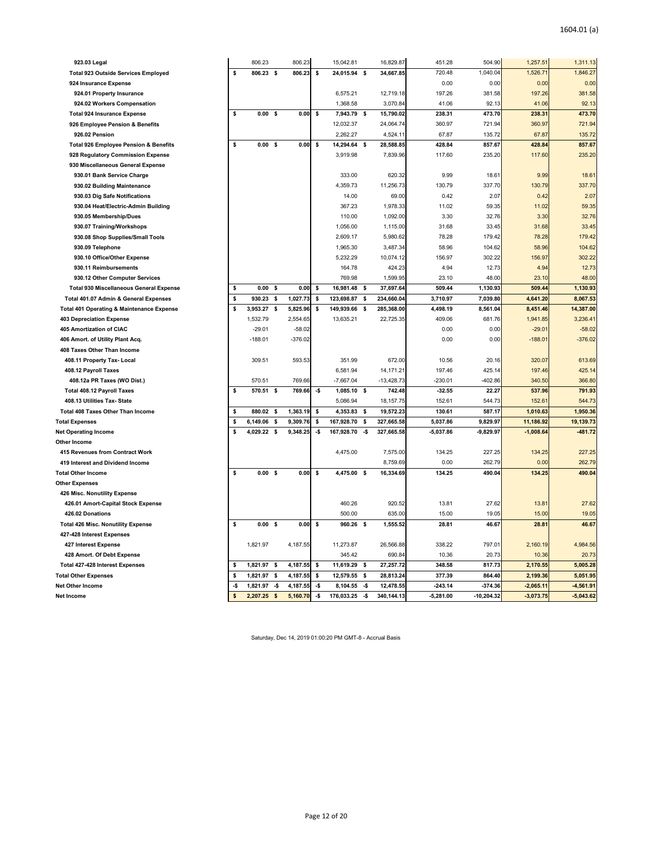| 923.03 Legal                                     |     | 806.23         |              | 806.23    |     | 15,042.81    |     | 16,829.87    | 451.28      | 504.90         | 1,257.51    | 1,311.13    |
|--------------------------------------------------|-----|----------------|--------------|-----------|-----|--------------|-----|--------------|-------------|----------------|-------------|-------------|
| <b>Total 923 Outside Services Employed</b>       | \$  | 806.23 \$      |              | 806.23    | \$  | 24,015.94 \$ |     | 34,667.85    | 720.48      | 1,040.04       | 1,526.7     | 1,846.2     |
| 924 Insurance Expense                            |     |                |              |           |     |              |     |              | 0.00        | 0.00           | 0.00        | 0.00        |
| 924.01 Property Insurance                        |     |                |              |           |     | 6,575.21     |     | 12,719.18    | 197.26      | 381.58         | 197.26      | 381.58      |
| 924.02 Workers Compensation                      |     |                |              |           |     | 1,368.58     |     | 3,070.84     | 41.06       | 92.13          | 41.06       | 92.13       |
| <b>Total 924 Insurance Expense</b>               | \$  | 0.00 S         |              | 0.00      | \$  | 7,943.79 \$  |     | 15,790.02    | 238.31      | 473.70         | 238.31      | 473.70      |
| 926 Employee Pension & Benefits                  |     |                |              |           |     | 12,032.37    |     | 24,064.74    | 360.97      | 721.94         | 360.97      | 721.94      |
| 926.02 Pension                                   |     |                |              |           |     | 2,262.27     |     | 4,524.1      | 67.87       | 135.72         | 67.87       | 135.72      |
| <b>Total 926 Employee Pension &amp; Benefits</b> | \$  | 0.00           | -S           | 0.00      | \$  | 14,294.64    | \$  | 28,588.85    | 428.84      | 857.67         | 428.84      | 857.67      |
| 928 Regulatory Commission Expense                |     |                |              |           |     | 3,919.98     |     | 7,839.96     | 117.60      | 235.20         | 117.60      | 235.20      |
| 930 Miscellaneous General Expense                |     |                |              |           |     |              |     |              |             |                |             |             |
| 930.01 Bank Service Charge                       |     |                |              |           |     | 333.00       |     | 620.32       | 9.99        | $18.6^{\circ}$ | 9.99        | 18.6        |
| 930.02 Building Maintenance                      |     |                |              |           |     | 4,359.73     |     | 11,256.73    | 130.79      | 337.70         | 130.79      | 337.70      |
| 930.03 Dig Safe Notifications                    |     |                |              |           |     | 14.00        |     | 69.00        | 0.42        | 2.07           | 0.42        | 2.07        |
| 930.04 Heat/Electric-Admin Building              |     |                |              |           |     | 367.23       |     | 1,978.33     | 11.02       | 59.35          | 11.02       | 59.35       |
| 930.05 Membership/Dues                           |     |                |              |           |     | 110.00       |     | 1,092.00     | 3.30        | 32.76          | 3.30        | 32.76       |
| 930.07 Training/Workshops                        |     |                |              |           |     | 1,056.00     |     | 1,115.00     | 31.68       | 33.45          | 31.68       | 33.45       |
| 930.08 Shop Supplies/Small Tools                 |     |                |              |           |     | 2,609.17     |     | 5,980.62     | 78.28       | 179.42         | 78.28       | 179.42      |
| 930.09 Telephone                                 |     |                |              |           |     | 1,965.30     |     | 3,487.34     | 58.96       | 104.62         | 58.96       | 104.62      |
| 930.10 Office/Other Expense                      |     |                |              |           |     | 5,232.29     |     | 10,074.12    | 156.97      | 302.22         | 156.97      | 302.22      |
| 930.11 Reimbursements                            |     |                |              |           |     | 164.78       |     | 424.2        | 4.94        | 12.73          | 4.94        | 12.73       |
| 930.12 Other Computer Services                   |     |                |              |           |     | 769.98       |     | 1,599.95     | 23.10       | 48.00          | 23.10       | 48.00       |
| <b>Total 930 Miscellaneous General Expense</b>   | \$  | $0.00\quad$ \$ |              | 0.00      | \$  | 16,981.48    | \$  | 37,697.6     | 509.44      | 1,130.93       | 509.44      | 1,130.93    |
| Total 401.07 Admin & General Expenses            | \$  | 930.23         | \$           | 1,027.73  | \$  | 123,698.87   | \$  | 234,660.04   | 3,710.97    | 7,039.80       | 4,641.20    | 8,067.53    |
| Total 401 Operating & Maintenance Expense        | \$  | 3,953.27 \$    |              | 5,825.96  | \$  | 149,939.66   | \$  | 285,368.00   | 4,498.19    | 8,561.04       | 8,451.46    | 14,387.00   |
| 403 Depreciation Expense                         |     | 1,532.79       |              | 2,554.6   |     | 13,635.21    |     | 22,725.35    | 409.06      | 681.76         | 1,941.85    | 3,236.4     |
| <b>405 Amortization of CIAC</b>                  |     | $-29.01$       |              | $-58.02$  |     |              |     |              | 0.00        | 0.00           | $-29.0$     | $-58.02$    |
| 406 Amort. of Utility Plant Acq.                 |     | $-188.01$      |              | $-376.02$ |     |              |     |              | 0.00        | 0.00           | $-188.0$    | $-376.02$   |
| 408 Taxes Other Than Income                      |     |                |              |           |     |              |     |              |             |                |             |             |
| 408.11 Property Tax- Local                       |     | 309.51         |              | 593.53    |     | 351.99       |     | 672.00       | 10.56       | 20.16          | 320.07      | 613.69      |
| 408.12 Payroll Taxes                             |     |                |              |           |     | 6,581.94     |     | 14, 171.2    | 197.46      | 425.14         | 197.46      | 425.14      |
| 408.12a PR Taxes (WO Dist.)                      |     | 570.51         |              | 769.66    |     | $-7,667.04$  |     | $-13,428.73$ | $-230.01$   | $-402.86$      | 340.50      | 366,80      |
| Total 408.12 Payroll Taxes                       | \$  | 570.51 \$      |              | 769.66    | -\$ | 1,085.10 \$  |     | 742.48       | $-32.55$    | 22.27          | 537.96      | 791.93      |
| 408.13 Utilities Tax- State                      |     |                |              |           |     | 5,086.94     |     | 18, 157.75   | 152.61      | 544.73         | 152.6'      | 544.73      |
| Total 408 Taxes Other Than Income                | \$  | 880.02 \$      |              | 1,363.19  | \$  | 4,353.83     | \$  | 19,572.23    | 130.61      | 587.17         | 1,010.63    | 1,950.36    |
| <b>Total Expenses</b>                            | \$  | 6,149.06       | $\mathbf{s}$ | 9,309.76  | \$  | 167,928.70   | \$  | 327,665.58   | 5,037.86    | 9,829.97       | 11,186.92   | 19,139.73   |
| <b>Net Operating Income</b>                      | \$  | 4,029.22 \$    |              | 9,348.25  | -\$ | 167,928.70   | -\$ | 327,665.58   | $-5,037.86$ | $-9,829.97$    | $-1,008.64$ | $-481.72$   |
| Other Income                                     |     |                |              |           |     |              |     |              |             |                |             |             |
| 415 Revenues from Contract Work                  |     |                |              |           |     | 4,475.00     |     | 7,575.00     | 134.25      | 227.25         | 134.25      | 227.25      |
| 419 Interest and Dividend Income                 |     |                |              |           |     |              |     | 8,759.69     | 0.00        | 262.79         | 0.00        | 262.79      |
| <b>Total Other Income</b>                        | \$  | 0.00 S         |              | 0.00      | \$  | 4,475.00     | \$  | 16,334.69    | 134.25      | 490.04         | 134.25      | 490.04      |
| <b>Other Expenses</b>                            |     |                |              |           |     |              |     |              |             |                |             |             |
| 426 Misc. Nonutility Expense                     |     |                |              |           |     |              |     |              |             |                |             |             |
| 426.01 Amort-Capital Stock Expense               |     |                |              |           |     | 460.26       |     | 920.52       | 13.81       | 27.62          | 13.81       | 27.62       |
| 426.02 Donations                                 |     |                |              |           |     | 500.00       |     | 635.00       | 15.00       | 19.05          | 15.00       | 19.05       |
| <b>Total 426 Misc. Nonutility Expense</b>        | \$  | $0.00-5$       |              | 0.00      | \$  | 960.26 \$    |     | 1,555.52     | 28.81       | 46.67          | 28.81       | 46.67       |
| 427-428 Interest Expenses                        |     |                |              |           |     |              |     |              |             |                |             |             |
| 427 Interest Expense                             |     | 1,821.97       |              | 4,187.55  |     | 11,273.87    |     | 26,566.88    | 338.22      | 797.01         | 2,160.19    | 4,984.56    |
| 428 Amort. Of Debt Expense                       |     |                |              |           |     | 345.42       |     | 690.84       | 10.36       | 20.73          | 10.36       | 20.73       |
| Total 427-428 Interest Expenses                  | \$  | 1,821.97       | -S           | 4,187.55  | \$  | 11,619.29    | \$  | 27,257.7     | 348.58      | 817.73         | 2,170.55    | 5,005.28    |
| <b>Total Other Expenses</b>                      | \$  | 1,821.97       | \$           | 4,187.55  | \$  | 12,579.55    | \$  | 28,813.24    | 377.39      | 864.40         | 2,199.36    | 5,051.95    |
| Net Other Income                                 | -\$ | 1,821.97       | -\$          | 4,187.55  | -\$ | 8,104.55     | -\$ | 12,478.55    | $-243.14$   | $-374.36$      | $-2,065.11$ | $-4,561.91$ |
| Net Income                                       | \$  | 2,207.25       | $\mathbf{s}$ | 5,160.70  | -\$ | 176,033.25   | -\$ | 340,144.13   | $-5,281.00$ | $-10,204.32$   | $-3,073.75$ | $-5,043.62$ |

Saturday, Dec 14, 2019 01:00:20 PM GMT-8 - Accrual Basis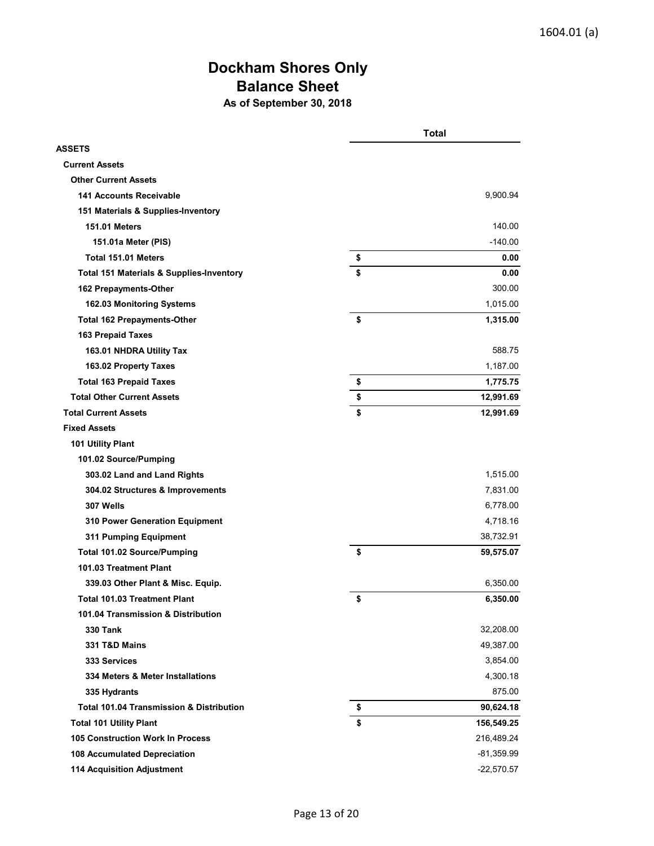# **Dockham Shores Only Balance Sheet As of September 30, 2018**

|                                                     | <b>Total</b> |              |  |  |  |
|-----------------------------------------------------|--------------|--------------|--|--|--|
| <b>ASSETS</b>                                       |              |              |  |  |  |
| <b>Current Assets</b>                               |              |              |  |  |  |
| <b>Other Current Assets</b>                         |              |              |  |  |  |
| <b>141 Accounts Receivable</b>                      |              | 9,900.94     |  |  |  |
| 151 Materials & Supplies-Inventory                  |              |              |  |  |  |
| <b>151.01 Meters</b>                                |              | 140.00       |  |  |  |
| 151.01a Meter (PIS)                                 |              | $-140.00$    |  |  |  |
| Total 151.01 Meters                                 | \$           | 0.00         |  |  |  |
| <b>Total 151 Materials &amp; Supplies-Inventory</b> | \$           | 0.00         |  |  |  |
| 162 Prepayments-Other                               |              | 300.00       |  |  |  |
| 162.03 Monitoring Systems                           |              | 1,015.00     |  |  |  |
| <b>Total 162 Prepayments-Other</b>                  | \$           | 1,315.00     |  |  |  |
| <b>163 Prepaid Taxes</b>                            |              |              |  |  |  |
| 163.01 NHDRA Utility Tax                            |              | 588.75       |  |  |  |
| 163.02 Property Taxes                               |              | 1,187.00     |  |  |  |
| <b>Total 163 Prepaid Taxes</b>                      | \$           | 1,775.75     |  |  |  |
| <b>Total Other Current Assets</b>                   | \$           | 12,991.69    |  |  |  |
| <b>Total Current Assets</b>                         | \$           | 12,991.69    |  |  |  |
| <b>Fixed Assets</b>                                 |              |              |  |  |  |
| 101 Utility Plant                                   |              |              |  |  |  |
| 101.02 Source/Pumping                               |              |              |  |  |  |
| 303.02 Land and Land Rights                         |              | 1,515.00     |  |  |  |
| 304.02 Structures & Improvements                    |              | 7,831.00     |  |  |  |
| 307 Wells                                           |              | 6,778.00     |  |  |  |
| 310 Power Generation Equipment                      |              | 4,718.16     |  |  |  |
| 311 Pumping Equipment                               |              | 38,732.91    |  |  |  |
| <b>Total 101.02 Source/Pumping</b>                  | \$           | 59,575.07    |  |  |  |
| 101.03 Treatment Plant                              |              |              |  |  |  |
| 339.03 Other Plant & Misc. Equip.                   |              | 6,350.00     |  |  |  |
| <b>Total 101.03 Treatment Plant</b>                 | \$           | 6,350.00     |  |  |  |
| 101.04 Transmission & Distribution                  |              |              |  |  |  |
| <b>330 Tank</b>                                     |              | 32,208.00    |  |  |  |
| 331 T&D Mains                                       |              | 49,387.00    |  |  |  |
| 333 Services                                        |              | 3,854.00     |  |  |  |
| 334 Meters & Meter Installations                    |              | 4,300.18     |  |  |  |
| 335 Hydrants                                        |              | 875.00       |  |  |  |
| <b>Total 101.04 Transmission &amp; Distribution</b> | \$           | 90,624.18    |  |  |  |
| <b>Total 101 Utility Plant</b>                      | \$           | 156,549.25   |  |  |  |
| <b>105 Construction Work In Process</b>             |              | 216,489.24   |  |  |  |
| 108 Accumulated Depreciation                        |              | $-81,359.99$ |  |  |  |
| <b>114 Acquisition Adjustment</b>                   |              | $-22,570.57$ |  |  |  |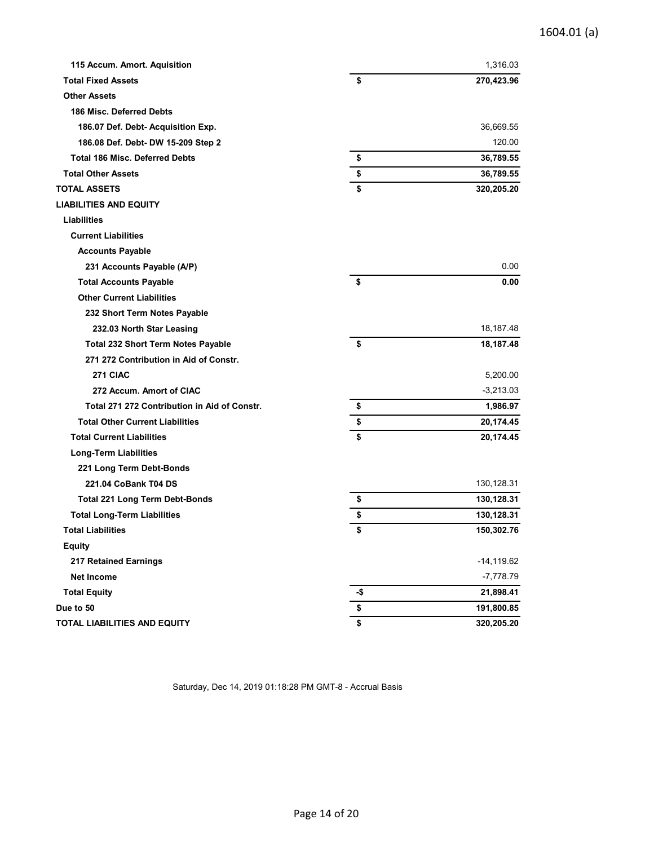## 1604.01 (a)

| 115 Accum. Amort. Aquisition                 |     | 1,316.03      |
|----------------------------------------------|-----|---------------|
| <b>Total Fixed Assets</b>                    | \$  | 270,423.96    |
| <b>Other Assets</b>                          |     |               |
| 186 Misc. Deferred Debts                     |     |               |
| 186.07 Def. Debt- Acquisition Exp.           |     | 36,669.55     |
| 186.08 Def. Debt- DW 15-209 Step 2           |     | 120.00        |
| <b>Total 186 Misc. Deferred Debts</b>        | \$  | 36,789.55     |
| <b>Total Other Assets</b>                    | \$  | 36,789.55     |
| <b>TOTAL ASSETS</b>                          | \$  | 320,205.20    |
| <b>LIABILITIES AND EQUITY</b>                |     |               |
| <b>Liabilities</b>                           |     |               |
| <b>Current Liabilities</b>                   |     |               |
| <b>Accounts Payable</b>                      |     |               |
| 231 Accounts Payable (A/P)                   |     | 0.00          |
| <b>Total Accounts Payable</b>                | \$  | 0.00          |
| <b>Other Current Liabilities</b>             |     |               |
| 232 Short Term Notes Payable                 |     |               |
| 232.03 North Star Leasing                    |     | 18,187.48     |
| <b>Total 232 Short Term Notes Payable</b>    | \$  | 18,187.48     |
| 271 272 Contribution in Aid of Constr.       |     |               |
| 271 CIAC                                     |     | 5,200.00      |
| 272 Accum. Amort of CIAC                     |     | $-3,213.03$   |
| Total 271 272 Contribution in Aid of Constr. | \$  | 1,986.97      |
| <b>Total Other Current Liabilities</b>       | \$  | 20,174.45     |
| <b>Total Current Liabilities</b>             | \$  | 20,174.45     |
| <b>Long-Term Liabilities</b>                 |     |               |
| 221 Long Term Debt-Bonds                     |     |               |
| 221.04 CoBank T04 DS                         |     | 130, 128.31   |
| <b>Total 221 Long Term Debt-Bonds</b>        | \$  | 130,128.31    |
| <b>Total Long-Term Liabilities</b>           | \$  | 130,128.31    |
| <b>Total Liabilities</b>                     | \$  | 150,302.76    |
| <b>Equity</b>                                |     |               |
| <b>217 Retained Earnings</b>                 |     | $-14, 119.62$ |
| <b>Net Income</b>                            |     | $-7,778.79$   |
| <b>Total Equity</b>                          | -\$ | 21,898.41     |
| Due to 50                                    | \$  | 191,800.85    |
| TOTAL LIABILITIES AND EQUITY                 | \$  | 320,205.20    |

Saturday, Dec 14, 2019 01:18:28 PM GMT-8 - Accrual Basis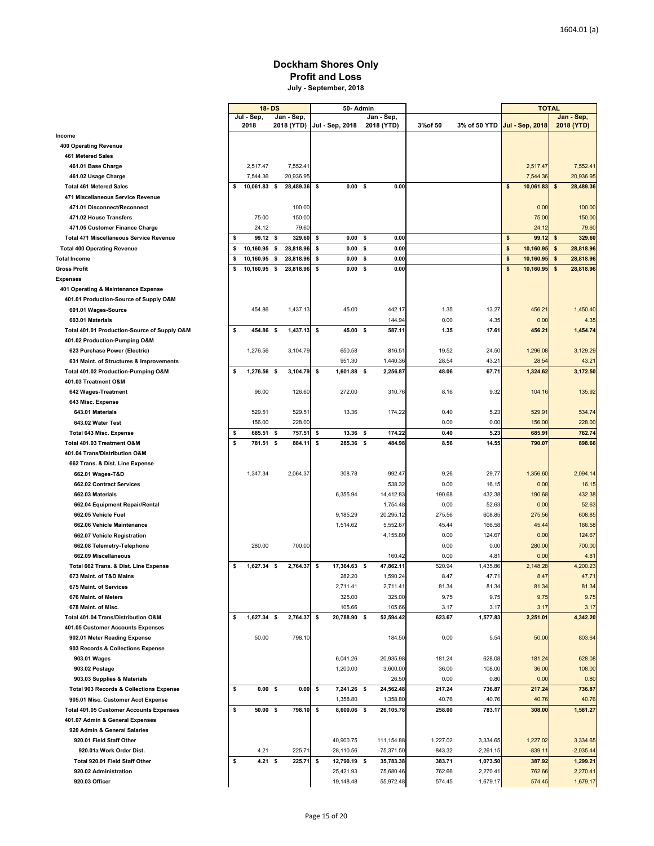### **Dockham Shores Only Profit and Loss July - September, 2018**

|                                                    | 18 DS              |                          |     | 50 Admin          |      |                          |           |              | TOTAL                |                          |
|----------------------------------------------------|--------------------|--------------------------|-----|-------------------|------|--------------------------|-----------|--------------|----------------------|--------------------------|
|                                                    | Jul - Sep,<br>2018 | Jan - Sep,<br>2018 (YTD) |     | Jul - Sep, 2018   |      | Jan - Sep,<br>2018 (YTD) | 3%of 50   | 3% of 50 YTD | <b>Jul</b> Sep, 2018 | Jan - Sep,<br>2018 (YTD) |
| Income                                             |                    |                          |     |                   |      |                          |           |              |                      |                          |
| 400 Operating Revenue                              |                    |                          |     |                   |      |                          |           |              |                      |                          |
| <b>461 Metered Sales</b>                           |                    |                          |     |                   |      |                          |           |              |                      |                          |
| 461.01 Base Charge                                 | 2,517.47           | 7,552.41                 |     |                   |      |                          |           |              | 2,517.47             | 7,552.41                 |
| 461.02 Usage Charge                                | 7,544.36           | 20,936.95                |     |                   |      |                          |           |              | 7,544.36             | 20,936.95                |
| <b>Total 461 Metered Sales</b>                     | \$<br>10,061.83 \$ | 28,489.36                | -\$ | 0.00 <sup>5</sup> |      | 0.00                     |           |              | \$<br>10,061.83      | \$<br>28,489.36          |
| 471 Miscellaneous Service Revenue                  |                    |                          |     |                   |      |                          |           |              |                      |                          |
| 471.01 Disconnect/Reconnect                        |                    | 100.00                   |     |                   |      |                          |           |              | 0.00                 | 100.00                   |
| 471.02 House Transfers                             | 75.00              | 150.00                   |     |                   |      |                          |           |              | 75.00                | 150.00                   |
| 471.05 Customer Finance Charge                     | 24.12              | 79.60                    |     |                   |      |                          |           |              | 24.12                | 79.60                    |
| <b>Total 471 Miscellaneous Service Revenue</b>     | \$<br>99.12 \$     | 329.60                   | \$  | $0.00$ \$         |      | 0.00                     |           |              | \$<br>99.12          | \$<br>329.60             |
| <b>Total 400 Operating Revenue</b>                 | \$<br>10,160.95 \$ | 28,818.96                | \$  | $0.00\frac{1}{2}$ |      | 0.00                     |           |              | \$<br>10,160.95      | \$<br>28,818.96          |
| <b>Total Income</b>                                | \$<br>10,160.95    | \$<br>28,818.96          | \$  | 0.00              | \$   | 0.00                     |           |              | \$<br>10,160.95      | \$<br>28,818.96          |
| <b>Gross Profit</b>                                | \$<br>10,160.95 \$ | 28,818.96                | \$  | $0.00\quad$ \$    |      | 0.00                     |           |              | \$<br>10,160.95      | \$<br>28,818.96          |
| <b>Expenses</b>                                    |                    |                          |     |                   |      |                          |           |              |                      |                          |
| 401 Operating & Maintenance Expense                |                    |                          |     |                   |      |                          |           |              |                      |                          |
| 401.01 Production-Source of Supply O&M             |                    |                          |     |                   |      |                          |           |              |                      |                          |
| 601.01 Wages-Source                                | 454.86             | 1,437.13                 |     | 45.00             |      | 442.17                   | 1.35      | 13.27        | 456.21               | 1,450.40                 |
| 603.01 Materials                                   |                    |                          |     |                   |      | 144.94                   | 0.00      | 4.35         | 0.00                 | 4.35                     |
| Total 401.01 Production-Source of Supply O&M       | \$<br>454.86 \$    | 1,437.13                 | \$  | 45.00 \$          |      | 587.11                   | 1.35      | 17.61        | 456.21               | 1,454.74                 |
| 401.02 Production-Pumping O&M                      |                    |                          |     |                   |      |                          |           |              |                      |                          |
| 623 Purchase Power (Electric)                      | 1,276.56           | 3,104.79                 |     | 650.58            |      | 816.51                   | 19.52     | 24.50        | 1,296.08             | 3,129.29                 |
| 631 Maint. of Structures & Improvements            |                    |                          |     | 951.30            |      | 1,440.36                 | 28.54     | 43.21        | 28.54                | 43.21                    |
| Total 401.02 Production-Pumping O&M                | \$<br>1,276.56 \$  | 3,104.79                 | -\$ | 1,601.88 \$       |      | 2,256.87                 | 48.06     | 67.71        | 1,324.62             | 3,172.50                 |
| 401.03 Treatment O&M                               |                    |                          |     |                   |      |                          |           |              |                      |                          |
| 642 Wages-Treatment                                | 96.00              | 126.60                   |     | 272.00            |      | 310.76                   | 8.16      | 9.32         | 104.16               | 135.92                   |
| 643 Misc. Expense                                  |                    |                          |     |                   |      |                          |           |              |                      |                          |
| 643.01 Materials                                   | 529.51             | 529.51                   |     | 13.36             |      | 174.22                   | 0.40      | 5.23         | 529.91               | 534.74                   |
| 643.02 Water Test                                  | 156.00             | 228.00                   |     |                   |      |                          | 0.00      | 0.00         | 156.00               | 228.00                   |
| <b>Total 643 Misc. Expense</b>                     | \$<br>685.51 \$    | 757.51                   | \$  | 13.36             | \$   | 174.22                   | 0.40      | 5.23         | 685.91               | 762.74                   |
| Total 401.03 Treatment O&M                         | \$<br>781.51 \$    | 884.11                   | \$  | 285.36 \$         |      | 484.98                   | 8.56      | 14.55        | 790.07               | 898.66                   |
| 401.04 Trans/Distribution O&M                      |                    |                          |     |                   |      |                          |           |              |                      |                          |
| 662 Trans. & Dist. Line Expense                    |                    |                          |     |                   |      |                          |           |              |                      |                          |
| 662.01 Wages-T&D                                   | 1,347.34           | 2,064.37                 |     | 308.78            |      | 992.47                   | 9.26      | 29.77        | 1,356.60             | 2,094.14                 |
| 662.02 Contract Services                           |                    |                          |     |                   |      | 538.32                   | 0.00      | 16.15        | 0.00                 | 16.15                    |
| 662.03 Materials                                   |                    |                          |     | 6,355.94          |      | 14,412.83                | 190.68    | 432.38       | 190.68               | 432.38                   |
| 662.04 Equipment Repair/Rental                     |                    |                          |     |                   |      | 1,754.48                 | 0.00      | 52.63        | 0.00                 | 52.63                    |
| 662.05 Vehicle Fuel                                |                    |                          |     | 9,185.29          |      | 20,295.12                | 275.56    | 608.85       | 275.56               | 608.85                   |
| 662.06 Vehicle Maintenance                         |                    |                          |     | 1,514.62          |      | 5,552.67                 | 45.44     | 166.58       | 45.44                | 166.58                   |
| 662.07 Vehicle Registration                        |                    |                          |     |                   |      | 4,155.80                 | 0.00      | 124.67       | 0.00                 | 124.67                   |
| 662.08 Telemetry-Telephone                         | 280.00             | 700.00                   |     |                   |      |                          | 0.00      | 0.00         | 280.00               | 700.00                   |
| 662.09 Miscellaneous                               |                    |                          |     |                   |      | 160.42                   | 0.00      | 4.81         | 0.00                 | 4.81                     |
| Total 662 Trans. & Dist. Line Expense              | \$<br>1,627.34 \$  | 2,764.37                 | \$  | 17,364.63         | - \$ | 47,862.11                | 520.94    | 1,435.86     | 2,148.28             | 4,200.23                 |
| 673 Maint. of T&D Mains                            |                    |                          |     | 282.20            |      | 1,590.24                 | 8.47      | 47.71        | 8.47                 | 47.71                    |
| 675 Maint. of Services                             |                    |                          |     | 2,711.41          |      | 2,711.4                  | 81.34     | 81.34        | 81.34                | 81.34                    |
| 676 Maint. of Meters                               |                    |                          |     | 325.00            |      | 325.00                   | 9.75      | 9.75         | 9.75                 | 9.75                     |
| 678 Maint. of Misc.                                |                    |                          |     | 105.66            |      | 105.66                   | 3.17      | 3.17         | 3.17                 | 3.17                     |
| Total 401.04 Trans/Distribution O&M                | \$<br>1,627.34 \$  | 2,764.37                 | -\$ | 20,788.90 \$      |      | 52,594.42                | 623.67    | 1,577.83     | 2,251.01             | 4,342.20                 |
| 401.05 Customer Accounts Expenses                  |                    |                          |     |                   |      |                          |           |              |                      |                          |
| 902.01 Meter Reading Expense                       | 50.00              | 798.10                   |     |                   |      | 184.50                   | 0.00      | 5.54         | 50.00                | 803.64                   |
| 903 Records & Collections Expense                  |                    |                          |     |                   |      |                          |           |              |                      |                          |
| 903.01 Wages                                       |                    |                          |     | 6,041.26          |      | 20,935.98                | 181.24    | 628.08       | 181.24               | 628.08                   |
| 903.02 Postage                                     |                    |                          |     | 1,200.00          |      | 3,600.00                 | 36.00     | 108.00       | 36.00                | 108.00                   |
| 903.03 Supplies & Materials                        |                    |                          |     |                   |      | 26.50                    | 0.00      | 0.80         | 0.00                 | 0.80                     |
| <b>Total 903 Records &amp; Collections Expense</b> | \$<br>0.00 S       | 0.00                     | \$  | 7,241.26 \$       |      | 24,562.48                | 217.24    | 736.87       | 217.24               | 736.87                   |
| 905.01 Misc. Customer Acct Expense                 |                    |                          |     | 1,358.80          |      | 1,358.80                 | 40.76     | 40.76        | 40.76                | 40.76                    |
| <b>Total 401.05 Customer Accounts Expenses</b>     | \$<br>$50.00$ \$   | 798.10 \$                |     | 8,600.06 \$       |      | 26,105.78                | 258.00    | 783.17       | 308.00               | 1,581.27                 |
| 401.07 Admin & General Expenses                    |                    |                          |     |                   |      |                          |           |              |                      |                          |
| 920 Admin & General Salaries                       |                    |                          |     |                   |      |                          |           |              |                      |                          |
| 920.01 Field Staff Other                           |                    |                          |     | 40,900.75         |      | 111,154.88               | 1,227.02  | 3,334.65     | 1,227.02             | 3,334.65                 |
| 920.01a Work Order Dist.                           | 4.21               | 225.71                   |     | $-28,110.56$      |      | $-75,371.50$             | $-843.32$ | $-2,261.15$  | $-839.11$            | $-2,035.44$              |
| Total 920.01 Field Staff Other                     | \$<br>$4.21$ \$    | 225.71                   | \$  | 12,790.19 \$      |      | 35,783.38                | 383.71    | 1,073.50     | 387.92               | 1,299.21                 |
| 920.02 Administration                              |                    |                          |     | 25,421.93         |      | 75,680.46                | 762.66    | 2,270.41     | 762.66               | 2,270.41                 |
| 920.03 Officer                                     |                    |                          |     | 19,148.48         |      | 55,972.48                | 574.45    | 1,679.17     | 574.45               | 1,679.17                 |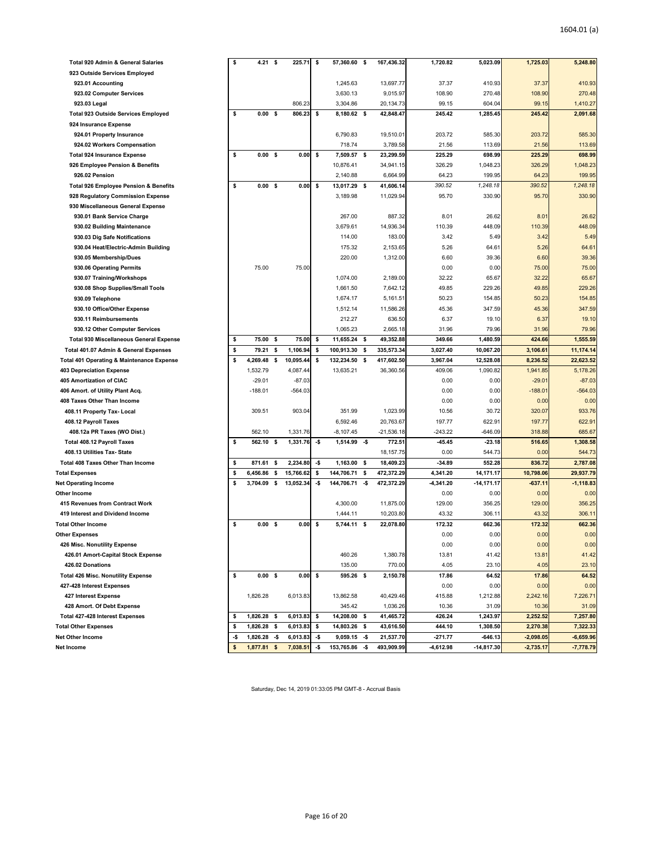| 923 Outside Services Employed                                                            | \$        | 4.21 \$              |           | 225.71               | \$         | 57,360.60 \$                 |     | 167,436.32              | 1,720.82                 | 5,023.09                  | 1,725.03                   | 5,248.80                   |
|------------------------------------------------------------------------------------------|-----------|----------------------|-----------|----------------------|------------|------------------------------|-----|-------------------------|--------------------------|---------------------------|----------------------------|----------------------------|
|                                                                                          |           |                      |           |                      |            |                              |     |                         |                          |                           |                            |                            |
| 923.01 Accounting                                                                        |           |                      |           |                      |            | 1,245.63                     |     | 13,697.77               | 37.37                    | 410.93                    | 37.37                      | 410.93                     |
| 923.02 Computer Services                                                                 |           |                      |           |                      |            | 3,630.13                     |     | 9,015.97                | 108.90                   | 270.48                    | 108.90                     | 270.48                     |
| 923.03 Legal                                                                             |           |                      |           | 806.23               |            | 3,304.86                     |     | 20,134.73               | 99.15                    | 604.04                    | 99.15                      | 1,410.27                   |
| <b>Total 923 Outside Services Employed</b>                                               | \$        | $0.00-5$             |           | 806.23               | \$         | 8,180.62 \$                  |     | 42,848.47               | 245.42                   | 1,285.45                  | 245.42                     | 2,091.68                   |
| 924 Insurance Expense                                                                    |           |                      |           |                      |            |                              |     |                         |                          |                           |                            |                            |
| 924.01 Property Insurance                                                                |           |                      |           |                      |            | 6,790.83                     |     | 19,510.01               | 203.72                   | 585.30                    | 203.72                     | 585.30                     |
| 924.02 Workers Compensation                                                              |           |                      |           |                      |            | 718.74                       |     | 3,789.58                | 21.56                    | 113.69                    | 21.56                      | 113.69                     |
| <b>Total 924 Insurance Expense</b>                                                       | \$        | 0.00                 | \$        | 0.00                 | \$         | 7,509.57 \$                  |     | 23,299.59               | 225.29                   | 698.99                    | 225.29                     | 698.99                     |
| 926 Employee Pension & Benefits                                                          |           |                      |           |                      |            | 10,876.41                    |     | 34,941.15               | 326.29                   | 1,048.23                  | 326.29                     | 1,048.23                   |
| 926.02 Pension                                                                           |           |                      |           |                      |            | 2,140.88                     |     | 6,664.99                | 64.23                    | 199.95                    | 64.23                      | 199.95                     |
| <b>Total 926 Employee Pension &amp; Benefits</b>                                         | \$        | 0.00                 | \$        | 0.00                 | \$         | 13,017.29 \$                 |     | 41,606.14               | 390.52                   | 1,248.18                  | 390.52                     | 1,248.18                   |
| 928 Regulatory Commission Expense                                                        |           |                      |           |                      |            | 3,189.98                     |     | 11,029.94               | 95.70                    | 330.90                    | 95.70                      | 330.90                     |
| 930 Miscellaneous General Expense                                                        |           |                      |           |                      |            |                              |     |                         |                          |                           |                            |                            |
| 930.01 Bank Service Charge                                                               |           |                      |           |                      |            | 267.00                       |     | 887.32                  | 8.01                     | 26.62                     | 8.01                       | 26.62                      |
| 930.02 Building Maintenance                                                              |           |                      |           |                      |            | 3,679.61                     |     | 14,936.34               | 110.39                   | 448.09                    | 110.39                     | 448.09                     |
| 930.03 Dig Safe Notifications                                                            |           |                      |           |                      |            | 114.00                       |     | 183.00                  | 3.42                     | 5.49                      | 3.42                       | 5.49                       |
| 930.04 Heat/Electric-Admin Building                                                      |           |                      |           |                      |            | 175.32                       |     | 2,153.65                | 5.26                     | 64.61                     | 5.26                       | 64.61                      |
| 930.05 Membership/Dues                                                                   |           |                      |           |                      |            | 220.00                       |     | 1,312.00                | 6.60                     | 39.36                     | 6.60                       | 39.36                      |
| 930.06 Operating Permits                                                                 |           | 75.00                |           | 75.00                |            |                              |     |                         | 0.00                     | 0.00                      | 75.00                      | 75.00                      |
| 930.07 Training/Workshops                                                                |           |                      |           |                      |            | 1,074.00                     |     | 2,189.00                | 32.22                    | 65.67                     | 32.22                      | 65.67                      |
| 930.08 Shop Supplies/Small Tools                                                         |           |                      |           |                      |            | 1,661.50                     |     | 7,642.12                | 49.85                    | 229.26                    | 49.85                      | 229.26                     |
| 930.09 Telephone                                                                         |           |                      |           |                      |            | 1,674.17                     |     | 5,161.51                | 50.23                    | 154.85                    | 50.23                      | 154.85                     |
| 930.10 Office/Other Expense                                                              |           |                      |           |                      |            | 1,512.14                     |     | 11,586.26               | 45.36                    | 347.59                    | 45.36                      | 347.59                     |
| 930.11 Reimbursements                                                                    |           |                      |           |                      |            | 212.27                       |     | 636.50                  | 6.37                     | 19.10                     | 6.37                       | 19.10                      |
| 930.12 Other Computer Services                                                           |           |                      |           |                      |            | 1,065.23                     |     | 2,665.18                | 31.96                    | 79.96                     | 31.96                      | 79.96                      |
| <b>Total 930 Miscellaneous General Expense</b>                                           | \$        | 75.00                | \$        | 75.00                | \$         | 11,655.24                    | -\$ | 49,352.88               | 349.66                   | 1,480.59                  | 424.66                     | 1,555.59                   |
| Total 401.07 Admin & General Expenses                                                    | \$        | 79.21                | \$        | 1,106.94             | \$         | 100,913.30                   | -\$ | 335,573.34              | 3,027.40                 | 10,067.20                 | 3,106.61                   | 11,174.14                  |
| <b>Total 401 Operating &amp; Maintenance Expense</b>                                     | \$        | 4,269.48             | \$        | 10,095.44            | \$         | 132,234.50 \$                |     | 417,602.50              | 3,967.04                 | 12,528.08                 | 8,236.52                   | 22,623.52                  |
| 403 Depreciation Expense                                                                 |           | 1,532.79             |           | 4,087.44             |            | 13,635.21                    |     | 36,360.56               | 409.06                   | 1,090.82                  | 1,941.85                   | 5,178.26                   |
| 405 Amortization of CIAC                                                                 |           | $-29.01$             |           | $-87.03$             |            |                              |     |                         | 0.00                     | 0.00                      | $-29.01$                   | $-87.03$                   |
| 406 Amort. of Utility Plant Acq.                                                         |           | $-188.01$            |           | $-564.03$            |            |                              |     |                         | 0.00                     | 0.00                      | $-188.01$                  | $-564.03$                  |
| 408 Taxes Other Than Income                                                              |           |                      |           |                      |            |                              |     |                         | 0.00                     | 0.00                      |                            | 0.00                       |
|                                                                                          |           |                      |           |                      |            |                              |     |                         |                          |                           |                            |                            |
|                                                                                          |           |                      |           |                      |            |                              |     |                         |                          |                           | 0.00                       |                            |
| 408.11 Property Tax- Local                                                               |           | 309.51               |           | 903.04               |            | 351.99                       |     | 1,023.99                | 10.56                    | 30.72                     | 320.07                     | 933.76                     |
| 408.12 Payroll Taxes                                                                     |           |                      |           |                      |            | 6,592.46                     |     | 20,763.67               | 197.77                   | 622.91                    | 197.77                     | 622.91                     |
| 408.12a PR Taxes (WO Dist.)                                                              |           | 562.10               |           | 1,331.76             |            | $-8,107.45$                  |     | $-21,536.18$            | $-243.22$                | $-646.09$                 | 318.88                     | 685.67                     |
| Total 408.12 Payroll Taxes                                                               | \$        | 562.10               | \$        | 1,331.76             | -\$        | $1,514.99 - $$               |     | 772.51                  | $-45.45$                 | $-23.18$                  | 516.65                     | 1,308.58                   |
| 408.13 Utilities Tax- State                                                              |           |                      |           |                      |            |                              |     | 18, 157. 75             | 0.00                     | 544.73                    | 0.00                       | 544.73                     |
| Total 408 Taxes Other Than Income                                                        | \$        | 871.61               | \$        | 2,234.80             | -\$        | 1,163.00                     | -\$ | 18,409.23               | -34.89                   | 552.28                    | 836.72                     | 2,787.08                   |
| <b>Total Expenses</b>                                                                    | \$        | 6,456.86             | \$        | 15,766.62            | \$         | 144,706.71 \$                |     | 472,372.29              | 4,341.20                 | 14,171.17                 | 10,798.06                  | 29,937.79                  |
| <b>Net Operating Income</b>                                                              | \$        | 3,704.09 \$          |           | 13,052.34            | -\$        | 144,706.71                   | -\$ | 472,372.29              | $-4,341.20$              | $-14, 171.17$             | $-637.11$                  | $-1,118.83$                |
| Other Income                                                                             |           |                      |           |                      |            |                              |     |                         | 0.00                     | 0.00                      | 0.00                       | 0.00                       |
| 415 Revenues from Contract Work                                                          |           |                      |           |                      |            | 4,300.00                     |     | 11,875.00               | 129.00                   | 356.25                    | 129.00                     | 356.25                     |
| 419 Interest and Dividend Income                                                         |           |                      |           |                      |            | 1,444.11                     |     | 10,203.80               | 43.32                    | 306.11                    | 43.32                      | 306.11                     |
|                                                                                          | \$        | 0.00 S               |           | 0.00                 | \$         | 5,744.11 \$                  |     | 22,078.80               | 172.32                   | 662.36                    | 172.32                     | 662.36                     |
|                                                                                          |           |                      |           |                      |            |                              |     |                         | 0.00                     | 0.00                      | 0.00                       | 0.00                       |
| 426 Misc. Nonutility Expense                                                             |           |                      |           |                      |            |                              |     |                         | 0.00                     | 0.00                      | 0.00                       | 0.00                       |
| <b>Total Other Income</b><br><b>Other Expenses</b><br>426.01 Amort-Capital Stock Expense |           |                      |           |                      |            | 460.26                       |     | 1,380.78                | 13.81                    | 41.42                     | 13.81                      | 41.42                      |
| 426.02 Donations                                                                         |           |                      |           |                      |            | 135.00                       |     | 770.00                  | 4.05                     | 23.10                     | 4.05                       | 23.10                      |
| <b>Total 426 Misc. Nonutility Expense</b>                                                | \$        | $0.00\quad$ \$       |           | 0.00                 | \$         | 595.26 \$                    |     | 2,150.78                | 17.86                    | 64.52                     | 17.86                      | 64.52                      |
| 427-428 Interest Expenses                                                                |           |                      |           |                      |            |                              |     |                         | 0.00                     | 0.00                      | 0.00                       | 0.00                       |
| 427 Interest Expense                                                                     |           | 1,826.28             |           | 6,013.83             |            | 13,862.58                    |     | 40,429.46               | 415.88                   | 1,212.88                  | 2,242.16                   | 7,226.71                   |
| 428 Amort. Of Debt Expense                                                               |           |                      |           |                      |            | 345.42                       |     | 1,036.26                | 10.36                    | 31.09                     | 10.36                      | 31.09                      |
| Total 427-428 Interest Expenses                                                          | \$        | 1,826.28             | \$        | 6,013.83             | \$         | 14,208.00 \$                 |     | 41,465.72               | 426.24                   | 1,243.97                  | 2,252.52                   | 7,257.80                   |
| <b>Total Other Expenses</b>                                                              | \$        | 1,826.28 \$          |           | 6,013.83             | \$         | 14,803.26 \$                 |     | 43,616.50               | 444.10                   | 1,308.50                  | 2,270.38                   | 7,322 33                   |
| Net Other Income<br>Net Income                                                           | -\$<br>\$ | 1,826.28<br>1,877.81 | -\$<br>\$ | 6,013.83<br>7,038.51 | -\$<br>-\$ | $9,059.15 - $$<br>153,765.86 | -\$ | 21,537.70<br>493,909.99 | $-271.77$<br>$-4,612.98$ | $-646.13$<br>$-14,817.30$ | $-2,098.05$<br>$-2,735.17$ | $-6,659.96$<br>$-7,778.79$ |

Saturday, Dec 14, 2019 01:33:05 PM GMT-8 - Accrual Basis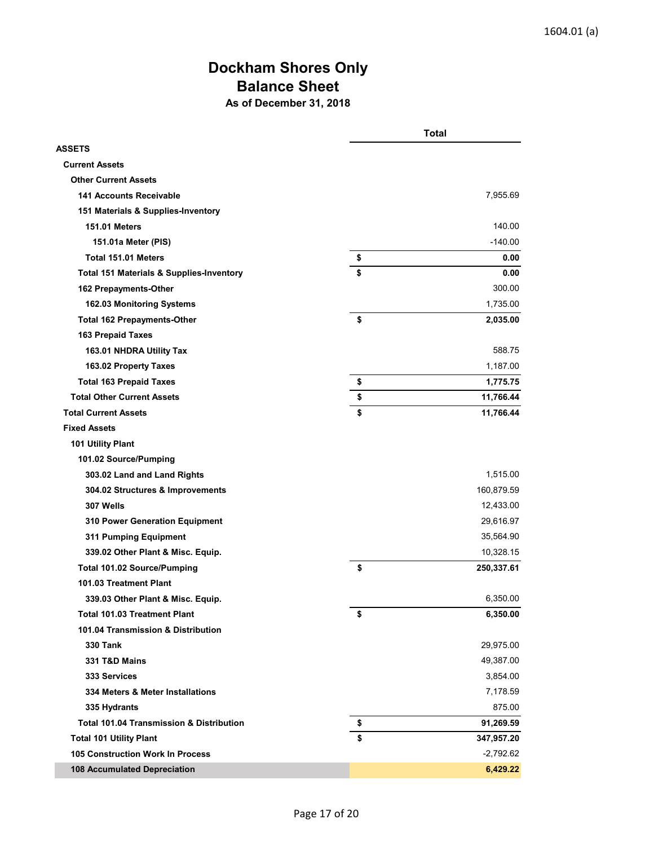# **Dockham Shores Only Balance Sheet As of December 31, 2018**

| <b>ASSETS</b><br><b>Current Assets</b><br><b>Other Current Assets</b><br><b>141 Accounts Receivable</b><br>7,955.69<br>151 Materials & Supplies-Inventory<br><b>151.01 Meters</b><br>140.00<br>$-140.00$<br>151.01a Meter (PIS)<br>Total 151.01 Meters<br>\$<br>0.00<br><b>Total 151 Materials &amp; Supplies-Inventory</b><br>\$<br>0.00<br>162 Prepayments-Other<br>300.00<br>1,735.00<br>162.03 Monitoring Systems<br>\$<br>2,035.00<br><b>Total 162 Prepayments-Other</b><br><b>163 Prepaid Taxes</b><br>588.75<br>163.01 NHDRA Utility Tax<br>163.02 Property Taxes<br>1,187.00<br>\$<br><b>Total 163 Prepaid Taxes</b><br>1,775.75<br><b>Total Other Current Assets</b><br>\$<br>11,766.44<br>\$<br><b>Total Current Assets</b><br>11,766.44<br><b>Fixed Assets</b><br><b>101 Utility Plant</b><br>101.02 Source/Pumping<br>303.02 Land and Land Rights<br>1,515.00<br>304.02 Structures & Improvements<br>160,879.59<br>307 Wells<br>12,433.00<br>310 Power Generation Equipment<br>29,616.97<br>311 Pumping Equipment<br>35,564.90<br>339.02 Other Plant & Misc. Equip.<br>10,328.15<br><b>Total 101.02 Source/Pumping</b><br>\$<br>250,337.61<br>101.03 Treatment Plant<br>339.03 Other Plant & Misc. Equip.<br>6,350.00<br><b>Total 101.03 Treatment Plant</b><br>\$<br>6,350.00<br>101.04 Transmission & Distribution<br><b>330 Tank</b><br>29,975.00<br>331 T&D Mains<br>49,387.00<br>333 Services<br>3,854.00<br>334 Meters & Meter Installations<br>7,178.59<br>335 Hydrants<br>875.00<br><b>Total 101.04 Transmission &amp; Distribution</b><br>91,269.59<br>\$<br><b>Total 101 Utility Plant</b><br>\$<br>347,957.20<br>105 Construction Work In Process<br>$-2,792.62$<br>6,429.22<br>108 Accumulated Depreciation |  | <b>Total</b> |
|-------------------------------------------------------------------------------------------------------------------------------------------------------------------------------------------------------------------------------------------------------------------------------------------------------------------------------------------------------------------------------------------------------------------------------------------------------------------------------------------------------------------------------------------------------------------------------------------------------------------------------------------------------------------------------------------------------------------------------------------------------------------------------------------------------------------------------------------------------------------------------------------------------------------------------------------------------------------------------------------------------------------------------------------------------------------------------------------------------------------------------------------------------------------------------------------------------------------------------------------------------------------------------------------------------------------------------------------------------------------------------------------------------------------------------------------------------------------------------------------------------------------------------------------------------------------------------------------------------------------------------------------------------------------------------------------------------------------------------------|--|--------------|
|                                                                                                                                                                                                                                                                                                                                                                                                                                                                                                                                                                                                                                                                                                                                                                                                                                                                                                                                                                                                                                                                                                                                                                                                                                                                                                                                                                                                                                                                                                                                                                                                                                                                                                                                     |  |              |
|                                                                                                                                                                                                                                                                                                                                                                                                                                                                                                                                                                                                                                                                                                                                                                                                                                                                                                                                                                                                                                                                                                                                                                                                                                                                                                                                                                                                                                                                                                                                                                                                                                                                                                                                     |  |              |
|                                                                                                                                                                                                                                                                                                                                                                                                                                                                                                                                                                                                                                                                                                                                                                                                                                                                                                                                                                                                                                                                                                                                                                                                                                                                                                                                                                                                                                                                                                                                                                                                                                                                                                                                     |  |              |
|                                                                                                                                                                                                                                                                                                                                                                                                                                                                                                                                                                                                                                                                                                                                                                                                                                                                                                                                                                                                                                                                                                                                                                                                                                                                                                                                                                                                                                                                                                                                                                                                                                                                                                                                     |  |              |
|                                                                                                                                                                                                                                                                                                                                                                                                                                                                                                                                                                                                                                                                                                                                                                                                                                                                                                                                                                                                                                                                                                                                                                                                                                                                                                                                                                                                                                                                                                                                                                                                                                                                                                                                     |  |              |
|                                                                                                                                                                                                                                                                                                                                                                                                                                                                                                                                                                                                                                                                                                                                                                                                                                                                                                                                                                                                                                                                                                                                                                                                                                                                                                                                                                                                                                                                                                                                                                                                                                                                                                                                     |  |              |
|                                                                                                                                                                                                                                                                                                                                                                                                                                                                                                                                                                                                                                                                                                                                                                                                                                                                                                                                                                                                                                                                                                                                                                                                                                                                                                                                                                                                                                                                                                                                                                                                                                                                                                                                     |  |              |
|                                                                                                                                                                                                                                                                                                                                                                                                                                                                                                                                                                                                                                                                                                                                                                                                                                                                                                                                                                                                                                                                                                                                                                                                                                                                                                                                                                                                                                                                                                                                                                                                                                                                                                                                     |  |              |
|                                                                                                                                                                                                                                                                                                                                                                                                                                                                                                                                                                                                                                                                                                                                                                                                                                                                                                                                                                                                                                                                                                                                                                                                                                                                                                                                                                                                                                                                                                                                                                                                                                                                                                                                     |  |              |
|                                                                                                                                                                                                                                                                                                                                                                                                                                                                                                                                                                                                                                                                                                                                                                                                                                                                                                                                                                                                                                                                                                                                                                                                                                                                                                                                                                                                                                                                                                                                                                                                                                                                                                                                     |  |              |
|                                                                                                                                                                                                                                                                                                                                                                                                                                                                                                                                                                                                                                                                                                                                                                                                                                                                                                                                                                                                                                                                                                                                                                                                                                                                                                                                                                                                                                                                                                                                                                                                                                                                                                                                     |  |              |
|                                                                                                                                                                                                                                                                                                                                                                                                                                                                                                                                                                                                                                                                                                                                                                                                                                                                                                                                                                                                                                                                                                                                                                                                                                                                                                                                                                                                                                                                                                                                                                                                                                                                                                                                     |  |              |
|                                                                                                                                                                                                                                                                                                                                                                                                                                                                                                                                                                                                                                                                                                                                                                                                                                                                                                                                                                                                                                                                                                                                                                                                                                                                                                                                                                                                                                                                                                                                                                                                                                                                                                                                     |  |              |
|                                                                                                                                                                                                                                                                                                                                                                                                                                                                                                                                                                                                                                                                                                                                                                                                                                                                                                                                                                                                                                                                                                                                                                                                                                                                                                                                                                                                                                                                                                                                                                                                                                                                                                                                     |  |              |
|                                                                                                                                                                                                                                                                                                                                                                                                                                                                                                                                                                                                                                                                                                                                                                                                                                                                                                                                                                                                                                                                                                                                                                                                                                                                                                                                                                                                                                                                                                                                                                                                                                                                                                                                     |  |              |
|                                                                                                                                                                                                                                                                                                                                                                                                                                                                                                                                                                                                                                                                                                                                                                                                                                                                                                                                                                                                                                                                                                                                                                                                                                                                                                                                                                                                                                                                                                                                                                                                                                                                                                                                     |  |              |
|                                                                                                                                                                                                                                                                                                                                                                                                                                                                                                                                                                                                                                                                                                                                                                                                                                                                                                                                                                                                                                                                                                                                                                                                                                                                                                                                                                                                                                                                                                                                                                                                                                                                                                                                     |  |              |
|                                                                                                                                                                                                                                                                                                                                                                                                                                                                                                                                                                                                                                                                                                                                                                                                                                                                                                                                                                                                                                                                                                                                                                                                                                                                                                                                                                                                                                                                                                                                                                                                                                                                                                                                     |  |              |
|                                                                                                                                                                                                                                                                                                                                                                                                                                                                                                                                                                                                                                                                                                                                                                                                                                                                                                                                                                                                                                                                                                                                                                                                                                                                                                                                                                                                                                                                                                                                                                                                                                                                                                                                     |  |              |
|                                                                                                                                                                                                                                                                                                                                                                                                                                                                                                                                                                                                                                                                                                                                                                                                                                                                                                                                                                                                                                                                                                                                                                                                                                                                                                                                                                                                                                                                                                                                                                                                                                                                                                                                     |  |              |
|                                                                                                                                                                                                                                                                                                                                                                                                                                                                                                                                                                                                                                                                                                                                                                                                                                                                                                                                                                                                                                                                                                                                                                                                                                                                                                                                                                                                                                                                                                                                                                                                                                                                                                                                     |  |              |
|                                                                                                                                                                                                                                                                                                                                                                                                                                                                                                                                                                                                                                                                                                                                                                                                                                                                                                                                                                                                                                                                                                                                                                                                                                                                                                                                                                                                                                                                                                                                                                                                                                                                                                                                     |  |              |
|                                                                                                                                                                                                                                                                                                                                                                                                                                                                                                                                                                                                                                                                                                                                                                                                                                                                                                                                                                                                                                                                                                                                                                                                                                                                                                                                                                                                                                                                                                                                                                                                                                                                                                                                     |  |              |
|                                                                                                                                                                                                                                                                                                                                                                                                                                                                                                                                                                                                                                                                                                                                                                                                                                                                                                                                                                                                                                                                                                                                                                                                                                                                                                                                                                                                                                                                                                                                                                                                                                                                                                                                     |  |              |
|                                                                                                                                                                                                                                                                                                                                                                                                                                                                                                                                                                                                                                                                                                                                                                                                                                                                                                                                                                                                                                                                                                                                                                                                                                                                                                                                                                                                                                                                                                                                                                                                                                                                                                                                     |  |              |
|                                                                                                                                                                                                                                                                                                                                                                                                                                                                                                                                                                                                                                                                                                                                                                                                                                                                                                                                                                                                                                                                                                                                                                                                                                                                                                                                                                                                                                                                                                                                                                                                                                                                                                                                     |  |              |
|                                                                                                                                                                                                                                                                                                                                                                                                                                                                                                                                                                                                                                                                                                                                                                                                                                                                                                                                                                                                                                                                                                                                                                                                                                                                                                                                                                                                                                                                                                                                                                                                                                                                                                                                     |  |              |
|                                                                                                                                                                                                                                                                                                                                                                                                                                                                                                                                                                                                                                                                                                                                                                                                                                                                                                                                                                                                                                                                                                                                                                                                                                                                                                                                                                                                                                                                                                                                                                                                                                                                                                                                     |  |              |
|                                                                                                                                                                                                                                                                                                                                                                                                                                                                                                                                                                                                                                                                                                                                                                                                                                                                                                                                                                                                                                                                                                                                                                                                                                                                                                                                                                                                                                                                                                                                                                                                                                                                                                                                     |  |              |
|                                                                                                                                                                                                                                                                                                                                                                                                                                                                                                                                                                                                                                                                                                                                                                                                                                                                                                                                                                                                                                                                                                                                                                                                                                                                                                                                                                                                                                                                                                                                                                                                                                                                                                                                     |  |              |
|                                                                                                                                                                                                                                                                                                                                                                                                                                                                                                                                                                                                                                                                                                                                                                                                                                                                                                                                                                                                                                                                                                                                                                                                                                                                                                                                                                                                                                                                                                                                                                                                                                                                                                                                     |  |              |
|                                                                                                                                                                                                                                                                                                                                                                                                                                                                                                                                                                                                                                                                                                                                                                                                                                                                                                                                                                                                                                                                                                                                                                                                                                                                                                                                                                                                                                                                                                                                                                                                                                                                                                                                     |  |              |
|                                                                                                                                                                                                                                                                                                                                                                                                                                                                                                                                                                                                                                                                                                                                                                                                                                                                                                                                                                                                                                                                                                                                                                                                                                                                                                                                                                                                                                                                                                                                                                                                                                                                                                                                     |  |              |
|                                                                                                                                                                                                                                                                                                                                                                                                                                                                                                                                                                                                                                                                                                                                                                                                                                                                                                                                                                                                                                                                                                                                                                                                                                                                                                                                                                                                                                                                                                                                                                                                                                                                                                                                     |  |              |
|                                                                                                                                                                                                                                                                                                                                                                                                                                                                                                                                                                                                                                                                                                                                                                                                                                                                                                                                                                                                                                                                                                                                                                                                                                                                                                                                                                                                                                                                                                                                                                                                                                                                                                                                     |  |              |
|                                                                                                                                                                                                                                                                                                                                                                                                                                                                                                                                                                                                                                                                                                                                                                                                                                                                                                                                                                                                                                                                                                                                                                                                                                                                                                                                                                                                                                                                                                                                                                                                                                                                                                                                     |  |              |
|                                                                                                                                                                                                                                                                                                                                                                                                                                                                                                                                                                                                                                                                                                                                                                                                                                                                                                                                                                                                                                                                                                                                                                                                                                                                                                                                                                                                                                                                                                                                                                                                                                                                                                                                     |  |              |
|                                                                                                                                                                                                                                                                                                                                                                                                                                                                                                                                                                                                                                                                                                                                                                                                                                                                                                                                                                                                                                                                                                                                                                                                                                                                                                                                                                                                                                                                                                                                                                                                                                                                                                                                     |  |              |
|                                                                                                                                                                                                                                                                                                                                                                                                                                                                                                                                                                                                                                                                                                                                                                                                                                                                                                                                                                                                                                                                                                                                                                                                                                                                                                                                                                                                                                                                                                                                                                                                                                                                                                                                     |  |              |
|                                                                                                                                                                                                                                                                                                                                                                                                                                                                                                                                                                                                                                                                                                                                                                                                                                                                                                                                                                                                                                                                                                                                                                                                                                                                                                                                                                                                                                                                                                                                                                                                                                                                                                                                     |  |              |
|                                                                                                                                                                                                                                                                                                                                                                                                                                                                                                                                                                                                                                                                                                                                                                                                                                                                                                                                                                                                                                                                                                                                                                                                                                                                                                                                                                                                                                                                                                                                                                                                                                                                                                                                     |  |              |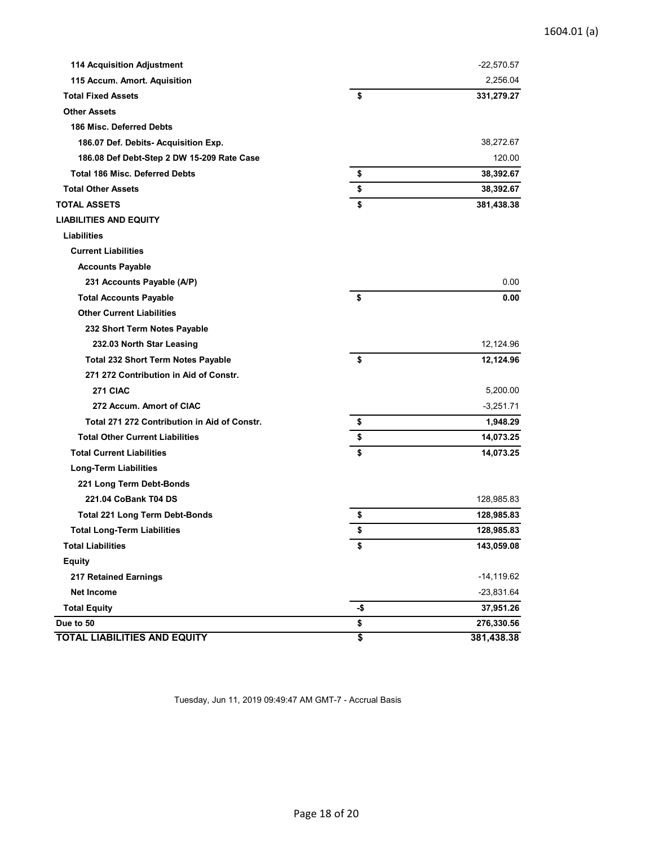## 1604.01 (a)

| <b>114 Acquisition Adjustment</b>            |     | $-22,570.57$  |
|----------------------------------------------|-----|---------------|
| 115 Accum. Amort. Aquisition                 |     | 2,256.04      |
| <b>Total Fixed Assets</b>                    | \$  | 331,279.27    |
| <b>Other Assets</b>                          |     |               |
| 186 Misc. Deferred Debts                     |     |               |
| 186.07 Def. Debits- Acquisition Exp.         |     | 38,272.67     |
| 186.08 Def Debt-Step 2 DW 15-209 Rate Case   |     | 120.00        |
| <b>Total 186 Misc. Deferred Debts</b>        | \$  | 38,392.67     |
| <b>Total Other Assets</b>                    | \$  | 38,392.67     |
| <b>TOTAL ASSETS</b>                          | \$  | 381,438.38    |
| <b>LIABILITIES AND EQUITY</b>                |     |               |
| <b>Liabilities</b>                           |     |               |
| <b>Current Liabilities</b>                   |     |               |
| <b>Accounts Payable</b>                      |     |               |
| 231 Accounts Payable (A/P)                   |     | 0.00          |
| <b>Total Accounts Payable</b>                | \$  | 0.00          |
| <b>Other Current Liabilities</b>             |     |               |
| 232 Short Term Notes Payable                 |     |               |
| 232.03 North Star Leasing                    |     | 12,124.96     |
| <b>Total 232 Short Term Notes Payable</b>    | \$  | 12,124.96     |
| 271 272 Contribution in Aid of Constr.       |     |               |
| 271 CIAC                                     |     | 5,200.00      |
| 272 Accum. Amort of CIAC                     |     | $-3,251.71$   |
| Total 271 272 Contribution in Aid of Constr. | \$  | 1,948.29      |
| <b>Total Other Current Liabilities</b>       | \$  | 14,073.25     |
| <b>Total Current Liabilities</b>             | \$  | 14,073.25     |
| <b>Long-Term Liabilities</b>                 |     |               |
| 221 Long Term Debt-Bonds                     |     |               |
| 221.04 CoBank T04 DS                         |     | 128,985.83    |
| <b>Total 221 Long Term Debt-Bonds</b>        | \$  | 128,985.83    |
| <b>Total Long-Term Liabilities</b>           | \$  | 128,985.83    |
| <b>Total Liabilities</b>                     | \$  | 143,059.08    |
| <b>Equity</b>                                |     |               |
| 217 Retained Earnings                        |     | $-14, 119.62$ |
| <b>Net Income</b>                            |     | -23,831.64    |
| <b>Total Equity</b>                          | -\$ | 37,951.26     |
| Due to 50                                    | \$  | 276,330.56    |
| <b>TOTAL LIABILITIES AND EQUITY</b>          | \$  | 381,438.38    |

Tuesday, Jun 11, 2019 09:49:47 AM GMT-7 - Accrual Basis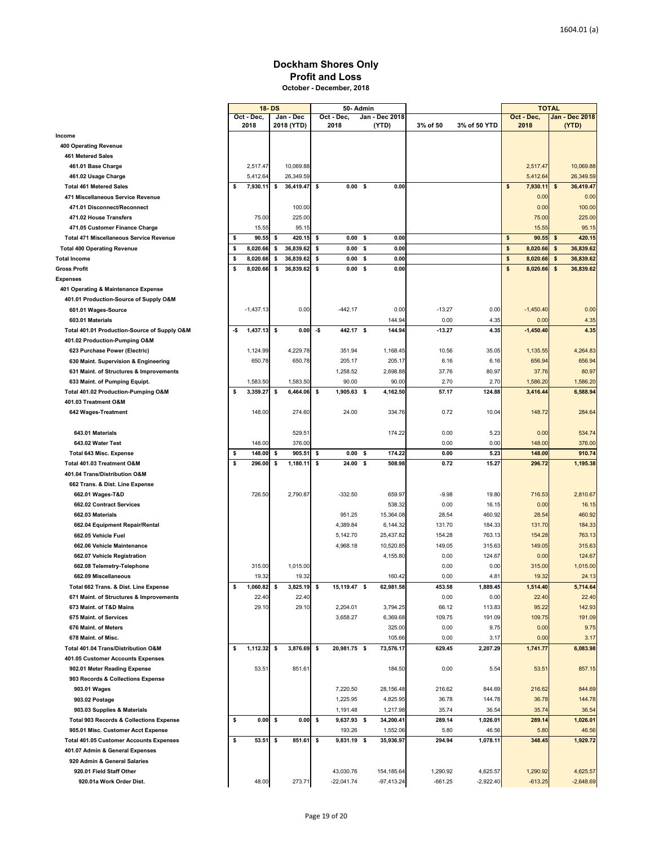### **Dockham Shores Only Profit and Loss October - December, 2018**

|                                                    |     | 18 DS              |                   | 50- Admin               |      |                |          |              |                    | <b>TOTAL</b>    |
|----------------------------------------------------|-----|--------------------|-------------------|-------------------------|------|----------------|----------|--------------|--------------------|-----------------|
|                                                    |     | Oct - Dec.<br>2018 | Jan - Dec         | Oct - Dec.<br>2018      |      | Jan - Dec 2018 | 3% of 50 | 3% of 50 YTD | Oct - Dec,<br>2018 | Jan - Dec 2018  |
|                                                    |     |                    | 2018 (YTD)        |                         |      | (YTD)          |          |              |                    | (YTD)           |
| Income                                             |     |                    |                   |                         |      |                |          |              |                    |                 |
| 400 Operating Revenue                              |     |                    |                   |                         |      |                |          |              |                    |                 |
| <b>461 Metered Sales</b>                           |     |                    |                   |                         |      |                |          |              |                    |                 |
| 461.01 Base Charge                                 |     | 2,517.47           | 10,069.88         |                         |      |                |          |              | 2,517.47           | 10,069.88       |
| 461.02 Usage Charge                                |     | 5,412.64           | 26,349.59         |                         |      |                |          |              | 5,412.64           | 26,349.59       |
| <b>Total 461 Metered Sales</b>                     | \$  | 7,930.11           | \$<br>36,419.47   | 0.00%<br>\$             |      | 0.00           |          |              | \$<br>7,930.11     | 36,419.47<br>\$ |
| 471 Miscellaneous Service Revenue                  |     |                    |                   |                         |      |                |          |              | 0.00               | 0.00            |
| 471.01 Disconnect/Reconnect                        |     |                    | 100.00            |                         |      |                |          |              | 0.00               | 100.00          |
| 471.02 House Transfers                             |     | 75.00              | 225.00            |                         |      |                |          |              | 75.00              | 225.00          |
| 471.05 Customer Finance Charge                     |     | 15.55              | 95.15             |                         |      |                |          |              | 15.55              | 95.15           |
| <b>Total 471 Miscellaneous Service Revenue</b>     | \$  | 90.55              | \$<br>420.15      | $0.00\quad$ \$<br>\$    |      | 0.00           |          |              | \$<br>90.55        | 420.15<br>\$    |
| <b>Total 400 Operating Revenue</b>                 | \$  | 8,020.66           | \$<br>36,839.62   | \$<br>0.00 <sup>5</sup> |      | 0.00           |          |              | \$<br>8,020.66     | \$<br>36,839.62 |
| <b>Total Income</b>                                | \$  | 8,020.66           | \$<br>36,839.62   | \$<br>0.00              | \$   | 0.00           |          |              | \$<br>8,020.66     | 36,839.62<br>\$ |
| <b>Gross Profit</b>                                | \$  | 8,020.66           | \$<br>36,839.62   | \$<br>$0.00\quad$ \$    |      | 0.00           |          |              | \$<br>8,020.66     | \$<br>36,839.62 |
| <b>Expenses</b>                                    |     |                    |                   |                         |      |                |          |              |                    |                 |
| 401 Operating & Maintenance Expense                |     |                    |                   |                         |      |                |          |              |                    |                 |
| 401.01 Production-Source of Supply O&M             |     |                    |                   |                         |      |                |          |              |                    |                 |
| 601.01 Wages-Source                                |     | $-1,437.13$        | 0.00              | $-442.17$               |      | 0.00           | $-13.27$ | 0.00         | $-1,450.40$        | 0.00            |
| 603.01 Materials                                   |     |                    |                   |                         |      | 144.94         | 0.00     | 4.35         | 0.00               | 4.35            |
| Total 401.01 Production-Source of Supply O&M       | -\$ | 1,437.13           | \$<br>0.00        | 442.17 \$<br>-\$        |      | 144.94         | $-13.27$ | 4.35         | $-1,450.40$        | 4.35            |
| 401.02 Production-Pumping O&M                      |     |                    |                   |                         |      |                |          |              |                    |                 |
| 623 Purchase Power (Electric)                      |     | 1,124.99           | 4,229.78          | 351.94                  |      | 1,168.45       | 10.56    | 35.05        | 1,135.55           | 4,264.83        |
| 630 Maint. Supervision & Engineering               |     | 650.78             | 650.78            | 205.17                  |      | 205.17         | 6.16     | 6.16         | 656.94             | 656.94          |
| 631 Maint. of Structures & Improvements            |     |                    |                   | 1,258.52                |      | 2,698.88       | 37.76    | 80.97        | 37.76              | 80.97           |
| 633 Maint. of Pumping Equipt.                      |     | 1,583.50           | 1,583.50          | 90.00                   |      | 90.00          | 2.70     | 2.70         | 1,586.20           | 1,586.20        |
| Total 401.02 Production-Pumping O&M                | \$  | 3,359.27           | \$<br>6,464.06    | 1.905.63<br>-\$         | - \$ | 4,162.50       | 57.17    | 124.88       | 3,416.44           | 6,588.94        |
| 401.03 Treatment O&M                               |     |                    |                   |                         |      |                |          |              |                    |                 |
| 642 Wages-Treatment                                |     | 148.00             | 274.60            | 24.00                   |      | 334.76         | 0.72     | 10.04        | 148.72             | 284.64          |
|                                                    |     |                    |                   |                         |      |                |          |              |                    |                 |
| 643.01 Materials                                   |     |                    | 529.51            |                         |      | 174.22         | 0.00     | 5.23         | 0.00               | 534.74          |
| 643.02 Water Test                                  |     | 148.00             | 376.00            |                         |      |                | 0.00     | 0.00         | 148.00             | 376.00          |
|                                                    |     |                    |                   |                         |      |                |          |              |                    |                 |
| <b>Total 643 Misc. Expense</b>                     | \$  | 148.00             | \$<br>905.51      | \$<br>0.00%             |      | 174.22         | 0.00     | 5.23         | 148.00             | 910.74          |
| Total 401.03 Treatment O&M                         | \$  | 296.00             | \$<br>1,180.11    | 24.00<br>\$             | - \$ | 508.98         | 0.72     | 15.27        | 296.72             | 1,195.38        |
| 401.04 Trans/Distribution O&M                      |     |                    |                   |                         |      |                |          |              |                    |                 |
| 662 Trans. & Dist. Line Expense                    |     |                    |                   |                         |      |                |          |              |                    |                 |
| 662.01 Wages-T&D                                   |     | 726.50             | 2,790.87          | $-332.50$               |      | 659.97         | $-9.98$  | 19.80        | 716.53             | 2,810.67        |
| 662.02 Contract Services                           |     |                    |                   |                         |      | 538.32         | 0.00     | 16.15        | 0.00               | 16.15           |
| 662.03 Materials                                   |     |                    |                   | 951.25                  |      | 15,364.08      | 28.54    | 460.92       | 28.54              | 460.92          |
| 662.04 Equipment Repair/Rental                     |     |                    |                   | 4,389.84                |      | 6,144.32       | 131.70   | 184.33       | 131.70             | 184.33          |
| 662.05 Vehicle Fuel                                |     |                    |                   | 5,142.70                |      | 25,437.82      | 154.28   | 763.13       | 154.28             | 763.13          |
| 662.06 Vehicle Maintenance                         |     |                    |                   | 4,968.18                |      | 10,520.85      | 149.05   | 315.63       | 149.05             | 315.63          |
| 662.07 Vehicle Registration                        |     |                    |                   |                         |      | 4,155.80       | 0.00     | 124.67       | 0.00               | 124.67          |
| 662.08 Telemetry-Telephone                         |     | 315.00             | 1,015.00          |                         |      |                | 0.00     | 0.00         | 315.00             | 1,015.00        |
| 662.09 Miscellaneous                               |     | 19.32              | 19.32             |                         |      | 160.42         | 0.00     | 4.81         | 19.32              | 24.13           |
| Total 662 Trans. & Dist. Line Expense              |     | 1,060.82           | \$<br>3,825.19    | 15,119.47 \$<br>্য      |      | 62,981.58      | 453.58   | 1,889.45     | 1,514.40           | 5,714.64        |
| 671 Maint. of Structures & Improvements            |     | 22.40              | 22.40             |                         |      |                | 0.00     | 0.00         | 22.40              | 22.40           |
| 673 Maint, of T&D Mains                            |     | 29.10              | 29.10             | 2,204.01                |      | 3,794.25       | 66.12    | 113.83       | 95.22              | 142.93          |
| 675 Maint. of Services                             |     |                    |                   | 3,658.27                |      | 6,369.68       | 109.75   | 191.09       | 109.75             | 191.09          |
| 676 Maint. of Meters                               |     |                    |                   |                         |      | 325.00         | 0.00     | 9.75         | 0.00               | 9.75            |
| 678 Maint. of Misc.                                |     |                    |                   |                         |      | 105.66         | 0.00     | 3.17         | 0.00               | 3.17            |
| Total 401.04 Trans/Distribution O&M                | \$  | 1,112.32           | \$<br>3,876.69 \$ | 20,981.75 \$            |      | 73,576.17      | 629.45   | 2,207.29     | 1,741.77           | 6,083.98        |
| 401.05 Customer Accounts Expenses                  |     |                    |                   |                         |      |                |          |              |                    |                 |
| 902.01 Meter Reading Expense                       |     | 53.51              | 851.61            |                         |      | 184.50         | 0.00     | 5.54         | 53.51              | 857.15          |
| 903 Records & Collections Expense                  |     |                    |                   |                         |      |                |          |              |                    |                 |
| 903.01 Wages                                       |     |                    |                   | 7,220.50                |      | 28,156.48      | 216.62   | 844.69       | 216.62             | 844.69          |
| 903.02 Postage                                     |     |                    |                   | 1,225.95                |      | 4,825.95       | 36.78    | 144.78       | 36.78              | 144.78          |
| 903.03 Supplies & Materials                        |     |                    |                   | 1,191.48                |      | 1,217.98       | 35.74    | 36.54        | 35.74              | 36.54           |
| <b>Total 903 Records &amp; Collections Expense</b> | \$  | 0.00               | \$<br>0.00        | 9,637.93 \$<br>-\$      |      | 34,200.41      | 289.14   | 1,026.01     | 289.14             | 1,026.01        |
| 905.01 Misc. Customer Acct Expense                 |     |                    |                   | 193.26                  |      | 1,552.06       | 5.80     | 46.56        | 5.80               | 46.56           |
| <b>Total 401.05 Customer Accounts Expenses</b>     | \$  | 53.51              | \$<br>851.61 \$   | 9,831.19 \$             |      | 35,936.97      | 294.94   | 1,078.11     | 348.45             | 1,929.72        |
| 401.07 Admin & General Expenses                    |     |                    |                   |                         |      |                |          |              |                    |                 |
| 920 Admin & General Salaries                       |     |                    |                   |                         |      |                |          |              |                    |                 |
| 920.01 Field Staff Other                           |     |                    |                   | 43,030.76               |      | 154, 185.64    | 1,290.92 | 4,625.57     | 1,290.92           | 4,625.57        |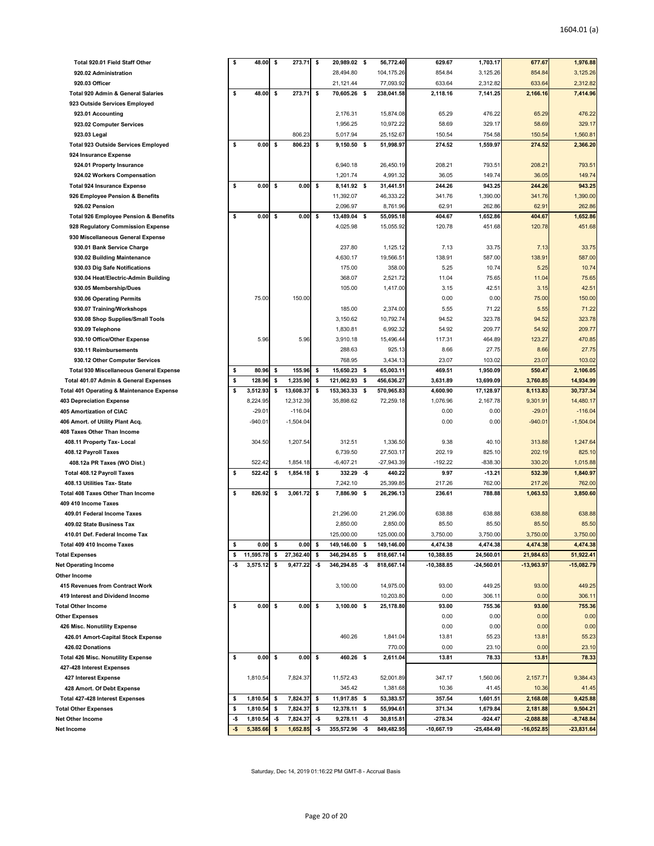|                                                  | \$         | 48.00                | \$                               | 273.71               | \$         | 20,989.02 \$           |            | 56,772.40               | 629.67                  | 1,703.17                  | 677.67                      | 1,976.88                    |
|--------------------------------------------------|------------|----------------------|----------------------------------|----------------------|------------|------------------------|------------|-------------------------|-------------------------|---------------------------|-----------------------------|-----------------------------|
| 920.02 Administration                            |            |                      |                                  |                      |            | 28,494.80              |            | 104,175.26              | 854.84                  | 3,125.26                  | 854.84                      | 3,125.26                    |
| 920.03 Officer                                   |            |                      |                                  |                      |            | 21,121.44              |            | 77,093.92               | 633.64                  | 2,312.82                  | 633.64                      | 2,312.82                    |
| Total 920 Admin & General Salaries               | \$         | 48.00                | \$                               | 273.71               | \$         | 70,605.26 \$           |            | 238,041.58              | 2,118.16                | 7,141.25                  | 2,166.16                    | 7,414.96                    |
| 923 Outside Services Employed                    |            |                      |                                  |                      |            |                        |            |                         |                         |                           |                             |                             |
| 923.01 Accounting                                |            |                      |                                  |                      |            | 2,176.31               |            | 15,874.08               | 65.29                   | 476.22                    | 65.29                       | 476.22                      |
| 923.02 Computer Services                         |            |                      |                                  |                      |            | 1,956.25               |            | 10,972.22               | 58.69                   | 329.17                    | 58.69                       | 329.17                      |
| 923.03 Legal                                     |            |                      |                                  | 806.23               |            | 5,017.94               |            | 25, 152.67              | 150.54                  | 754.58                    | 150.54                      | 1,560.81                    |
| <b>Total 923 Outside Services Employed</b>       | \$         | 0.00                 | \$                               | 806.23               | \$         | 9,150.50 \$            |            | 51,998.97               | 274.52                  | 1,559.97                  | 274.52                      | 2,366.20                    |
| 924 Insurance Expense                            |            |                      |                                  |                      |            |                        |            |                         |                         |                           |                             |                             |
| 924.01 Property Insurance                        |            |                      |                                  |                      |            | 6,940.18               |            | 26,450.19               | 208.21                  | 793.51                    | 208.21                      | 793.51                      |
| 924.02 Workers Compensation                      |            |                      |                                  |                      |            | 1,201.74               |            | 4,991.32                | 36.05                   | 149.74                    | 36.05                       | 149.74                      |
| <b>Total 924 Insurance Expense</b>               | \$         | 0.00                 | \$                               | 0.00                 | \$         | 8,141.92 \$            |            | 31,441.51               | 244.26                  | 943.25                    | 244.26                      | 943.25                      |
| 926 Employee Pension & Benefits                  |            |                      |                                  |                      |            | 11,392.07              |            | 46,333.22               | 341.76                  | 1,390.00                  | 341.76                      | 1,390.00                    |
| 926.02 Pension                                   |            |                      |                                  |                      |            | 2,096.97               |            | 8,761.96                | 62.91                   | 262.86                    | 62.91                       | 262.86                      |
| <b>Total 926 Employee Pension &amp; Benefits</b> | \$         | 0.00                 | \$                               | 0.00                 | \$         | 13,489.04 \$           |            | 55,095.18               | 404.67                  | 1,652.86                  | 404.67                      | 1,652.86                    |
|                                                  |            |                      |                                  |                      |            | 4,025.98               |            | 15,055.92               | 120.78                  | 451.68                    | 120.78                      | 451.68                      |
| 928 Regulatory Commission Expense                |            |                      |                                  |                      |            |                        |            |                         |                         |                           |                             |                             |
| 930 Miscellaneous General Expense                |            |                      |                                  |                      |            |                        |            |                         |                         |                           |                             |                             |
| 930.01 Bank Service Charge                       |            |                      |                                  |                      |            | 237.80                 |            | 1,125.12                | 7.13                    | 33.75                     | 7.13                        | 33.75                       |
| 930.02 Building Maintenance                      |            |                      |                                  |                      |            | 4,630.17               |            | 19,566.51               | 138.91                  | 587.00                    | 138.91                      | 587.00                      |
| 930.03 Dig Safe Notifications                    |            |                      |                                  |                      |            | 175.00                 |            | 358.00                  | 5.25                    | 10.74                     | 5.25                        | 10.74                       |
| 930.04 Heat/Electric-Admin Building              |            |                      |                                  |                      |            | 368.07                 |            | 2,521.72                | 11.04                   | 75.65                     | 11.04                       | 75.65                       |
| 930.05 Membership/Dues                           |            |                      |                                  |                      |            | 105.00                 |            | 1,417.00                | 3.15                    | 42.51                     | 3.15                        | 42.51                       |
| 930.06 Operating Permits                         |            | 75.00                |                                  | 150.00               |            |                        |            |                         | 0.00                    | 0.00                      | 75.00                       | 150.00                      |
| 930.07 Training/Workshops                        |            |                      |                                  |                      |            | 185.00                 |            | 2,374.00                | 5.55                    | 71.22                     | 5.55                        | 71.22                       |
| 930.08 Shop Supplies/Small Tools                 |            |                      |                                  |                      |            | 3,150.62               |            | 10,792.74               | 94.52                   | 323.78                    | 94.52                       | 323.78                      |
| 930.09 Telephone                                 |            |                      |                                  |                      |            | 1,830.81               |            | 6,992.32                | 54.92                   | 209.77                    | 54.92                       | 209.77                      |
| 930.10 Office/Other Expense                      |            | 5.96                 |                                  | 5.96                 |            | 3,910.18               |            | 15,496.44               | 117.31                  | 464.89                    | 123.27                      | 470.85                      |
| 930.11 Reimbursements                            |            |                      |                                  |                      |            | 288.63                 |            | 925.13                  | 8.66                    | 27.75                     | 8.66                        | 27.75                       |
| 930.12 Other Computer Services                   |            |                      |                                  |                      |            | 768.95                 |            | 3,434.13                | 23.07                   | 103.02                    | 23.07                       | 103.02                      |
| <b>Total 930 Miscellaneous General Expense</b>   | \$         | 80.96                | \$                               | 155.96               | \$         | 15,650.23              | -\$        | 65,003.11               | 469.51                  | 1,950.09                  | 550.47                      | 2,106.05                    |
| Total 401.07 Admin & General Expenses            | \$         | 128.96               | \$                               | 1,235.90             | \$         | 121,062.93             | -\$        | 456,636.27              | 3,631.89                | 13,699.09                 | 3,760.85                    | 14,934.99                   |
| Total 401 Operating & Maintenance Expense        | \$         | 3,512.93             | \$                               | 13,608.37            | \$         | 153,363.33             | -\$        | 570,965.83              | 4,600.90                | 17,128.97                 | 8,113.83                    | 30,737.34                   |
| <b>403 Depreciation Expense</b>                  |            | 8,224.95             |                                  | 12,312.39            |            | 35,898.62              |            | 72,259.18               | 1,076.96                | 2,167.78                  | 9,301.91                    | 14,480.17                   |
| 405 Amortization of CIAC                         |            | $-29.01$             |                                  | $-116.04$            |            |                        |            |                         | 0.00                    | 0.00                      | $-29.01$                    | $-116.04$                   |
|                                                  |            |                      |                                  |                      |            |                        |            |                         |                         |                           |                             |                             |
| 406 Amort. of Utility Plant Acq.                 |            | $-940.01$            |                                  | $-1,504.04$          |            |                        |            |                         | 0.00                    | 0.00                      | $-940.01$                   | $-1,504.04$                 |
| 408 Taxes Other Than Income                      |            |                      |                                  |                      |            |                        |            |                         |                         |                           |                             |                             |
| 408.11 Property Tax- Local                       |            | 304.50               |                                  | 1,207.54             |            | 312.51                 |            | 1,336.50                | 9.38                    | 40.10                     | 313.88                      | 1,247.64                    |
| 408.12 Payroll Taxes                             |            |                      |                                  |                      |            | 6,739.50               |            | 27,503.17               | 202.19                  | 825.10                    | 202.19                      | 825.10                      |
| 408.12a PR Taxes (WO Dist.)                      |            | 522.42               |                                  | 1,854.18             |            | $-6,407.21$            |            | $-27,943.39$            | $-192.22$               | $-838.30$                 | 330.20                      | 1,015.88                    |
| Total 408.12 Payroll Taxes                       | \$         | 522.42               | \$                               | 1,854.18             | \$         | $332.29 - $$           |            | 440.22                  | 9.97                    | $-13.21$                  | 532.39                      | 1,840.97                    |
| 408.13 Utilities Tax- State                      |            |                      |                                  |                      |            | 7,242.10               |            | 25,399.85               | 217.26                  | 762.00                    | 217.26                      | 762.00                      |
| Total 408 Taxes Other Than Income                | \$         | 826.92               | \$                               | 3,061.72             | \$         | 7,886.90               | -\$        | 26,296.13               | 236.61                  | 788.88                    | 1,063.53                    | 3,850.60                    |
| 409 410 Income Taxes                             |            |                      |                                  |                      |            |                        |            |                         |                         |                           |                             |                             |
| 409.01 Federal Income Taxes                      |            |                      |                                  |                      |            | 21,296.00              |            | 21,296.00               | 638.88                  | 638.88                    | 638.88                      | 638.88                      |
| 409.02 State Business Tax                        |            |                      |                                  |                      |            | 2,850.00               |            | 2,850.00                | 85.50                   | 85.50                     | 85.50                       | 85.50                       |
| 410.01 Def. Federal Income Tax                   |            |                      |                                  |                      |            | 125,000.00             |            | 125,000.00              | 3,750.00                | 3,750.00                  | 3,750.00                    | 3,750.00                    |
| Total 409 410 Income Taxes                       | \$         | 0.00                 | \$                               | 0.00                 | \$         | 149,146.00 \$          |            | 149,146.00              | 4,474.38                | 4,474.38                  | 4,474.38                    | 4,474.38                    |
| <b>Total Expenses</b>                            | \$         | 11,595.78            | \$                               | 27,362.40            | \$         | 346,294.85 \$          |            | 818,667.14              | 10,388.85               | 24,560.01                 | 21,984.63                   | 51,922.41                   |
| <b>Net Operating Income</b>                      | -\$        | 3,575.12             | \$                               | 9,477.22             | -\$        | 346,294.85 - \$        |            | 818,667.14              | $-10,388.85$            | $-24,560.01$              | $-13,963.97$                | $-15,082.79$                |
| Other Income                                     |            |                      |                                  |                      |            |                        |            |                         |                         |                           |                             |                             |
| 415 Revenues from Contract Work                  |            |                      |                                  |                      |            | 3,100.00               |            | 14,975.00               | 93.00                   | 449.25                    | 93.00                       | 449.25                      |
| 419 Interest and Dividend Income                 |            |                      |                                  |                      |            |                        |            | 10,203.80               | 0.00                    | 306.11                    | 0.00                        | 306.11                      |
| <b>Total Other Income</b>                        | \$         | 0.00                 | \$                               | 0.00                 | \$         | $3,100.00$ \$          |            | 25,178.80               | 93.00                   | 755.36                    | 93.00                       | 755.36                      |
| <b>Other Expenses</b>                            |            |                      |                                  |                      |            |                        |            |                         | 0.00                    | 0.00                      | 0.00                        | 0.00                        |
| 426 Misc. Nonutility Expense                     |            |                      |                                  |                      |            |                        |            |                         | 0.00                    | 0.00                      | 0.00                        | 0.00                        |
| 426.01 Amort-Capital Stock Expense               |            |                      |                                  |                      |            | 460.26                 |            | 1,841.04                | 13.81                   | 55.23                     | 13.81                       | 55.23                       |
| 426.02 Donations                                 |            |                      |                                  |                      |            |                        |            | 770.00                  | 0.00                    | 23.10                     | 0.00                        | 23.10                       |
| <b>Total 426 Misc. Nonutility Expense</b>        | \$         | 0.00                 | \$                               | 0.00                 | \$         | 460.26 \$              |            | 2,611.04                | 13.81                   | 78.33                     | 13.81                       | 78.33                       |
| 427-428 Interest Expenses                        |            |                      |                                  |                      |            |                        |            |                         |                         |                           |                             |                             |
| 427 Interest Expense                             |            | 1,810.54             |                                  | 7,824.37             |            | 11,572.43              |            | 52,001.89               | 347.17                  | 1,560.06                  | 2,157.71                    | 9,384.43                    |
| 428 Amort. Of Debt Expense                       |            |                      |                                  |                      |            | 345.42                 |            | 1,381.68                | 10.36                   | 41.45                     | 10.36                       | 41.45                       |
| Total 427-428 Interest Expenses                  | \$         | 1,810.54             | \$                               | 7,824.37             | \$         | 11,917.85              | -\$        | 53,383.57               | 357.54                  | 1,601.51                  | 2,168.08                    | 9,425.88                    |
| <b>Total Other Expenses</b>                      | s          | 1,810.54             | \$                               | 7,824.37             | \$         | 12,378.11              | -\$        | 55,994.61               | 371.34                  | 1,679.84                  | 2,181.88                    | 9,504.21                    |
| <b>Net Other Income</b><br><b>Net Income</b>     | -\$<br>-\$ | 1,810.54<br>5,385.66 | -\$<br>$\boldsymbol{\mathsf{s}}$ | 7,824.37<br>1,652.85 | -\$<br>-\$ | 9,278.11<br>355,572.96 | -\$<br>-\$ | 30,815.81<br>849,482.95 | -278.34<br>$-10,667.19$ | $-924.47$<br>$-25,484.49$ | $-2,088.88$<br>$-16,052.85$ | $-8,748.84$<br>$-23,831.64$ |

Saturday, Dec 14, 2019 01:16:22 PM GMT-8 - Accrual Basis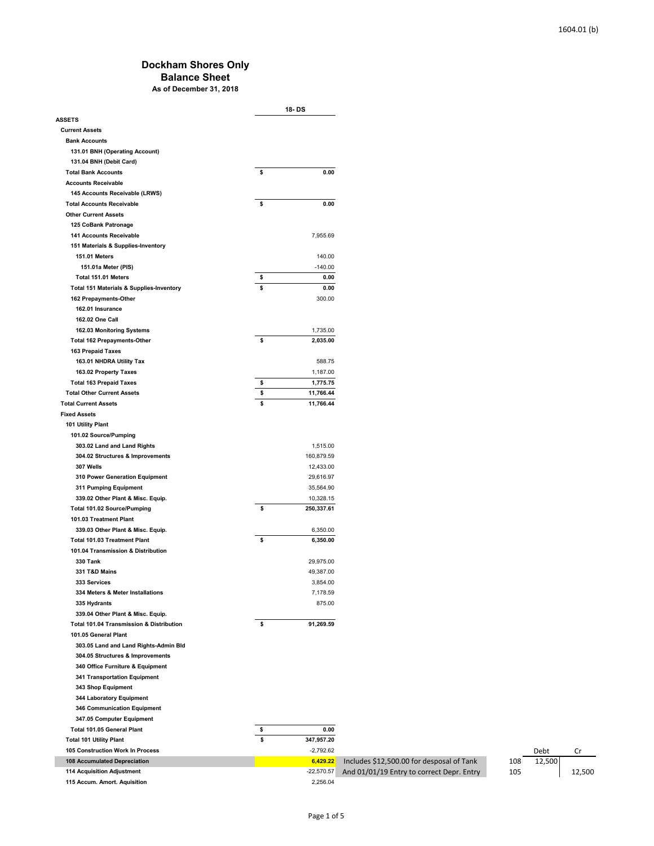### **Dockham Shores Only Balance Sheet As of December 31, 2018**

|                                          |    | 18-DS        |                                           |
|------------------------------------------|----|--------------|-------------------------------------------|
| <b>ASSETS</b>                            |    |              |                                           |
| <b>Current Assets</b>                    |    |              |                                           |
| <b>Bank Accounts</b>                     |    |              |                                           |
| 131.01 BNH (Operating Account)           |    |              |                                           |
| 131.04 BNH (Debit Card)                  |    |              |                                           |
| <b>Total Bank Accounts</b>               | \$ | 0.00         |                                           |
| <b>Accounts Receivable</b>               |    |              |                                           |
| 145 Accounts Receivable (LRWS)           |    |              |                                           |
| <b>Total Accounts Receivable</b>         | \$ | 0.00         |                                           |
| <b>Other Current Assets</b>              |    |              |                                           |
| 125 CoBank Patronage                     |    |              |                                           |
| <b>141 Accounts Receivable</b>           |    | 7,955.69     |                                           |
| 151 Materials & Supplies-Inventory       |    |              |                                           |
| <b>151.01 Meters</b>                     |    | 140.00       |                                           |
| 151.01a Meter (PIS)                      |    | $-140.00$    |                                           |
| Total 151.01 Meters                      | \$ | 0.00         |                                           |
| Total 151 Materials & Supplies-Inventory | \$ | 0.00         |                                           |
| 162 Prepayments-Other                    |    | 300.00       |                                           |
| 162.01 Insurance                         |    |              |                                           |
| 162.02 One Call                          |    |              |                                           |
| 162.03 Monitoring Systems                |    | 1,735.00     |                                           |
| <b>Total 162 Prepayments-Other</b>       | \$ | 2,035.00     |                                           |
| 163 Prepaid Taxes                        |    |              |                                           |
| 163.01 NHDRA Utility Tax                 |    | 588.75       |                                           |
| 163.02 Property Taxes                    |    | 1,187.00     |                                           |
| <b>Total 163 Prepaid Taxes</b>           | \$ | 1,775.75     |                                           |
| <b>Total Other Current Assets</b>        | \$ | 11,766.44    |                                           |
| <b>Total Current Assets</b>              | \$ | 11,766.44    |                                           |
| <b>Fixed Assets</b>                      |    |              |                                           |
| 101 Utility Plant                        |    |              |                                           |
| 101.02 Source/Pumping                    |    |              |                                           |
| 303.02 Land and Land Rights              |    | 1,515.00     |                                           |
| 304.02 Structures & Improvements         |    | 160,879.59   |                                           |
| 307 Wells                                |    | 12,433.00    |                                           |
| 310 Power Generation Equipment           |    | 29,616.97    |                                           |
| 311 Pumping Equipment                    |    | 35,564.90    |                                           |
| 339.02 Other Plant & Misc. Equip.        |    | 10,328.15    |                                           |
| Total 101.02 Source/Pumping              | \$ | 250,337.61   |                                           |
| 101.03 Treatment Plant                   |    |              |                                           |
| 339.03 Other Plant & Misc. Equip.        |    | 6,350.00     |                                           |
| <b>Total 101.03 Treatment Plant</b>      | \$ | 6,350.00     |                                           |
| 101.04 Transmission & Distribution       |    |              |                                           |
| <b>330 Tank</b>                          |    | 29,975.00    |                                           |
| 331 T&D Mains                            |    | 49,387.00    |                                           |
| 333 Services                             |    | 3,854.00     |                                           |
| 334 Meters & Meter Installations         |    | 7,178.59     |                                           |
| 335 Hydrants                             |    | 875.00       |                                           |
| 339.04 Other Plant & Misc. Equip.        |    |              |                                           |
| Total 101.04 Transmission & Distribution | \$ | 91,269.59    |                                           |
| 101.05 General Plant                     |    |              |                                           |
| 303.05 Land and Land Rights-Admin Bld    |    |              |                                           |
|                                          |    |              |                                           |
| 304.05 Structures & Improvements         |    |              |                                           |
| 340 Office Furniture & Equipment         |    |              |                                           |
| 341 Transportation Equipment             |    |              |                                           |
| 343 Shop Equipment                       |    |              |                                           |
| 344 Laboratory Equipment                 |    |              |                                           |
| 346 Communication Equipment              |    |              |                                           |
| 347.05 Computer Equipment                |    |              |                                           |
| Total 101.05 General Plant               | \$ | 0.00         |                                           |
| <b>Total 101 Utility Plant</b>           | s  | 347,957.20   |                                           |
| 105 Construction Work In Process         |    | $-2,792.62$  |                                           |
| 108 Accumulated Depreciation             |    | 6,429.22     | Includes \$12,500.00 for desposal of Tank |
| 114 Acquisition Adjustment               |    | $-22,570.57$ | And 01/01/19 Entry to correct Depr. Entry |

 **115 Accum. Amort. Aquisition** 2,256.04

|      |     | Debt   | Cr     |
|------|-----|--------|--------|
| nk   | 108 | 12,500 |        |
| itry | 105 |        | 12,500 |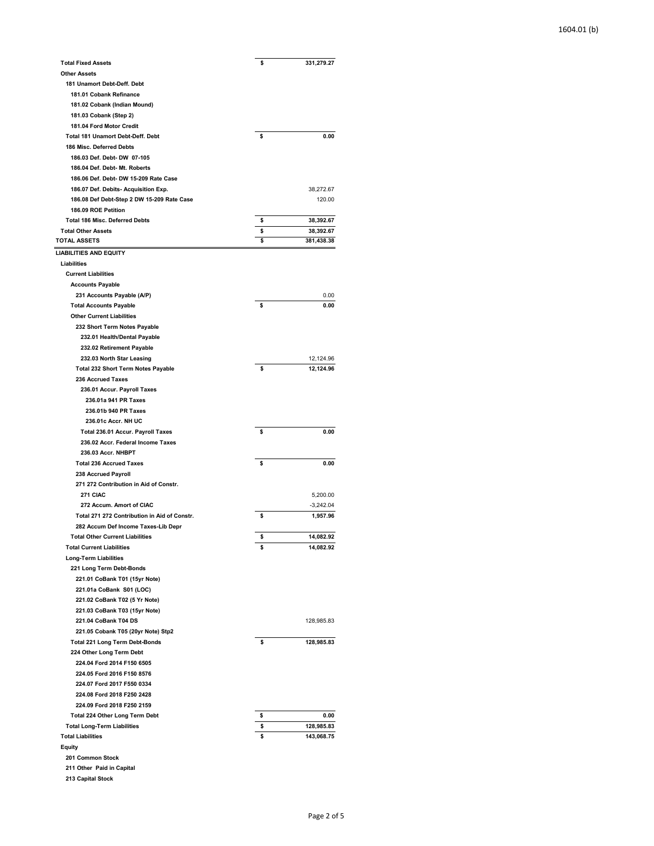| <b>Total Fixed Assets</b>                    | \$ | 331,279.27  |
|----------------------------------------------|----|-------------|
| <b>Other Assets</b>                          |    |             |
| 181 Unamort Debt-Deff. Debt                  |    |             |
| 181.01 Cobank Refinance                      |    |             |
| 181.02 Cobank (Indian Mound)                 |    |             |
| 181.03 Cobank (Step 2)                       |    |             |
| 181.04 Ford Motor Credit                     |    |             |
| <b>Total 181 Unamort Debt-Deff. Debt</b>     | \$ | 0.00        |
| 186 Misc. Deferred Debts                     |    |             |
| 186.03 Def. Debt- DW 07-105                  |    |             |
| 186.04 Def. Debt- Mt. Roberts                |    |             |
| 186.06 Def. Debt- DW 15-209 Rate Case        |    |             |
| 186.07 Def. Debits- Acquisition Exp.         |    | 38,272.67   |
| 186.08 Def Debt-Step 2 DW 15-209 Rate Case   |    | 120.00      |
| 186.09 ROE Petition                          |    |             |
| <b>Total 186 Misc. Deferred Debts</b>        | \$ | 38,392.67   |
| <b>Total Other Assets</b>                    | \$ | 38,392.67   |
| <b>TOTAL ASSETS</b>                          | \$ | 381,438.38  |
| <b>LIABILITIES AND EQUITY</b>                |    |             |
| Liabilities                                  |    |             |
| <b>Current Liabilities</b>                   |    |             |
| <b>Accounts Payable</b>                      |    |             |
| 231 Accounts Payable (A/P)                   |    | 0.00        |
| <b>Total Accounts Payable</b>                | \$ | 0.00        |
| <b>Other Current Liabilities</b>             |    |             |
| 232 Short Term Notes Payable                 |    |             |
| 232.01 Health/Dental Payable                 |    |             |
| 232.02 Retirement Payable                    |    |             |
| 232.03 North Star Leasing                    |    | 12,124.96   |
| Total 232 Short Term Notes Payable           | \$ | 12,124.96   |
| 236 Accrued Taxes                            |    |             |
| 236.01 Accur. Payroll Taxes                  |    |             |
| 236.01a 941 PR Taxes                         |    |             |
| 236.01b 940 PR Taxes                         |    |             |
| 236.01c Accr. NH UC                          |    |             |
| Total 236.01 Accur. Payroll Taxes            | \$ | 0.00        |
| 236.02 Accr. Federal Income Taxes            |    |             |
| 236.03 Accr. NHBPT                           |    |             |
| <b>Total 236 Accrued Taxes</b>               | \$ | 0.00        |
| 238 Accrued Payroll                          |    |             |
| 271 272 Contribution in Aid of Constr.       |    |             |
| 271 CIAC                                     |    | 5,200.00    |
| 272 Accum. Amort of CIAC                     |    | $-3,242.04$ |
| Total 271 272 Contribution in Aid of Constr. | \$ | 1,957.96    |
| 282 Accum Def Income Taxes-Lib Depr          |    |             |
| Total Other Current Liabilities              | ¢  | 14,082.92   |
| <b>Total Current Liabilities</b>             | \$ | 14,082.92   |
| <b>Long-Term Liabilities</b>                 |    |             |
| 221 Long Term Debt-Bonds                     |    |             |
| 221.01 CoBank T01 (15yr Note)                |    |             |
| 221.01a CoBank S01 (LOC)                     |    |             |
| 221.02 CoBank T02 (5 Yr Note)                |    |             |
| 221.03 CoBank T03 (15yr Note)                |    |             |
| 221.04 CoBank T04 DS                         |    | 128,985.83  |
| 221.05 Cobank T05 (20yr Note) Stp2           |    |             |
| Total 221 Long Term Debt-Bonds               | \$ | 128,985.83  |
| 224 Other Long Term Debt                     |    |             |
| 224.04 Ford 2014 F150 6505                   |    |             |
| 224.05 Ford 2016 F150 8576                   |    |             |
| 224.07 Ford 2017 F550 0334                   |    |             |
| 224.08 Ford 2018 F250 2428                   |    |             |
|                                              |    |             |
| 224.09 Ford 2018 F250 2159                   |    |             |
| Total 224 Other Long Term Debt               | \$ | 0.00        |
| <b>Total Long-Term Liabilities</b>           | \$ | 128,985.83  |
| <b>Total Liabilities</b>                     | \$ | 143,068.75  |
| Equity                                       |    |             |
| 201 Common Stock                             |    |             |
| 211 Other Paid in Capital                    |    |             |

 **213 Capital Stock**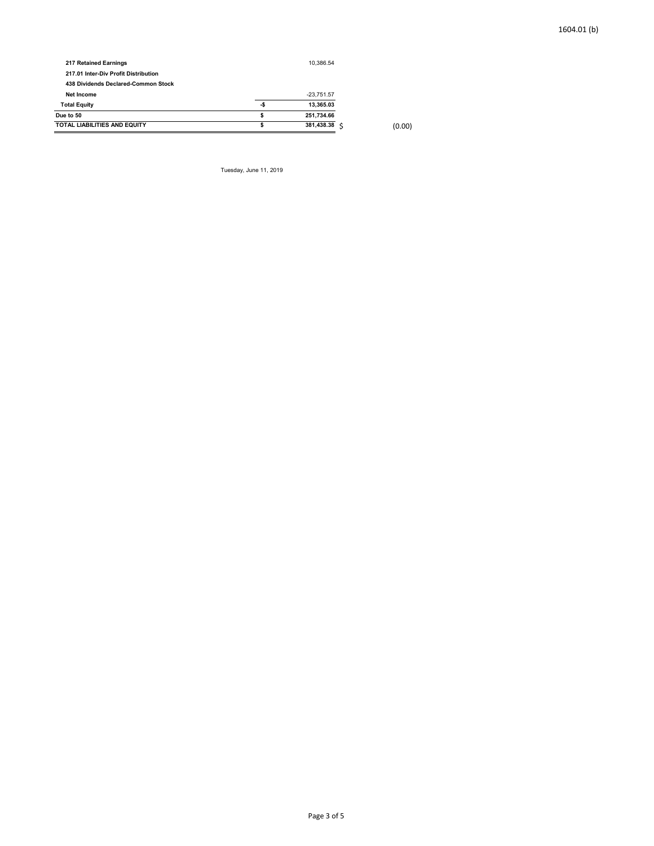| TOTAL LIABILITIES AND EQUITY         |     | 381,438.38   | (0.00) |
|--------------------------------------|-----|--------------|--------|
| Due to 50                            |     | 251.734.66   |        |
| <b>Total Equity</b>                  | -\$ | 13.365.03    |        |
| Net Income                           |     | $-23.751.57$ |        |
| 438 Dividends Declared-Common Stock  |     |              |        |
| 217.01 Inter-Div Profit Distribution |     |              |        |
| 217 Retained Earnings                |     | 10.386.54    |        |
|                                      |     |              |        |

Tuesday, June 11, 2019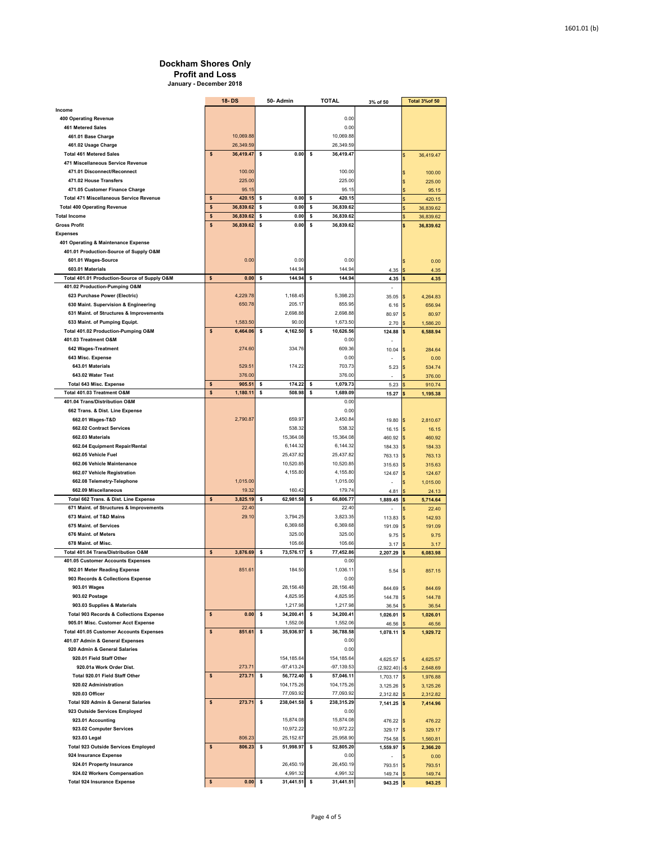#### **Dockham Shores Only Profit and Loss**

۰

Î.

÷.

**January - December 2018**

|                                                    | 18- ມຣ          | 50- Admin        | IUIAL            | 3% of 50    | Total 3%of 50            |
|----------------------------------------------------|-----------------|------------------|------------------|-------------|--------------------------|
| Income                                             |                 |                  |                  |             |                          |
| 400 Operating Revenue                              |                 |                  | 0.00             |             |                          |
| <b>461 Metered Sales</b>                           |                 |                  | 0.00             |             |                          |
| 461.01 Base Charge                                 | 10,069.88       |                  | 10,069.88        |             |                          |
| 461.02 Usage Charge                                | 26,349.59       |                  | 26,349.59        |             |                          |
| <b>Total 461 Metered Sales</b>                     | \$<br>36,419.47 | \$<br>0.00       | \$<br>36.419.47  |             |                          |
|                                                    |                 |                  |                  |             | 36,419.47<br>S           |
| 471 Miscellaneous Service Revenue                  |                 |                  |                  |             |                          |
| 471.01 Disconnect/Reconnect                        | 100.00          |                  | 100.00           |             | 100.00<br>\$             |
| 471.02 House Transfers                             | 225.00          |                  | 225.00           |             | S<br>225.00              |
| 471.05 Customer Finance Charge                     | 95.15           |                  | 95.15            |             | 95.15                    |
| <b>Total 471 Miscellaneous Service Revenue</b>     | \$<br>420.15    | Ś<br>0.00        | \$<br>420.15     |             | Ś<br>420.15              |
| <b>Total 400 Operating Revenue</b>                 | \$<br>36,839.62 | 0.00<br>s        | \$<br>36.839.62  |             | \$<br>36,839.62          |
| <b>Total Income</b>                                | \$<br>36,839.62 | \$<br>0.00       | 36,839.62<br>\$  |             | S<br>36,839.62           |
| <b>Gross Profit</b>                                | \$<br>36,839.62 | \$<br>0.00       | \$<br>36,839.62  |             | s<br>36,839.62           |
| <b>Expenses</b>                                    |                 |                  |                  |             |                          |
|                                                    |                 |                  |                  |             |                          |
| 401 Operating & Maintenance Expense                |                 |                  |                  |             |                          |
| 401.01 Production-Source of Supply O&M             |                 |                  |                  |             |                          |
| 601.01 Wages-Source                                | 0.00            | 0.00             | 0.00             |             | 0.00                     |
| 603.01 Materials                                   |                 | 144.94           | 144.94           | 4.35        | 4.35                     |
| Total 401.01 Production-Source of Supply O&M       | \$<br>0.00      | 144.94<br>\$     | 144.94<br>\$     | 4.35        | Ś<br>4.35                |
| 401.02 Production-Pumping O&M                      |                 |                  |                  | ٠           |                          |
| 623 Purchase Power (Electric)                      | 4,229.78        | 1,168.45         | 5,398.23         | 35.05       | 4,264.83                 |
| 630 Maint. Supervision & Engineering               | 650.78          | 205.17           | 855.95           | 6.16        | 656.94                   |
| 631 Maint. of Structures & Improvements            |                 | 2,698.88         | 2,698.88         | 80.97       | 80.97                    |
| 633 Maint. of Pumping Equipt.                      | 1,583.50        | 90.00            | 1,673.50         | 2.70        | 1,586.20                 |
| Total 401.02 Production-Pumping O&M                | \$<br>6,464.06  | 4,162.50<br>\$   | 10.626.56<br>\$  | 124.88      | 6,588.94                 |
| 401.03 Treatment O&M                               |                 |                  | 0.00             |             |                          |
| 642 Wages-Treatment                                | 274.60          | 334.76           | 609.36           |             |                          |
|                                                    |                 |                  | 0.00             | 10.04       | 284.64                   |
| 643 Misc. Expense                                  |                 |                  |                  |             | 0.00                     |
| 643.01 Materials                                   | 529.51          | 174.22           | 703.73           | 5.23        | 534.74                   |
| 643.02 Water Test                                  | 376.00          |                  | 376.00           |             | 376.00                   |
| Total 643 Misc. Expense                            | \$<br>905.51    | 174.22<br>s      | \$<br>1,079.73   | 5.23        | 910.74                   |
| Total 401.03 Treatment O&M                         | \$<br>1,180.11  | \$<br>508.98     | \$<br>1,689.09   | 15.27       | 1,195.38                 |
| 401.04 Trans/Distribution O&M                      |                 |                  | 0.00             |             |                          |
| 662 Trans. & Dist. Line Expense                    |                 |                  | 0.00             |             |                          |
| 662.01 Wages-T&D                                   | 2,790.87        | 659.97           | 3,450.84         | 19.80       | 2,810.67                 |
| 662.02 Contract Services                           |                 | 538.32           | 538.32           | 16.15       | \$<br>16.15              |
| 662.03 Materials                                   |                 | 15,364.08        | 15,364.08        | 460.92      | \$<br>460.92             |
| 662.04 Equipment Repair/Rental                     |                 | 6,144.32         | 6,144.32         | 184.33      | S                        |
| 662.05 Vehicle Fuel                                |                 | 25,437.82        | 25,437.82        |             | 184.33                   |
|                                                    |                 |                  |                  | 763.13      | 763.13<br>\$             |
| 662.06 Vehicle Maintenance                         |                 | 10,520.85        | 10,520.85        | 315.63      | S<br>315.63              |
| 662.07 Vehicle Registration                        |                 | 4,155.80         | 4,155.80         | 124.67      | 124.67<br>\$             |
| 662.08 Telemetry-Telephone                         | 1,015.00        |                  | 1,015.00         |             | 1,015.00<br>\$           |
| 662.09 Miscellaneous                               | 19.32           | 160.42           | 179.74           | 4.81        | 24.13                    |
| Total 662 Trans. & Dist. Line Expense              | \$<br>3,825.19  | 62,981.58<br>\$  | 66,806.77<br>\$  | 1,889.45    | 5,714.64                 |
| 671 Maint. of Structures & Improvements            | 22.40           |                  | 22.40            |             | 22.40                    |
| 673 Maint, of T&D Mains                            | 29.10           | 3,794.25         | 3,823.35         | 113.83      | \$<br>142.93             |
| 675 Maint. of Services                             |                 | 6,369.68         | 6,369.68         | 191.09      | 191.09<br>\$             |
| 676 Maint. of Meters                               |                 | 325.00           | 325.00           | 9.75        | S<br>9.75                |
| 678 Maint. of Misc.                                |                 | 105.66           | 105.66           | 3.17        | 3.17                     |
| Total 401.04 Trans/Distribution O&M                | \$<br>3,876.69  | \$<br>73,576.17  | 77,452.86<br>\$  |             |                          |
| 401.05 Customer Accounts Expenses                  |                 |                  | 0.00             | 2,207.29    | 6,083.98                 |
|                                                    |                 |                  |                  |             |                          |
| 902.01 Meter Reading Expense                       | 851.61          | 184.50           | 1,036.11         | 5.54        | 857.15<br>S              |
| 903 Records & Collections Expense                  |                 |                  | 0.00             |             |                          |
| 903.01 Wages                                       |                 | 28,156.48        | 28, 156.48       | 844.69      | $\mathfrak{s}$<br>844.69 |
| 903.02 Postage                                     |                 | 4,825.95         | 4,825.95         | 144.78      | 144.78<br>\$             |
| 903.03 Supplies & Materials                        |                 | 1,217.98         | 1,217.98         | 36.54       | 36.54                    |
| <b>Total 903 Records &amp; Collections Expense</b> | \$<br>0.00      | 34,200.41<br>\$  | 34,200.41<br>\$  | 1,026.01    | 1,026.01<br>S            |
| 905.01 Misc. Customer Acct Expense                 |                 | 1,552.06         | 1,552.06         | 46.56       | 46.56                    |
| <b>Total 401.05 Customer Accounts Expenses</b>     | \$<br>851.61    | \$<br>35,936.97  | \$<br>36,788.58  | 1,078.11    | 1,929.72                 |
| 401.07 Admin & General Expenses                    |                 |                  | 0.00             |             |                          |
| 920 Admin & General Salaries                       |                 |                  | 0.00             |             |                          |
| 920.01 Field Staff Other                           |                 | 154, 185.64      | 154, 185.64      | 4,625.57 \$ | 4,625.57                 |
| 920.01a Work Order Dist.                           | 273.71          | $-97,413.24$     | $-97, 139.53$    | (2,922.40)  | -\$<br>2,648.69          |
| Total 920.01 Field Staff Other                     | 273.71<br>\$    | \$<br>56,772.40  | 57,046.11<br>\$  | 1,703.17    | 1,976.88<br>\$           |
| 920.02 Administration                              |                 | 104,175.26       | 104, 175.26      |             |                          |
|                                                    |                 |                  | 77,093.92        | 3,125.26    | \$<br>3,125.26           |
| 920.03 Officer                                     |                 | 77,093.92        |                  | 2,312.82    | 2,312.82                 |
| Total 920 Admin & General Salaries                 | \$<br>273.71    | \$<br>238,041.58 | 238,315.29<br>\$ | 7,141.25    | 7,414.96                 |
| 923 Outside Services Employed                      |                 |                  | 0.00             |             |                          |
| 923.01 Accounting                                  |                 | 15,874.08        | 15,874.08        | 476.22      | 476.22<br>S              |
| 923.02 Computer Services                           |                 | 10,972.22        | 10,972.22        | 329.17      | $\mathfrak{S}$<br>329.17 |
| 923.03 Legal                                       | 806.23          | 25,152.67        | 25,958.90        | 754.58      | 1,560.81                 |
| <b>Total 923 Outside Services Employed</b>         | 806.23<br>\$    | 51,998.97<br>\$  | 52,805.20<br>\$  | 1,559.97    | 2,366.20<br>\$           |
| 924 Insurance Expense                              |                 |                  | 0.00             |             | 0.00                     |
| 924.01 Property Insurance                          |                 | 26,450.19        | 26,450.19        | 793.51      | 793.51<br>$\mathfrak{S}$ |
| 924.02 Workers Compensation                        |                 | 4,991.32         | 4,991.32         | 149.74      | 149.74                   |
| <b>Total 924 Insurance Expense</b>                 | 0.00<br>\$      | \$<br>31,441.51  | \$<br>31,441.51  | $943.25$ \$ | 943.25                   |
|                                                    |                 |                  |                  |             |                          |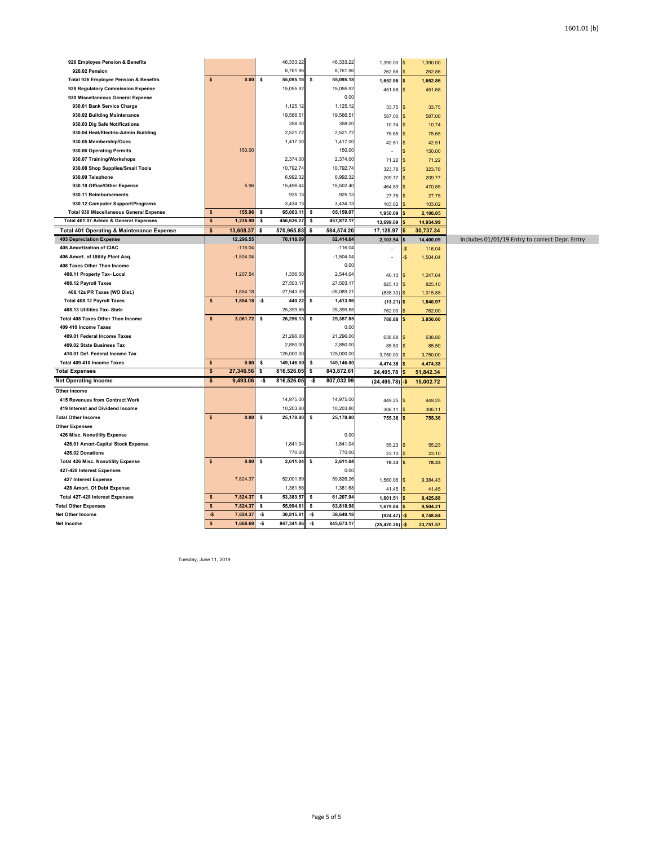| 1601.01 (b) |  |
|-------------|--|
|-------------|--|

| 46,333.22<br>46,333.22<br>926 Employee Pension & Benefits<br>926.02 Pension<br>8,761.96<br>8,761.96<br>\$<br>\$<br>55,095.18<br><b>Total 926 Employee Pension &amp; Benefits</b><br>0.00<br>55,095.18<br>\$<br>928 Regulatory Commission Expense<br>15,055.92<br>15,055.92<br>930 Miscellaneous General Expense<br>0.00<br>930.01 Bank Service Charge<br>1,125.12<br>1,125.12<br>930.02 Building Maintenance<br>19,566.51<br>19,566.51<br>930.03 Dig Safe Notifications<br>358.00<br>358.00<br>2,521.72<br>930.04 Heat/Electric-Admin Building<br>2,521.72<br>1,417.00<br>1,417.00<br>930.05 Membership/Dues | <b>S</b><br>S  | 1,390.00 \$<br>262.86<br>1,652.86<br>451.68<br>33.75 | 1,390.00<br>262.86<br>1,652.86<br>451.68 |
|--------------------------------------------------------------------------------------------------------------------------------------------------------------------------------------------------------------------------------------------------------------------------------------------------------------------------------------------------------------------------------------------------------------------------------------------------------------------------------------------------------------------------------------------------------------------------------------------------------------|----------------|------------------------------------------------------|------------------------------------------|
|                                                                                                                                                                                                                                                                                                                                                                                                                                                                                                                                                                                                              |                |                                                      |                                          |
|                                                                                                                                                                                                                                                                                                                                                                                                                                                                                                                                                                                                              |                |                                                      |                                          |
|                                                                                                                                                                                                                                                                                                                                                                                                                                                                                                                                                                                                              |                |                                                      |                                          |
|                                                                                                                                                                                                                                                                                                                                                                                                                                                                                                                                                                                                              |                |                                                      |                                          |
|                                                                                                                                                                                                                                                                                                                                                                                                                                                                                                                                                                                                              |                |                                                      |                                          |
|                                                                                                                                                                                                                                                                                                                                                                                                                                                                                                                                                                                                              |                |                                                      | 33.75                                    |
|                                                                                                                                                                                                                                                                                                                                                                                                                                                                                                                                                                                                              |                | 587.00                                               | 587.00                                   |
|                                                                                                                                                                                                                                                                                                                                                                                                                                                                                                                                                                                                              |                | 10.74                                                | 10.74                                    |
|                                                                                                                                                                                                                                                                                                                                                                                                                                                                                                                                                                                                              |                | 75.65                                                | 75.65                                    |
|                                                                                                                                                                                                                                                                                                                                                                                                                                                                                                                                                                                                              |                | 42.51                                                | 42.51                                    |
| 150.00<br>150.00<br>930.06 Operating Permits                                                                                                                                                                                                                                                                                                                                                                                                                                                                                                                                                                 |                |                                                      | 150.00                                   |
| 2,374.00<br>2,374.00<br>930.07 Training/Workshops                                                                                                                                                                                                                                                                                                                                                                                                                                                                                                                                                            |                | 71.22                                                | 71.22                                    |
| 10,792.74<br>10,792.74<br>930.08 Shop Supplies/Small Tools                                                                                                                                                                                                                                                                                                                                                                                                                                                                                                                                                   | $\mathfrak{S}$ | 323.78                                               | 323.78                                   |
| 6,992.32<br>6,992.32<br>930.09 Telephone                                                                                                                                                                                                                                                                                                                                                                                                                                                                                                                                                                     |                | 209.77                                               | 209.77                                   |
| 930.10 Office/Other Expense<br>5.96<br>15,496.44<br>15,502.40                                                                                                                                                                                                                                                                                                                                                                                                                                                                                                                                                |                | 464.89                                               | 470.85                                   |
| 925.13<br>925.13<br>930.11 Reimbursements                                                                                                                                                                                                                                                                                                                                                                                                                                                                                                                                                                    |                | 27.75                                                | 27.75                                    |
| 3,434.13<br>930.12 Computer Support/Programs<br>3,434.13                                                                                                                                                                                                                                                                                                                                                                                                                                                                                                                                                     |                | 103.02                                               | 103.02                                   |
| \$<br>155.96<br>65,003.11<br>65,159.07<br><b>Total 930 Miscellaneous General Expense</b><br>\$<br>\$                                                                                                                                                                                                                                                                                                                                                                                                                                                                                                         |                | 1,950.09                                             | 2,106.05                                 |
| Total 401.07 Admin & General Expenses<br>\$<br>1,235.90<br>\$<br>456,636.27<br>\$<br>457,872.17                                                                                                                                                                                                                                                                                                                                                                                                                                                                                                              |                | 13,699.09                                            | 14,934.99                                |
| \$<br>\$<br><b>Total 401 Operating &amp; Maintenance Expense</b><br>13,608.37<br>570,965.83<br>\$<br>584,574.20                                                                                                                                                                                                                                                                                                                                                                                                                                                                                              | S              | 17,128.97                                            | 30,737.34                                |
| <b>403 Depreciation Expense</b><br>12,296.55<br>70,118.09<br>82,414.64                                                                                                                                                                                                                                                                                                                                                                                                                                                                                                                                       | ls             | 2,103.54                                             | 14,400.09                                |
| $-116.04$<br>$-116.04$<br>405 Amortization of CIAC                                                                                                                                                                                                                                                                                                                                                                                                                                                                                                                                                           |                |                                                      | 116.04<br>-\$                            |
| $-1,504.04$<br>$-1,504.04$<br>406 Amort. of Utility Plant Acq.                                                                                                                                                                                                                                                                                                                                                                                                                                                                                                                                               |                | ä,                                                   | -\$<br>1,504.04                          |
| 0.00<br>408 Taxes Other Than Income                                                                                                                                                                                                                                                                                                                                                                                                                                                                                                                                                                          |                |                                                      |                                          |
| 408.11 Property Tax- Local<br>1,207.54<br>1,336.50<br>2,544.04                                                                                                                                                                                                                                                                                                                                                                                                                                                                                                                                               | <b>S</b>       | 40.10                                                | 1,247.64                                 |
| 408.12 Payroll Taxes<br>27,503.17<br>27,503.17                                                                                                                                                                                                                                                                                                                                                                                                                                                                                                                                                               |                | 825.10                                               | 825.10                                   |
| $-27,943.39$<br>$-26,089.21$<br>408.12a PR Taxes (WO Dist.)<br>1,854.18                                                                                                                                                                                                                                                                                                                                                                                                                                                                                                                                      |                | (838.30)                                             | 1,015.88                                 |
| <b>Total 408.12 Payroll Taxes</b><br>\$<br>1,854.18<br>-\$<br>440.22<br>\$<br>1,413.96                                                                                                                                                                                                                                                                                                                                                                                                                                                                                                                       |                | (13.21)                                              | 1,840.97                                 |
| 408.13 Utilities Tax- State<br>25,399.85<br>25,399.85                                                                                                                                                                                                                                                                                                                                                                                                                                                                                                                                                        |                | 762.00                                               | 762.00                                   |
| 29,357.85<br><b>Total 408 Taxes Other Than Income</b><br>\$<br>3,061.72<br>\$<br>26,296.13<br>\$                                                                                                                                                                                                                                                                                                                                                                                                                                                                                                             |                | 788.88                                               | 3,850.60                                 |
| 0.00<br>409 410 Income Taxes                                                                                                                                                                                                                                                                                                                                                                                                                                                                                                                                                                                 |                |                                                      |                                          |
| 21,296.00<br>21,296.00<br>409.01 Federal Income Taxes                                                                                                                                                                                                                                                                                                                                                                                                                                                                                                                                                        |                | 638.88                                               | 638.88                                   |
| 2,850.00<br>2,850.00<br>409.02 State Business Tax                                                                                                                                                                                                                                                                                                                                                                                                                                                                                                                                                            |                | 85.50                                                | 85.50                                    |
| 125,000.00<br>125,000.00<br>410.01 Def. Federal Income Tax                                                                                                                                                                                                                                                                                                                                                                                                                                                                                                                                                   |                | 3,750.00                                             | 3,750.00                                 |
| Total 409 410 Income Taxes<br>\$<br>0.00<br>149,146.00<br>\$<br>149,146.00<br>\$                                                                                                                                                                                                                                                                                                                                                                                                                                                                                                                             |                | 4,474.38                                             | 4,474.38                                 |
| <b>Total Expenses</b><br>s<br>27,346.56<br>s<br>816,526.05<br>\$<br>843,872.61                                                                                                                                                                                                                                                                                                                                                                                                                                                                                                                               |                | 24,495.78                                            | 51,842.34                                |
| s<br>9.493.06<br>816,526.05<br>807,032.99<br><b>Net Operating Income</b><br>-\$<br>-\$                                                                                                                                                                                                                                                                                                                                                                                                                                                                                                                       |                | $(24, 495.78)$ -\$                                   | 15,002.72                                |
| Other Income                                                                                                                                                                                                                                                                                                                                                                                                                                                                                                                                                                                                 |                |                                                      |                                          |
| 415 Revenues from Contract Work<br>14,975.00<br>14,975.00                                                                                                                                                                                                                                                                                                                                                                                                                                                                                                                                                    |                | 449.25                                               | 449.25                                   |
| 10,203.80<br>419 Interest and Dividend Income<br>10,203.80                                                                                                                                                                                                                                                                                                                                                                                                                                                                                                                                                   |                | 306.11                                               | 306.11                                   |
| <b>Total Other Income</b><br>\$<br>0.00<br>s<br>25,178.80<br>s<br>25,178.80                                                                                                                                                                                                                                                                                                                                                                                                                                                                                                                                  |                | 755.36                                               | 755.36                                   |
| <b>Other Expenses</b>                                                                                                                                                                                                                                                                                                                                                                                                                                                                                                                                                                                        |                |                                                      |                                          |
| 426 Misc. Nonutility Expense<br>0.00                                                                                                                                                                                                                                                                                                                                                                                                                                                                                                                                                                         |                |                                                      |                                          |
| 1,841.04<br>1,841.04<br>426.01 Amort-Capital Stock Expense                                                                                                                                                                                                                                                                                                                                                                                                                                                                                                                                                   |                | 55.23                                                | 55.23                                    |
| 770.00<br>770.00<br>426.02 Donations                                                                                                                                                                                                                                                                                                                                                                                                                                                                                                                                                                         |                |                                                      |                                          |
| \$<br>\$<br>2,611.04<br><b>Total 426 Misc. Nonutility Expense</b><br>0.00<br>2,611.04<br>\$                                                                                                                                                                                                                                                                                                                                                                                                                                                                                                                  |                | 23.10                                                | 23.10                                    |
| 0.00<br>427-428 Interest Expenses                                                                                                                                                                                                                                                                                                                                                                                                                                                                                                                                                                            |                | 78.33                                                | 78.33                                    |
| 52,001.89<br>59,826.26<br>427 Interest Expense<br>7,824.37                                                                                                                                                                                                                                                                                                                                                                                                                                                                                                                                                   | <b>S</b>       | 1.560.06                                             | 9,384.43                                 |
| 428 Amort. Of Debt Expense<br>1,381.68<br>1.381.68                                                                                                                                                                                                                                                                                                                                                                                                                                                                                                                                                           |                |                                                      |                                          |
| \$<br>7,824.37<br>\$<br>53,383.57<br>\$<br>61,207.94<br>Total 427-428 Interest Expenses                                                                                                                                                                                                                                                                                                                                                                                                                                                                                                                      |                | 41.45                                                | 41.45                                    |
| $\mathsf{s}$<br>63,818.98<br><b>Total Other Expenses</b><br>7,824.37<br>\$<br>55.994.61<br>\$                                                                                                                                                                                                                                                                                                                                                                                                                                                                                                                |                | 1.601.51                                             | 9.425.88                                 |
| -\$<br>$-\$$<br>7,824.37<br>-\$<br>38,640.18<br><b>Net Other Income</b><br>30,815.81                                                                                                                                                                                                                                                                                                                                                                                                                                                                                                                         |                | 1,679.84                                             | 9,504.21                                 |
| 1.668.69<br>845,673.17<br><b>Net Income</b><br>$\mathbf{s}$<br>-S<br>847,341.86<br>-\$                                                                                                                                                                                                                                                                                                                                                                                                                                                                                                                       |                | $(924.47)$ -S                                        | 8,748.84                                 |
|                                                                                                                                                                                                                                                                                                                                                                                                                                                                                                                                                                                                              |                | $(25, 420.26)$ -\$                                   | 23,751.57                                |

Includes 01/01/19 Entry to correct Depr. Entry

Tuesday, June 11, 2019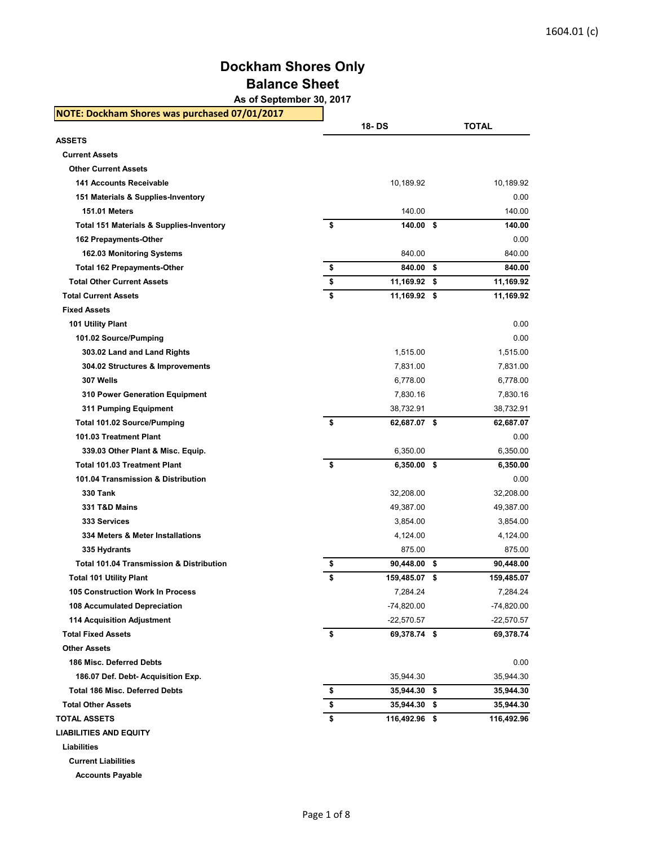## **Dockham Shores Only Balance Sheet**

**As of September 30, 2017**

| NOTE: Dockham Shores was purchased 07/01/2017       |                     |              |
|-----------------------------------------------------|---------------------|--------------|
|                                                     | <b>18-DS</b>        | <b>TOTAL</b> |
| <b>ASSETS</b>                                       |                     |              |
| <b>Current Assets</b>                               |                     |              |
| <b>Other Current Assets</b>                         |                     |              |
| <b>141 Accounts Receivable</b>                      | 10,189.92           | 10,189.92    |
| 151 Materials & Supplies-Inventory                  |                     | 0.00         |
| 151.01 Meters                                       | 140.00              | 140.00       |
| <b>Total 151 Materials &amp; Supplies-Inventory</b> | \$<br>140.00 \$     | 140.00       |
| 162 Prepayments-Other                               |                     | 0.00         |
| 162.03 Monitoring Systems                           | 840.00              | 840.00       |
| <b>Total 162 Prepayments-Other</b>                  | \$<br>840.00 \$     | 840.00       |
| <b>Total Other Current Assets</b>                   | \$<br>11,169.92 \$  | 11,169.92    |
| <b>Total Current Assets</b>                         | \$<br>11,169.92 \$  | 11,169.92    |
| <b>Fixed Assets</b>                                 |                     |              |
| 101 Utility Plant                                   |                     | 0.00         |
| 101.02 Source/Pumping                               |                     | 0.00         |
| 303.02 Land and Land Rights                         | 1,515.00            | 1,515.00     |
| 304.02 Structures & Improvements                    | 7,831.00            | 7,831.00     |
| 307 Wells                                           | 6,778.00            | 6,778.00     |
| 310 Power Generation Equipment                      | 7,830.16            | 7,830.16     |
| 311 Pumping Equipment                               | 38,732.91           | 38,732.91    |
| <b>Total 101.02 Source/Pumping</b>                  | \$<br>62,687.07 \$  | 62,687.07    |
| 101.03 Treatment Plant                              |                     | 0.00         |
| 339.03 Other Plant & Misc. Equip.                   | 6,350.00            | 6,350.00     |
| <b>Total 101.03 Treatment Plant</b>                 | \$<br>$6,350.00$ \$ | 6,350.00     |
| 101.04 Transmission & Distribution                  |                     | 0.00         |
| <b>330 Tank</b>                                     | 32,208.00           | 32,208.00    |
| 331 T&D Mains                                       | 49,387.00           | 49,387.00    |
| 333 Services                                        | 3,854.00            | 3,854.00     |
| 334 Meters & Meter Installations                    | 4,124.00            | 4,124.00     |
| 335 Hydrants                                        | 875.00              | 875.00       |
| Total 101.04 Transmission & Distribution            | \$<br>90,448.00 \$  | 90,448.00    |
| <b>Total 101 Utility Plant</b>                      | \$<br>159,485.07 \$ | 159,485.07   |
| <b>105 Construction Work In Process</b>             | 7,284.24            | 7,284.24     |
| <b>108 Accumulated Depreciation</b>                 | -74,820.00          | $-74,820.00$ |
| <b>114 Acquisition Adjustment</b>                   | $-22,570.57$        | $-22,570.57$ |
| <b>Total Fixed Assets</b>                           | \$<br>69,378.74 \$  | 69,378.74    |
| <b>Other Assets</b>                                 |                     |              |
| 186 Misc. Deferred Debts                            |                     | 0.00         |
| 186.07 Def. Debt- Acquisition Exp.                  | 35,944.30           | 35,944.30    |
| <b>Total 186 Misc. Deferred Debts</b>               | \$<br>35,944.30 \$  | 35,944.30    |
| <b>Total Other Assets</b>                           | \$<br>35,944.30 \$  | 35,944.30    |
| <b>TOTAL ASSETS</b>                                 | \$<br>116,492.96 \$ | 116,492.96   |
| <b>LIABILITIES AND EQUITY</b>                       |                     |              |
| Liabilities                                         |                     |              |

 **Current Liabilities**

 **Accounts Payable**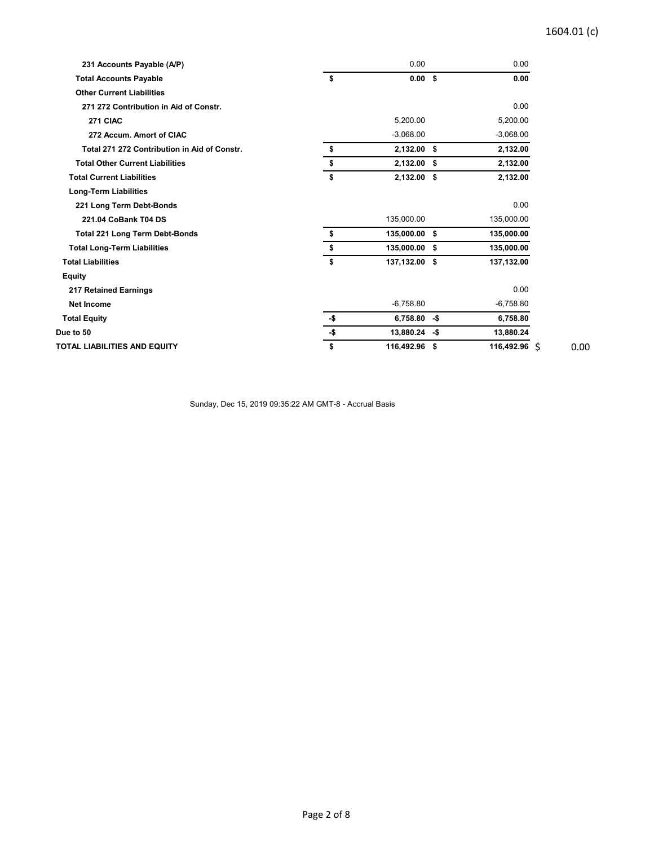## 1604.01 (c)

| 231 Accounts Payable (A/P)                   |      | 0.00           | 0.00          |  |
|----------------------------------------------|------|----------------|---------------|--|
| <b>Total Accounts Payable</b>                | \$   | 0.00 S         | 0.00          |  |
| <b>Other Current Liabilities</b>             |      |                |               |  |
| 271 272 Contribution in Aid of Constr.       |      |                | 0.00          |  |
| 271 CIAC                                     |      | 5,200.00       | 5,200.00      |  |
| 272 Accum. Amort of CIAC                     |      | $-3,068.00$    | $-3,068.00$   |  |
| Total 271 272 Contribution in Aid of Constr. | \$   | $2,132.00$ \$  | 2,132.00      |  |
| <b>Total Other Current Liabilities</b>       | \$   | $2,132.00$ \$  | 2,132.00      |  |
| <b>Total Current Liabilities</b>             | \$   | $2,132.00$ \$  | 2,132.00      |  |
| <b>Long-Term Liabilities</b>                 |      |                |               |  |
| 221 Long Term Debt-Bonds                     |      |                | 0.00          |  |
| 221.04 CoBank T04 DS                         |      | 135,000.00     | 135,000.00    |  |
| <b>Total 221 Long Term Debt-Bonds</b>        | \$   | 135,000.00 \$  | 135,000.00    |  |
| <b>Total Long-Term Liabilities</b>           | \$   | 135,000.00 \$  | 135,000.00    |  |
| <b>Total Liabilities</b>                     | \$   | 137,132.00 \$  | 137,132.00    |  |
| Equity                                       |      |                |               |  |
| <b>217 Retained Earnings</b>                 |      |                | 0.00          |  |
| <b>Net Income</b>                            |      | $-6,758.80$    | $-6,758.80$   |  |
| <b>Total Equity</b>                          | $-5$ | $6,758.80 - $$ | 6,758.80      |  |
| Due to 50                                    | -\$  | 13,880.24 -\$  | 13,880.24     |  |
| TOTAL LIABILITIES AND EQUITY                 | \$   | 116,492.96 \$  | 116,492.96 \$ |  |

Sunday, Dec 15, 2019 09:35:22 AM GMT-8 - Accrual Basis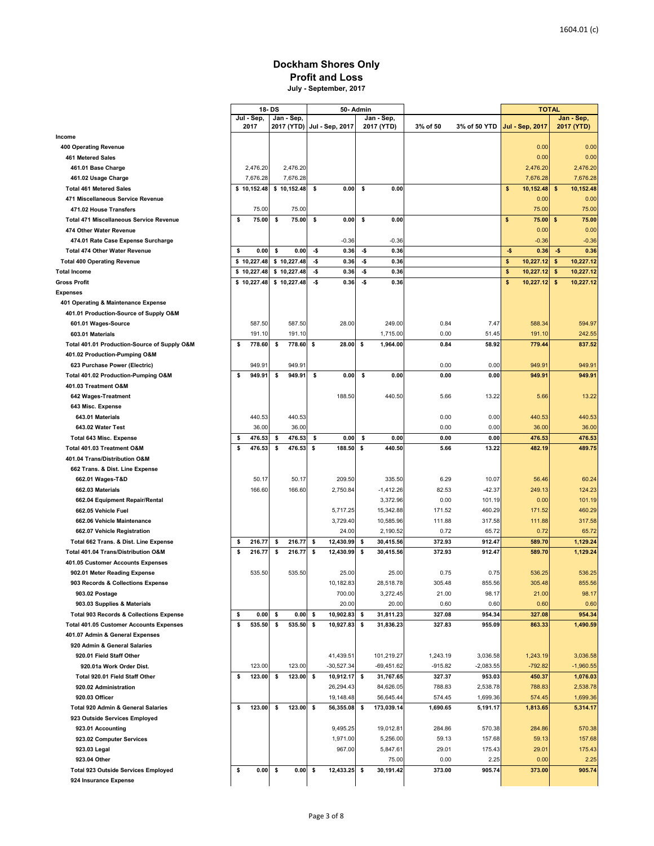### **Dockham Shores Only Profit and Loss July - September, 2017**

|                                                    |    | 18-DS       |            |             |     | 50 Admin        |       |              |           |              |               | <b>TOTAL</b>           |              |             |
|----------------------------------------------------|----|-------------|------------|-------------|-----|-----------------|-------|--------------|-----------|--------------|---------------|------------------------|--------------|-------------|
|                                                    |    | Jul - Sep,  | Jan - Sep, |             |     |                 |       | Jan - Sep,   |           |              |               |                        |              | Jan - Sep.  |
|                                                    |    | 2017        |            | 2017 (YTD)  |     | Jul - Sep, 2017 |       | 2017 (YTD)   | 3% of 50  | 3% of 50 YTD |               | <b>Jul - Sep, 2017</b> |              | 2017 (YTD)  |
| Income                                             |    |             |            |             |     |                 |       |              |           |              |               |                        |              |             |
| <b>400 Operating Revenue</b>                       |    |             |            |             |     |                 |       |              |           |              |               | 0.00                   |              | 0.00        |
| <b>461 Metered Sales</b>                           |    |             |            |             |     |                 |       |              |           |              |               | 0.00                   |              | 0.00        |
| 461.01 Base Charge                                 |    | 2,476.20    |            | 2,476.20    |     |                 |       |              |           |              |               | 2,476.20               |              | 2,476.20    |
| 461.02 Usage Charge                                |    | 7,676.28    |            | 7,676.28    |     |                 |       |              |           |              |               | 7,676.28               |              | 7,676.28    |
| <b>Total 461 Metered Sales</b>                     |    | \$10,152.48 |            | \$10,152.48 | \$  | 0.00            | \$    | 0.00         |           |              | \$            | 10,152.48              | \$           | 10,152.48   |
| 471 Miscellaneous Service Revenue                  |    |             |            |             |     |                 |       |              |           |              |               | 0.00                   |              | 0.00        |
| 471.02 House Transfers                             |    | 75.00       |            | 75.00       |     |                 |       |              |           |              |               | 75.00                  |              | 75.00       |
| <b>Total 471 Miscellaneous Service Revenue</b>     | s  | 75.00       | \$         | 75.00       | \$  | 0.00            | \$    | 0.00         |           |              | \$            | 75.00                  | \$           | 75.00       |
| 474 Other Water Revenue                            |    |             |            |             |     |                 |       |              |           |              |               | 0.00                   |              | 0.00        |
| 474.01 Rate Case Expense Surcharge                 |    |             |            |             |     | $-0.36$         |       | $-0.36$      |           |              |               | $-0.36$                |              | $-0.36$     |
| Total 474 Other Water Revenue                      | \$ | 0.00        | \$         | 0.00        | -\$ | 0.36            | -\$   | 0.36         |           |              | $-5$          | 0.36                   | $-5$         | 0.36        |
| <b>Total 400 Operating Revenue</b>                 |    | \$10,227.48 |            | \$10,227.48 | -\$ | 0.36            | -\$   | 0.36         |           |              | $\frac{2}{3}$ | 10,227.12              | \$           | 10,227.12   |
| <b>Total Income</b>                                |    | \$10,227.48 |            | \$10,227.48 | -\$ | 0.36            | -\$   | 0.36         |           |              | $\frac{2}{3}$ | 10,227.12              | \$           | 10,227.12   |
| <b>Gross Profit</b>                                |    | \$10,227.48 |            | \$10,227.48 | -\$ | 0.36            | $-\$$ | 0.36         |           |              | \$            | 10,227.12              | $\mathsf{s}$ | 10,227.12   |
| <b>Expenses</b>                                    |    |             |            |             |     |                 |       |              |           |              |               |                        |              |             |
| 401 Operating & Maintenance Expense                |    |             |            |             |     |                 |       |              |           |              |               |                        |              |             |
| 401.01 Production-Source of Supply O&M             |    |             |            |             |     |                 |       |              |           |              |               |                        |              |             |
| 601.01 Wages-Source                                |    | 587.50      |            | 587.50      |     | 28.00           |       | 249.00       | 0.84      | 7.47         |               | 588.34                 |              | 594.97      |
| 603.01 Materials                                   |    | 191.10      |            | 191.10      |     |                 |       | 1,715.00     | 0.00      | 51.45        |               | 191.10                 |              | 242.55      |
|                                                    |    |             |            |             |     |                 |       |              |           |              |               |                        |              |             |
| Total 401.01 Production-Source of Supply O&M       | \$ | 778.60      | \$         | 778.60      | \$  | 28.00           | -\$   | 1,964.00     | 0.84      | 58.92        |               | 779.44                 |              | 837.52      |
| 401.02 Production-Pumping O&M                      |    |             |            |             |     |                 |       |              |           |              |               |                        |              |             |
| 623 Purchase Power (Electric)                      |    | 949.91      |            | 949.91      |     |                 |       |              | 0.00      | 0.00         |               | 949.91                 |              | 949.91      |
| Total 401.02 Production-Pumping O&M                | \$ | 949.91      | \$         | 949.91      | \$  | 0.00            | \$    | 0.00         | 0.00      | 0.00         |               | 949.91                 |              | 949.91      |
| 401.03 Treatment O&M                               |    |             |            |             |     |                 |       |              |           |              |               |                        |              |             |
| 642 Wages-Treatment                                |    |             |            |             |     | 188.50          |       | 440.50       | 5.66      | 13.22        |               | 5.66                   |              | 13.22       |
| 643 Misc. Expense                                  |    |             |            |             |     |                 |       |              |           |              |               |                        |              |             |
| 643.01 Materials                                   |    | 440.53      |            | 440.53      |     |                 |       |              | 0.00      | 0.00         |               | 440.53                 |              | 440.53      |
| 643.02 Water Test                                  |    | 36.00       |            | 36.00       |     |                 |       |              | 0.00      | 0.00         |               | 36.00                  |              | 36.00       |
| Total 643 Misc. Expense                            | \$ | 476.53      | \$         | 476.53      | \$  | 0.00            | \$    | 0.00         | 0.00      | 0.00         |               | 476.53                 |              | 476.53      |
| Total 401.03 Treatment O&M                         | \$ | 476.53      | \$         | 476.53      | \$  | 188.50          | \$    | 440.50       | 5.66      | 13.22        |               | 482.19                 |              | 489.75      |
| 401.04 Trans/Distribution O&M                      |    |             |            |             |     |                 |       |              |           |              |               |                        |              |             |
| 662 Trans. & Dist. Line Expense                    |    |             |            |             |     |                 |       |              |           |              |               |                        |              |             |
| 662.01 Wages-T&D                                   |    | 50.17       |            | 50.17       |     | 209.50          |       | 335.50       | 6.29      | 10.07        |               | 56.46                  |              | 60.24       |
| 662.03 Materials                                   |    | 166.60      |            | 166.60      |     | 2,750.84        |       | $-1,412.26$  | 82.53     | $-42.37$     |               | 249.13                 |              | 124.23      |
| 662.04 Equipment Repair/Rental                     |    |             |            |             |     |                 |       | 3,372.96     | 0.00      | 101.19       |               | 0.00                   |              | 101.19      |
| 662.05 Vehicle Fuel                                |    |             |            |             |     | 5,717.25        |       | 15,342.88    | 171.52    | 460.29       |               | 171.52                 |              | 460.29      |
| 662.06 Vehicle Maintenance                         |    |             |            |             |     | 3,729.40        |       | 10,585.96    | 111.88    | 317.58       |               | 111.88                 |              | 317.58      |
| 662.07 Vehicle Registration                        |    |             |            |             |     | 24.00           |       | 2,190.52     | 0.72      | 65.72        |               | 0.72                   |              | 65.72       |
| Total 662 Trans. & Dist. Line Expense              | \$ | 216.77      | \$         | 216.77      | \$  | 12,430.99       | \$    | 30,415.56    | 372.93    | 912.47       |               | 589.70                 |              | 1,129.24    |
| Total 401.04 Trans/Distribution O&M                | \$ | 216.77      | \$         | 216.77      | \$  | 12,430.99       | \$    | 30,415.56    | 372.93    | 912.47       |               | 589.70                 |              | 1,129.24    |
| 401.05 Customer Accounts Expenses                  |    |             |            |             |     |                 |       |              |           |              |               |                        |              |             |
| 902.01 Meter Reading Expense                       |    | 535.50      |            | 535.50      |     | 25.00           |       | 25.00        | 0.75      | 0.75         |               | 536.25                 |              | 536.25      |
| 903 Records & Collections Expense                  |    |             |            |             |     | 10,182.83       |       | 28,518.78    | 305.48    | 855.56       |               | 305.48                 |              | 855.56      |
| 903.02 Postage                                     |    |             |            |             |     | 700.00          |       | 3,272.45     | 21.00     | 98.17        |               | 21.00                  |              | 98.17       |
| 903.03 Supplies & Materials                        |    |             |            |             |     | 20.00           |       | 20.00        | 0.60      | 0.60         |               | 0.60                   |              | 0.60        |
| <b>Total 903 Records &amp; Collections Expense</b> | \$ | 0.00        | \$         | 0.00        | \$  | 10,902.83       | \$    | 31,811.23    | 327.08    | 954.34       |               | 327.08                 |              | 954.34      |
| <b>Total 401.05 Customer Accounts Expenses</b>     | \$ | 535.50      | \$         | 535.50      | \$  | 10,927.83       | -\$   | 31,836.23    | 327.83    | 955.09       |               | 863.33                 |              | 1,490.59    |
| 401.07 Admin & General Expenses                    |    |             |            |             |     |                 |       |              |           |              |               |                        |              |             |
| 920 Admin & General Salaries                       |    |             |            |             |     |                 |       |              |           |              |               |                        |              |             |
| 920.01 Field Staff Other                           |    |             |            |             |     | 41,439.51       |       | 101,219.27   | 1,243.19  | 3,036.58     |               | 1,243.19               |              | 3,036.58    |
| 920.01a Work Order Dist.                           |    | 123.00      |            | 123.00      |     | $-30,527.34$    |       | $-69,451.62$ | $-915.82$ | $-2,083.55$  |               | $-792.82$              |              | $-1,960.55$ |
| Total 920.01 Field Staff Other                     | \$ | 123.00      | \$         | 123.00      | \$  | 10,912.17       | - \$  | 31,767.65    | 327.37    | 953.03       |               | 450.37                 |              | 1,076.03    |
| 920.02 Administration                              |    |             |            |             |     | 26,294.43       |       | 84,626.05    | 788.83    | 2,538.78     |               | 788.83                 |              | 2,538.78    |
| 920.03 Officer                                     |    |             |            |             |     | 19,148.48       |       | 56,645.44    | 574.45    | 1,699.36     |               | 574.45                 |              | 1,699.36    |
| Total 920 Admin & General Salaries                 | \$ | 123.00      | \$         | 123.00      | \$  | 56,355.08       | -\$   | 173,039.14   | 1,690.65  | 5,191.17     |               | 1,813.65               |              | 5,314.17    |
| 923 Outside Services Employed                      |    |             |            |             |     |                 |       |              |           |              |               |                        |              |             |
| 923.01 Accounting                                  |    |             |            |             |     | 9,495.25        |       | 19,012.81    | 284.86    | 570.38       |               | 284.86                 |              | 570.38      |
| 923.02 Computer Services                           |    |             |            |             |     | 1,971.00        |       | 5,256.00     | 59.13     | 157.68       |               | 59.13                  |              | 157.68      |
| 923.03 Legal                                       |    |             |            |             |     | 967.00          |       | 5,847.61     | 29.01     | 175.43       |               | 29.01                  |              | 175.43      |
| 923.04 Other                                       |    |             |            |             |     |                 |       | 75.00        | 0.00      | 2.25         |               | 0.00                   |              | 2.25        |
| <b>Total 923 Outside Services Employed</b>         | \$ | 0.00        | \$         | 0.00        | \$  | 12,433.25       | -\$   | 30,191.42    | 373.00    | 905.74       |               | 373.00                 |              | 905.74      |
| 924 Insurance Expense                              |    |             |            |             |     |                 |       |              |           |              |               |                        |              |             |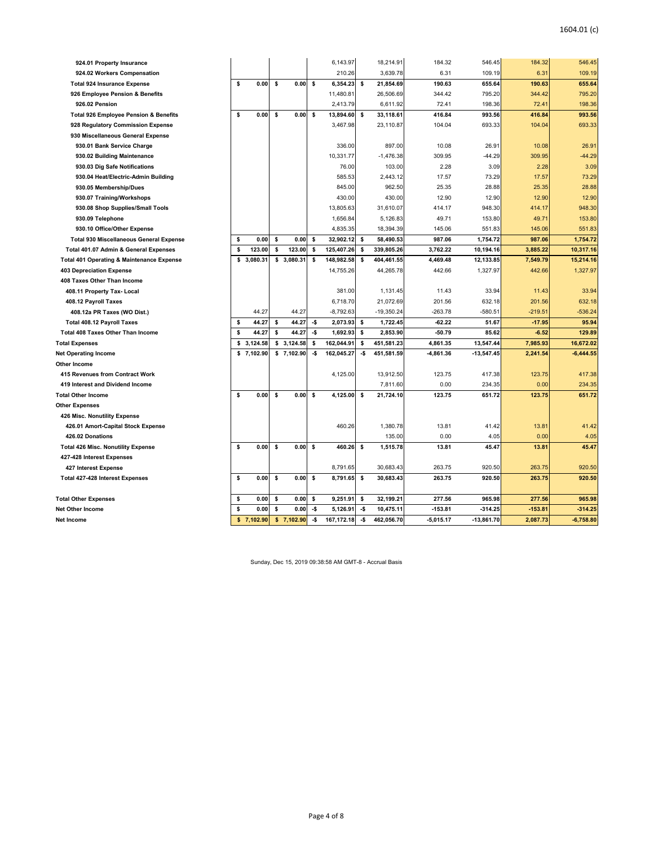| 924.01 Property Insurance                            |    |            |    |            |     | 6,143.97    |     | 18,214.91    | 184.32      | 546.45       | 184.32         | 546.45      |
|------------------------------------------------------|----|------------|----|------------|-----|-------------|-----|--------------|-------------|--------------|----------------|-------------|
| 924.02 Workers Compensation                          |    |            |    |            |     | 210.26      |     | 3,639.78     | 6.31        | 109.19       | 6.3'           | 109.19      |
| <b>Total 924 Insurance Expense</b>                   | \$ | 0.00       | \$ | 0.00       | \$  | 6,354.23    | \$  | 21,854.69    | 190.63      | 655.64       | 190.63         | 655.64      |
| 926 Employee Pension & Benefits                      |    |            |    |            |     | 11,480.81   |     | 26,506.69    | 344.42      | 795.20       | 344.42         | 795.20      |
| 926.02 Pension                                       |    |            |    |            |     | 2,413.79    |     | 6,611.92     | 72.41       | 198.36       | 72.4           | 198.36      |
| <b>Total 926 Employee Pension &amp; Benefits</b>     | \$ | 0.00       | \$ | 0.00       | \$  | 13,894.60   | \$  | 33,118.61    | 416.84      | 993.56       | 416.84         | 993.56      |
| 928 Regulatory Commission Expense                    |    |            |    |            |     | 3,467.98    |     | 23,110.87    | 104.04      | 693.33       | 104.04         | 693.33      |
| 930 Miscellaneous General Expense                    |    |            |    |            |     |             |     |              |             |              |                |             |
| 930.01 Bank Service Charge                           |    |            |    |            |     | 336.00      |     | 897.00       | 10.08       | 26.91        | 10.08          | 26.91       |
| 930.02 Building Maintenance                          |    |            |    |            |     | 10,331.77   |     | $-1,476.38$  | 309.95      | $-44.29$     | 309.95         | $-44.29$    |
| 930.03 Dig Safe Notifications                        |    |            |    |            |     | 76.00       |     | 103.00       | 2.28        | 3.09         | 2.28           | 3.09        |
| 930.04 Heat/Electric-Admin Building                  |    |            |    |            |     | 585.53      |     | 2,443.12     | 17.57       | 73.29        | 17.57          | 73.29       |
| 930.05 Membership/Dues                               |    |            |    |            |     | 845.00      |     | 962.50       | 25.35       | 28.88        | 25.35          | 28.88       |
| 930.07 Training/Workshops                            |    |            |    |            |     | 430.00      |     | 430.00       | 12.90       | 12.90        | 12.90          | 12.90       |
| 930.08 Shop Supplies/Small Tools                     |    |            |    |            |     | 13,805.63   |     | 31,610.07    | 414.17      | 948.30       | 414.17         | 948.30      |
| 930.09 Telephone                                     |    |            |    |            |     | 1,656.84    |     | 5,126.83     | 49.71       | 153.80       | 49.71          | 153.80      |
| 930.10 Office/Other Expense                          |    |            |    |            |     | 4,835.35    |     | 18,394.39    | 145.06      | 551.83       | 145.06         | 551.83      |
| <b>Total 930 Miscellaneous General Expense</b>       | \$ | 0.00       | \$ | 0.00       | \$  | 32,902.12   | \$  | 58,490.53    | 987.06      | 1,754.72     | 987.06         | 1,754.72    |
| Total 401.07 Admin & General Expenses                | \$ | 123.00     | \$ | 123.00     | \$  | 125,407.26  | \$  | 339,805.26   | 3,762.22    | 10,194.16    | 3,885.22       | 10,317.16   |
| <b>Total 401 Operating &amp; Maintenance Expense</b> | \$ | 3,080.31   |    | \$3,080.31 | \$  | 148,982.58  | \$  | 404,461.55   | 4,469.48    | 12,133.85    | 7,549.79       | 15,214.16   |
| <b>403 Depreciation Expense</b>                      |    |            |    |            |     | 14,755.26   |     | 44,265.78    | 442.66      | 1,327.97     | 442.66         | 1,327.97    |
| 408 Taxes Other Than Income                          |    |            |    |            |     |             |     |              |             |              |                |             |
| 408.11 Property Tax- Local                           |    |            |    |            |     | 381.00      |     | 1,131.45     | 11.43       | 33.94        | 11.43          | 33.94       |
| 408.12 Payroll Taxes                                 |    |            |    |            |     | 6,718.70    |     | 21,072.69    | 201.56      | 632.18       | 201.56         | 632.18      |
| 408.12a PR Taxes (WO Dist.)                          |    | 44.27      |    | 44.27      |     | $-8,792.63$ |     | $-19,350.24$ | $-263.78$   | $-580.51$    | $-219.5$       | $-536.24$   |
| Total 408.12 Payroll Taxes                           | \$ | 44.27      | \$ | 44.27      | -\$ | 2,073.93    | \$  | 1,722.45     | $-62.22$    | 51.67        | $-17.95$       | 95.94       |
| <b>Total 408 Taxes Other Than Income</b>             | s  | 44.27      | s  | 44.27      | -\$ | 1,692.93    | \$  | 2,853.90     | $-50.79$    | 85.62        | $-6.52$        | 129.89      |
| <b>Total Expenses</b>                                | \$ | 3,124.58   |    | \$3,124.58 | \$  | 162,044.91  | \$  | 451,581.23   | 4,861.35    | 13,547.44    | 7,985.93       | 16,672.02   |
| <b>Net Operating Income</b>                          |    | \$7,102.90 |    | \$7,102.90 | -\$ | 162,045.27  | -\$ | 451,581.59   | -4,861.36   | $-13,547.45$ | 2,241.54       | $-6,444.55$ |
| Other Income                                         |    |            |    |            |     |             |     |              |             |              |                |             |
| 415 Revenues from Contract Work                      |    |            |    |            |     | 4,125.00    |     | 13,912.50    | 123.75      | 417.38       | 123.75         | 417.38      |
| 419 Interest and Dividend Income                     |    |            |    |            |     |             |     | 7,811.60     | 0.00        | 234.35       | 0.00           | 234.35      |
| <b>Total Other Income</b>                            | \$ | 0.00       | s  | 0.00       | \$  | 4,125.00    | \$  | 21,724.10    | 123.75      | 651.72       | 123.75         | 651.72      |
| <b>Other Expenses</b>                                |    |            |    |            |     |             |     |              |             |              |                |             |
| 426 Misc. Nonutility Expense                         |    |            |    |            |     |             |     |              |             |              |                |             |
| 426.01 Amort-Capital Stock Expense                   |    |            |    |            |     | 460.26      |     | 1,380.78     | 13.81       | 41.42        | $13.8^{\circ}$ | 41.42       |
| 426.02 Donations                                     |    |            |    |            |     |             |     | 135.00       | 0.00        | 4.05         | 0.00           | 4.05        |
| <b>Total 426 Misc. Nonutility Expense</b>            | \$ | 0.00       | -S | 0.00       | \$  | 460.26 \$   |     | 1,515.78     | 13.81       | 45.47        | 13.81          | 45.47       |
| 427-428 Interest Expenses                            |    |            |    |            |     |             |     |              |             |              |                |             |
| 427 Interest Expense                                 |    |            |    |            |     | 8,791.65    |     | 30,683.43    | 263.75      | 920.50       | 263.75         | 920.50      |
| Total 427-428 Interest Expenses                      | \$ | 0.00       | \$ | 0.00       | \$  | 8,791.65    | \$  | 30,683.43    | 263.75      | 920.50       | 263.75         | 920.50      |
| <b>Total Other Expenses</b>                          | \$ | 0.00       | \$ | 0.00       | \$  | 9,251.91    | \$  | 32,199.21    | 277.56      | 965.98       | 277.56         | 965.98      |
| <b>Net Other Income</b>                              | \$ | 0.00       | \$ | 0.00       | -\$ | 5,126.91    | -\$ | 10,475.11    | $-153.81$   | $-314.25$    | $-153.8'$      | $-314.25$   |
| Net Income                                           | \$ | 7,102.90   |    | \$7,102.90 | -\$ | 167,172.18  | -\$ | 462,056.70   | $-5,015.17$ | $-13,861.70$ | 2,087.73       | $-6,758.80$ |
|                                                      |    |            |    |            |     |             |     |              |             |              |                |             |

Sunday, Dec 15, 2019 09:38:58 AM GMT-8 - Accrual Basis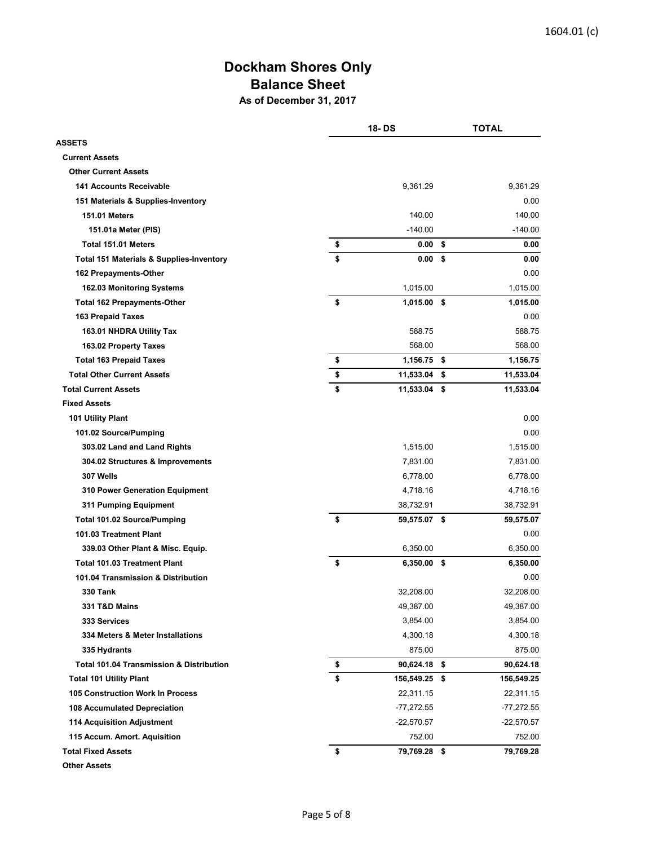## **Dockham Shores Only Balance Sheet As of December 31, 2017**

|                                                     | <b>18-DS</b>            | <b>TOTAL</b> |
|-----------------------------------------------------|-------------------------|--------------|
| <b>ASSETS</b>                                       |                         |              |
| <b>Current Assets</b>                               |                         |              |
| <b>Other Current Assets</b>                         |                         |              |
| <b>141 Accounts Receivable</b>                      | 9,361.29                | 9,361.29     |
| 151 Materials & Supplies-Inventory                  |                         | 0.00         |
| <b>151.01 Meters</b>                                | 140.00                  | 140.00       |
| 151.01a Meter (PIS)                                 | $-140.00$               | $-140.00$    |
| Total 151.01 Meters                                 | \$<br>0.00 <sup>5</sup> | 0.00         |
| <b>Total 151 Materials &amp; Supplies-Inventory</b> | \$<br>0.00 <sup>5</sup> | 0.00         |
| 162 Prepayments-Other                               |                         | 0.00         |
| 162.03 Monitoring Systems                           | 1,015.00                | 1,015.00     |
| <b>Total 162 Prepayments-Other</b>                  | \$<br>$1,015.00$ \$     | 1,015.00     |
| 163 Prepaid Taxes                                   |                         | 0.00         |
| 163.01 NHDRA Utility Tax                            | 588.75                  | 588.75       |
| 163.02 Property Taxes                               | 568.00                  | 568.00       |
| <b>Total 163 Prepaid Taxes</b>                      | \$<br>1,156.75 \$       | 1,156.75     |
| <b>Total Other Current Assets</b>                   | \$<br>11,533.04 \$      | 11,533.04    |
| <b>Total Current Assets</b>                         | \$<br>11,533.04 \$      | 11,533.04    |
| <b>Fixed Assets</b>                                 |                         |              |
| 101 Utility Plant                                   |                         | 0.00         |
| 101.02 Source/Pumping                               |                         | 0.00         |
| 303.02 Land and Land Rights                         | 1,515.00                | 1,515.00     |
| 304.02 Structures & Improvements                    | 7,831.00                | 7,831.00     |
| 307 Wells                                           | 6,778.00                | 6,778.00     |
| 310 Power Generation Equipment                      | 4,718.16                | 4,718.16     |
| 311 Pumping Equipment                               | 38,732.91               | 38,732.91    |
| <b>Total 101.02 Source/Pumping</b>                  | \$<br>59,575.07 \$      | 59,575.07    |
| 101.03 Treatment Plant                              |                         | 0.00         |
| 339.03 Other Plant & Misc. Equip.                   | 6,350.00                | 6,350.00     |
| <b>Total 101.03 Treatment Plant</b>                 | \$<br>$6,350.00$ \$     | 6,350.00     |
| 101.04 Transmission & Distribution                  |                         | 0.00         |
| <b>330 Tank</b>                                     | 32,208.00               | 32,208.00    |
| 331 T&D Mains                                       | 49,387.00               | 49,387.00    |
| 333 Services                                        | 3,854.00                | 3,854.00     |
| 334 Meters & Meter Installations                    | 4,300.18                | 4,300.18     |
| 335 Hydrants                                        | 875.00                  | 875.00       |
| <b>Total 101.04 Transmission &amp; Distribution</b> | \$<br>90,624.18 \$      | 90,624.18    |
| <b>Total 101 Utility Plant</b>                      | \$<br>156,549.25 \$     | 156,549.25   |
| <b>105 Construction Work In Process</b>             | 22,311.15               | 22,311.15    |
| <b>108 Accumulated Depreciation</b>                 | $-77,272.55$            | $-77,272.55$ |
| <b>114 Acquisition Adjustment</b>                   | $-22,570.57$            | $-22,570.57$ |
| 115 Accum. Amort. Aquisition                        | 752.00                  | 752.00       |
| <b>Total Fixed Assets</b>                           | \$<br>79,769.28 \$      | 79,769.28    |
| <b>Other Assets</b>                                 |                         |              |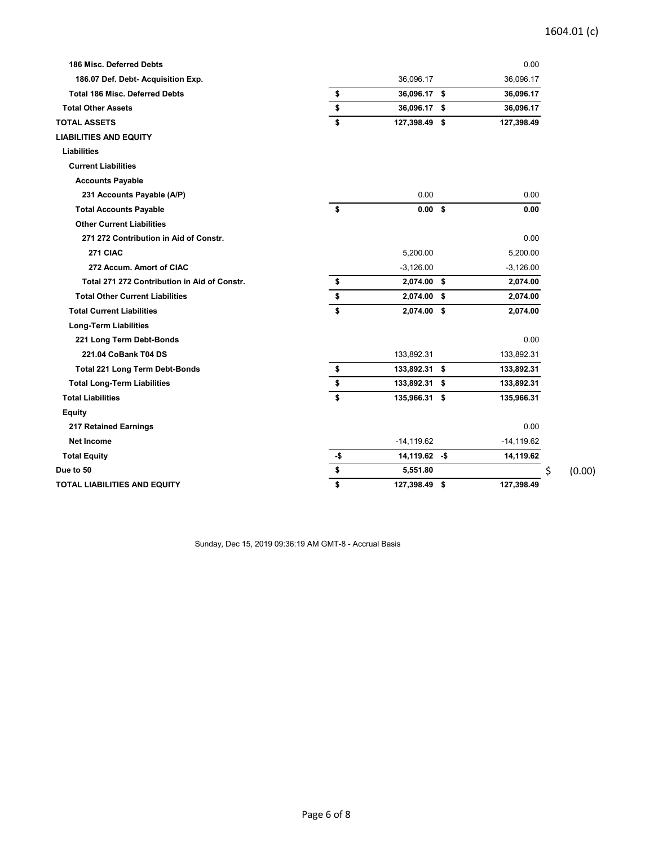| 186 Misc. Deferred Debts                     |     |                   | 0.00          |              |
|----------------------------------------------|-----|-------------------|---------------|--------------|
| 186.07 Def. Debt- Acquisition Exp.           |     | 36,096.17         | 36,096.17     |              |
| <b>Total 186 Misc. Deferred Debts</b>        | \$  | 36,096.17 \$      | 36,096.17     |              |
| <b>Total Other Assets</b>                    | \$  | 36,096.17 \$      | 36,096.17     |              |
| <b>TOTAL ASSETS</b>                          | \$  | 127,398.49 \$     | 127,398.49    |              |
| <b>LIABILITIES AND EQUITY</b>                |     |                   |               |              |
| <b>Liabilities</b>                           |     |                   |               |              |
| <b>Current Liabilities</b>                   |     |                   |               |              |
| <b>Accounts Payable</b>                      |     |                   |               |              |
| 231 Accounts Payable (A/P)                   |     | 0.00              | 0.00          |              |
| <b>Total Accounts Payable</b>                | \$  | 0.00 <sup>5</sup> | 0.00          |              |
| <b>Other Current Liabilities</b>             |     |                   |               |              |
| 271 272 Contribution in Aid of Constr.       |     |                   | 0.00          |              |
| 271 CIAC                                     |     | 5,200.00          | 5,200.00      |              |
| 272 Accum. Amort of CIAC                     |     | $-3,126.00$       | $-3,126.00$   |              |
| Total 271 272 Contribution in Aid of Constr. | \$  | 2,074.00 \$       | 2,074.00      |              |
| <b>Total Other Current Liabilities</b>       | \$  | 2,074.00 \$       | 2,074.00      |              |
| <b>Total Current Liabilities</b>             | \$  | 2,074.00 \$       | 2,074.00      |              |
| <b>Long-Term Liabilities</b>                 |     |                   |               |              |
| 221 Long Term Debt-Bonds                     |     |                   | 0.00          |              |
| 221.04 CoBank T04 DS                         |     | 133,892.31        | 133,892.31    |              |
| <b>Total 221 Long Term Debt-Bonds</b>        | \$  | 133,892.31 \$     | 133,892.31    |              |
| <b>Total Long-Term Liabilities</b>           | \$  | 133,892.31 \$     | 133,892.31    |              |
| <b>Total Liabilities</b>                     | \$  | 135,966.31 \$     | 135,966.31    |              |
| <b>Equity</b>                                |     |                   |               |              |
| <b>217 Retained Earnings</b>                 |     |                   | 0.00          |              |
| <b>Net Income</b>                            |     | $-14,119.62$      | $-14, 119.62$ |              |
| <b>Total Equity</b>                          | -\$ | 14,119.62 -\$     | 14,119.62     |              |
| Due to 50                                    | \$  | 5,551.80          |               | \$<br>(0.00) |
| TOTAL LIABILITIES AND EQUITY                 | \$  | 127,398.49 \$     | 127,398.49    |              |

1604.01 (c)

Sunday, Dec 15, 2019 09:36:19 AM GMT-8 - Accrual Basis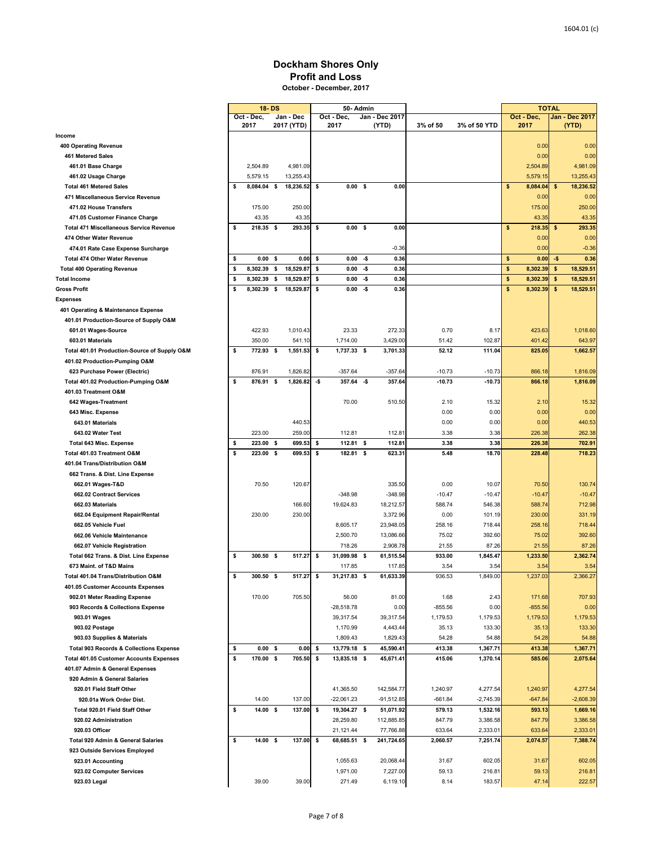#### **Dockham Shores Only Profit and Loss October - December, 2017**

|                                                    | 18 DS             |      |            |      | 50 Admin          |     |                     |                |              |                |     | <b>TOTAL</b> |  |
|----------------------------------------------------|-------------------|------|------------|------|-------------------|-----|---------------------|----------------|--------------|----------------|-----|--------------|--|
|                                                    | Oct - Dec.        |      | Jan - Dec  |      | Oct - Dec,        |     | Jan - Dec 2017      |                |              | Oct - Dec,     |     | Jan Dec 2017 |  |
|                                                    | 2017              |      | 2017 (YTD) |      | 2017              |     | (YTD)               | 3% of 50       | 3% of 50 YTD | 2017           |     | (YTD)        |  |
| Income                                             |                   |      |            |      |                   |     |                     |                |              |                |     |              |  |
| 400 Operating Revenue                              |                   |      |            |      |                   |     |                     |                |              | 0.00           |     | 0.00         |  |
| <b>461 Metered Sales</b>                           | 2,504.89          |      |            |      |                   |     |                     |                |              | 0.00           |     | 0.00         |  |
| 461.01 Base Charge                                 |                   |      | 4,981.09   |      |                   |     |                     |                |              | 2,504.89       |     | 4,981.09     |  |
| 461.02 Usage Charge                                | 5,579.15          |      | 13,255.43  |      |                   |     |                     |                |              | 5,579.15       |     | 13,255.43    |  |
| <b>Total 461 Metered Sales</b>                     | \$<br>8,084.04 \$ |      | 18,236.52  | \$   | 0.00 <sup>5</sup> |     | 0.00                |                |              | \$<br>8,084.04 | \$  | 18,236.52    |  |
| 471 Miscellaneous Service Revenue                  |                   |      |            |      |                   |     |                     |                |              | 0.00           |     | 0.00         |  |
| 471.02 House Transfers                             | 175.00            |      | 250.00     |      |                   |     |                     |                |              | 175.00         |     | 250.00       |  |
| 471.05 Customer Finance Charge                     | 43.35             |      | 43.35      |      |                   |     |                     |                |              | 43.35          |     | 43.35        |  |
| <b>Total 471 Miscellaneous Service Revenue</b>     | \$<br>218.35 \$   |      | 293.35 \$  |      | $0.00\quad$ \$    |     | 0.00                |                |              | \$<br>218.35   | \$  | 293.35       |  |
| 474 Other Water Revenue                            |                   |      |            |      |                   |     |                     |                |              | 0.00           |     | 0.00         |  |
| 474.01 Rate Case Expense Surcharge                 |                   |      |            |      |                   |     | $-0.36$             |                |              | 0.00           |     | $-0.36$      |  |
| <b>Total 474 Other Water Revenue</b>               | \$<br>0.00        | -\$  | 0.00       | \$   | 0.00              | -\$ | 0.36                |                |              | \$<br>0.00     | -\$ | 0.36         |  |
| <b>Total 400 Operating Revenue</b>                 | \$<br>8,302.39    | \$   | 18,529.87  | \$   | 0.00              | -\$ | 0.36                |                |              | \$<br>8,302.39 | \$  | 18,529.51    |  |
| <b>Total Income</b>                                | \$<br>8,302.39    | - \$ | 18,529.87  | \$   | 0.00              | -\$ | 0.36                |                |              | \$<br>8,302.39 | \$  | 18,529.51    |  |
| <b>Gross Profit</b>                                | \$<br>8,302.39    | \$   | 18,529.87  | \$   | 0.00              | -\$ | 0.36                |                |              | \$<br>8,302.39 | \$  | 18,529.51    |  |
| <b>Expenses</b>                                    |                   |      |            |      |                   |     |                     |                |              |                |     |              |  |
| 401 Operating & Maintenance Expense                |                   |      |            |      |                   |     |                     |                |              |                |     |              |  |
| 401.01 Production-Source of Supply O&M             |                   |      |            |      |                   |     |                     |                |              |                |     |              |  |
| 601.01 Wages-Source                                | 422.93            |      | 1,010.43   |      | 23.33             |     | 272.33              | 0.70           | 8.17         | 423.63         |     | 1,018.60     |  |
| 603.01 Materials                                   | 350.00            |      | 541.10     |      | 1,714.00          |     | 3,429.00            | 51.42          | 102.87       | 401.42         |     | 643.97       |  |
| Total 401.01 Production-Source of Supply O&M       | \$<br>772.93 \$   |      | 1,551.53   | \$   | 1,737.33 \$       |     | 3,701.33            | 52.12          | 111.04       | 825.05         |     | 1,662.57     |  |
| 401.02 Production-Pumping O&M                      |                   |      |            |      |                   |     |                     |                |              |                |     |              |  |
| 623 Purchase Power (Electric)                      | 876.91            |      | 1.826.82   |      | $-357.64$         |     | $-357.64$           | $-10.73$       | $-10.73$     | 866.18         |     | 1,816.09     |  |
| Total 401.02 Production-Pumping O&M                | \$<br>876.91 \$   |      | 1,826.82   | -\$  | 357.64            | -\$ | 357.64              | $-10.73$       | $-10.73$     | 866.18         |     | 1,816.09     |  |
| 401.03 Treatment O&M                               |                   |      |            |      |                   |     |                     |                |              |                |     |              |  |
| 642 Wages-Treatment                                |                   |      |            |      | 70.00             |     | 510.50              | 2.10           | 15.32        | 2.10           |     | 15.32        |  |
| 643 Misc. Expense                                  |                   |      |            |      |                   |     |                     | 0.00           | 0.00         | 0.00           |     | 0.00         |  |
| 643.01 Materials                                   |                   |      | 440.53     |      |                   |     |                     | 0.00           | 0.00         | 0.00           |     | 440.53       |  |
| 643.02 Water Test                                  | 223.00            |      | 259.00     |      | 112.81            |     | 112.81              | 3.38           | 3.38         | 226.38         |     | 262.38       |  |
| <b>Total 643 Misc. Expense</b>                     | \$<br>223.00      | \$   | 699.53     | s    | 112.81            | \$  | 112.81              | 3.38           | 3.38         | 226.38         |     | 702.91       |  |
| Total 401.03 Treatment O&M                         | \$<br>223.00 \$   |      | 699.53     | \$   | 182.81 \$         |     | 623.31              | 5.48           | 18.70        | 228.48         |     | 718.23       |  |
| 401.04 Trans/Distribution O&M                      |                   |      |            |      |                   |     |                     |                |              |                |     |              |  |
| 662 Trans. & Dist. Line Expense                    |                   |      |            |      |                   |     |                     |                |              |                |     |              |  |
| 662.01 Wages-T&D                                   | 70.50             |      | 120.67     |      |                   |     | 335.50              | 0.00           | 10.07        | 70.50          |     | 130.74       |  |
| 662.02 Contract Services                           |                   |      |            |      | $-348.98$         |     | $-348.98$           | $-10.47$       | $-10.47$     | $-10.47$       |     | $-10.47$     |  |
| 662.03 Materials                                   |                   |      | 166.60     |      | 19,624.83         |     | 18,212.57           | 588.74         | 546.38       | 588.74         |     | 712.98       |  |
| 662.04 Equipment Repair/Rental                     | 230.00            |      | 230.00     |      |                   |     | 3,372.96            | 0.00           | 101.19       | 230.00         |     | 331.19       |  |
| 662.05 Vehicle Fuel                                |                   |      |            |      | 8,605.17          |     | 23,948.05           | 258.16         | 718.44       | 258.16         |     | 718.44       |  |
| 662.06 Vehicle Maintenance                         |                   |      |            |      | 2,500.70          |     | 13,086.66           | 75.02          | 392.60       | 75.02          |     | 392.60       |  |
| 662.07 Vehicle Registration                        |                   |      |            |      | 718.26            |     | 2,908.78            | 21.55          | 87.26        | 21.55          |     | 87.26        |  |
| Total 662 Trans. & Dist. Line Expense              | \$<br>300.50 \$   |      | 517.27     | \$   | 31,099.98 \$      |     | 61,515.54           | 933.00         | 1,845.47     | 1,233.50       |     | 2,362.74     |  |
| 673 Maint, of T&D Mains                            |                   |      |            |      |                   |     |                     |                | 3.54         |                |     | 3.54         |  |
| Total 401.04 Trans/Distribution O&M                | 300.50 \$         |      | 517.27     |      | 117.85            |     | 117.85<br>61,633.39 | 3.54<br>936.53 |              | 3.54           |     |              |  |
|                                                    | \$                |      |            | \$   | 31,217.83 \$      |     |                     |                | 1,849.00     | 1,237.03       |     | 2,366.27     |  |
| 401.05 Customer Accounts Expenses                  |                   |      |            |      |                   |     |                     |                |              |                |     |              |  |
| 902.01 Meter Reading Expense                       | 170.00            |      | 705.50     |      | 56.00             |     | 81.00               | 1.68           | 2.43         | 171.68         |     | 707.93       |  |
| 903 Records & Collections Expense                  |                   |      |            |      | $-28,518.78$      |     | 0.00                | $-855.56$      | 0.00         | $-855.56$      |     | 0.00         |  |
| 903.01 Wages                                       |                   |      |            |      | 39,317.54         |     | 39,317.54           | 1,179.53       | 1,179.53     | 1,179.53       |     | 1,179.53     |  |
| 903.02 Postage                                     |                   |      |            |      | 1,170.99          |     | 4,443.44            | 35.13          | 133.30       | 35.13          |     | 133.30       |  |
| 903.03 Supplies & Materials                        |                   |      |            |      | 1,809.43          |     | 1,829.43            | 54.28          | 54.88        | 54.28          |     | 54.88        |  |
| <b>Total 903 Records &amp; Collections Expense</b> | \$<br>0.00%       |      | 0.00       | \$   | 13,779.18 \$      |     | 45,590.41           | 413.38         | 1,367.71     | 413.38         |     | 1,367.71     |  |
| <b>Total 401.05 Customer Accounts Expenses</b>     | \$<br>170.00 \$   |      | 705.50     | \$   | 13,835.18 \$      |     | 45,671.41           | 415.06         | 1,370.14     | 585.06         |     | 2,075.64     |  |
| 401.07 Admin & General Expenses                    |                   |      |            |      |                   |     |                     |                |              |                |     |              |  |
| 920 Admin & General Salaries                       |                   |      |            |      |                   |     |                     |                |              |                |     |              |  |
| 920.01 Field Staff Other                           |                   |      |            |      | 41,365.50         |     | 142,584.77          | 1,240.97       | 4,277.54     | 1,240.97       |     | 4,277.54     |  |
| 920.01a Work Order Dist.                           | 14.00             |      | 137.00     |      | -22,061.23        |     | $-91,512.85$        | $-661.84$      | $-2,745.39$  | $-647.84$      |     | $-2,608.39$  |  |
| Total 920.01 Field Staff Other                     | \$<br>$14.00$ \$  |      | 137.00     | - \$ | 19,304.27 \$      |     | 51,071.92           | 579.13         | 1,532.16     | 593.13         |     | 1,669.16     |  |
| 920.02 Administration                              |                   |      |            |      | 28,259.80         |     | 112,885.85          | 847.79         | 3,386.58     | 847.79         |     | 3,386.58     |  |
| 920.03 Officer                                     |                   |      |            |      | 21,121.44         |     | 77,766.88           | 633.64         | 2,333.01     | 633.64         |     | 2,333.01     |  |
| Total 920 Admin & General Salaries                 | \$<br>$14.00$ \$  |      | 137.00 \$  |      | 68,685.51 \$      |     | 241,724.65          | 2,060.57       | 7,251.74     | 2,074 57       |     | 7,388.74     |  |
| 923 Outside Services Employed                      |                   |      |            |      |                   |     |                     |                |              |                |     |              |  |
| 923.01 Accounting                                  |                   |      |            |      | 1,055.63          |     | 20,068.44           | 31.67          | 602.05       | 31.67          |     | 602.05       |  |
| 923.02 Computer Services                           |                   |      |            |      | 1,971.00          |     | 7,227.00            | 59.13          | 216.81       | 59.13          |     | 216.81       |  |
| 923.03 Legal                                       | 39.00             |      | 39.00      |      | 271.49            |     | 6,119.10            | 8.14           | 183.57       | 47.14          |     | 222.57       |  |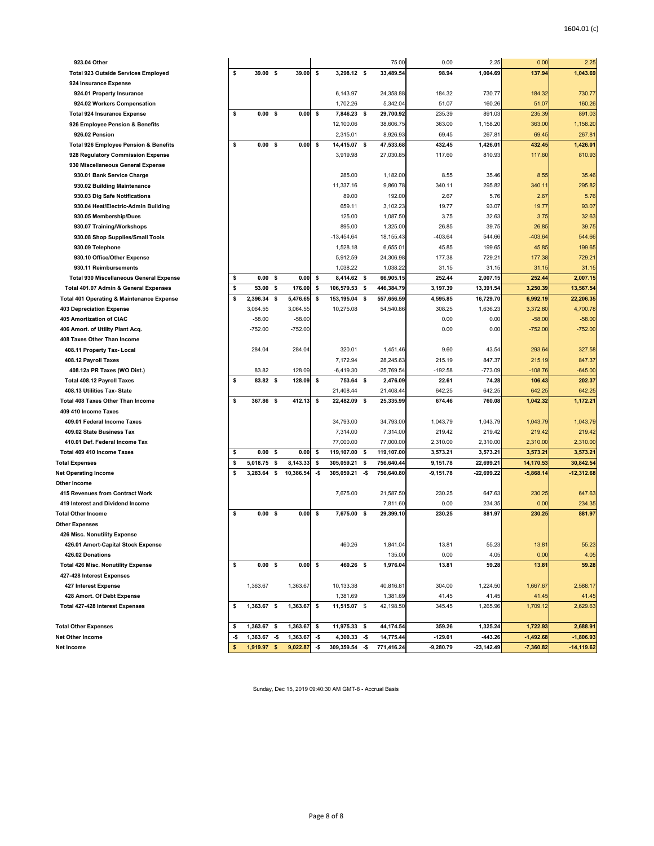| 923.04 Other                                         |          |                            |                       |            |                          |           | 75.00                    | 0.00                    | 2.25                      | 0.00                     | 2.25                      |
|------------------------------------------------------|----------|----------------------------|-----------------------|------------|--------------------------|-----------|--------------------------|-------------------------|---------------------------|--------------------------|---------------------------|
| <b>Total 923 Outside Services Employed</b>           | \$       | 39.00 \$                   | 39.00                 | \$         | 3,298.12 \$              |           | 33,489.54                | 98.94                   | 1,004.69                  | 137.94                   | 1,043.69                  |
| 924 Insurance Expense                                |          |                            |                       |            |                          |           |                          |                         |                           |                          |                           |
| 924.01 Property Insurance                            |          |                            |                       |            | 6,143.97                 |           | 24,358.88                | 184.32                  | 730.77                    | 184.32                   | 730.77                    |
| 924.02 Workers Compensation                          |          |                            |                       |            | 1,702.26                 |           | 5,342.04                 | 51.07                   | 160.26                    | 51.07                    | 160.26                    |
| <b>Total 924 Insurance Expense</b>                   | \$       | 0.00 S                     | 0.00                  | \$         | 7.846.23                 | \$        | 29,700.92                | 235.39                  | 891.03                    | 235.39                   | 891.03                    |
| 926 Employee Pension & Benefits                      |          |                            |                       |            | 12,100.06                |           | 38,606.75                | 363.00                  | 1,158.20                  | 363.00                   | 1,158.20                  |
| 926.02 Pension                                       |          |                            |                       |            | 2,315.01                 |           | 8,926.93                 | 69.45                   | 267.81                    | 69.45                    | 267.81                    |
| <b>Total 926 Employee Pension &amp; Benefits</b>     | \$       | $0.00$ \$                  | 0.00                  | \$         | 14,415.07 \$             |           | 47,533.68                | 432.45                  | 1,426.01                  | 432.45                   | 1,426.01                  |
| 928 Regulatory Commission Expense                    |          |                            |                       |            | 3,919.98                 |           | 27,030.85                | 117.60                  | 810.93                    | 117.60                   | 810.93                    |
| 930 Miscellaneous General Expense                    |          |                            |                       |            |                          |           |                          |                         |                           |                          |                           |
| 930.01 Bank Service Charge                           |          |                            |                       |            | 285.00                   |           | 1,182.00                 | 8.55                    | 35.46                     | 8.55                     | 35.46                     |
| 930.02 Building Maintenance                          |          |                            |                       |            | 11,337.16                |           | 9,860.78                 | 340.11                  | 295.82                    | 340.11                   | 295.82                    |
| 930.03 Dig Safe Notifications                        |          |                            |                       |            | 89.00                    |           | 192.00                   | 2.67                    | 5.76                      | 2.67                     | 5.76                      |
| 930.04 Heat/Electric-Admin Building                  |          |                            |                       |            | 659.11                   |           | 3,102.23                 | 19.77                   | 93.07                     | 19.77                    | 93.07                     |
| 930.05 Membership/Dues                               |          |                            |                       |            | 125.00                   |           | 1,087.50                 | 3.75                    | 32.63                     | 3.75                     | 32.63                     |
| 930.07 Training/Workshops                            |          |                            |                       |            | 895.00                   |           | 1,325.00                 | 26.85                   | 39.75                     | 26.85                    | 39.75                     |
| 930.08 Shop Supplies/Small Tools                     |          |                            |                       |            | $-13,454.64$             |           | 18, 155.43               | $-403.64$               | 544.66                    | $-403.64$                | 544.66                    |
| 930.09 Telephone                                     |          |                            |                       |            | 1,528.18                 |           | 6,655.01                 | 45.85                   | 199.65                    | 45.85                    | 199.65                    |
| 930.10 Office/Other Expense                          |          |                            |                       |            | 5,912.59                 |           | 24,306.98                | 177.38                  | 729.21                    | 177.38                   | 729.21                    |
| 930.11 Reimbursements                                |          |                            |                       |            | 1,038.22                 |           | 1,038.22                 | 31.15                   | 31.15                     | 31.15                    | 31.15                     |
| <b>Total 930 Miscellaneous General Expense</b>       | \$       | 0.00 S                     | 0.00                  | \$         | 8,414.62 \$              |           | 66,905.15                | 252.44                  | 2.007.15                  | 252.44                   | 2.007.15                  |
| Total 401.07 Admin & General Expenses                | \$       | 53.00                      | \$<br>176.00          | \$         | 106,579.53               | \$        | 446,384.79               | 3,197.39                | 13,391.54                 | 3.250.39                 | 13,567.54                 |
| <b>Total 401 Operating &amp; Maintenance Expense</b> | \$       | 2,396.34 \$                | 5,476.65              | \$         | 153,195.04 \$            |           | 557,656.59               | 4,595.85                | 16,729.70                 | 6,992.19                 | 22,206.35                 |
| 403 Depreciation Expense                             |          | 3,064.55                   | 3,064.55              |            | 10,275.08                |           | 54,540.86                | 308.25                  | 1,636.23                  | 3,372.80                 | 4,700.78                  |
| <b>405 Amortization of CIAC</b>                      |          | $-58.00$                   | $-58.00$              |            |                          |           |                          | 0.00                    | 0.00                      | $-58.00$                 | $-58.00$                  |
| 406 Amort. of Utility Plant Acq.                     |          | $-752.00$                  | $-752.00$             |            |                          |           |                          | 0.00                    | 0.00                      | $-752.00$                | $-752.00$                 |
| 408 Taxes Other Than Income                          |          |                            |                       |            |                          |           |                          |                         |                           |                          |                           |
| 408.11 Property Tax- Local                           |          | 284.04                     | 284.04                |            | 320.01                   |           | 1,451.46                 | 9.60                    | 43.54                     | 293.64                   | 327.58                    |
| 408.12 Payroll Taxes                                 |          |                            |                       |            | 7,172.94                 |           | 28,245.63                | 215.19                  | 847.37                    | 215.19                   | 847.37                    |
| 408.12a PR Taxes (WO Dist.)                          |          | 83.82                      | 128.09                |            | $-6,419.30$              |           | $-25,769.54$             | $-192.58$               | $-773.09$                 | $-108.76$                | $-645.00$                 |
| Total 408.12 Payroll Taxes                           | \$       | 83.82 \$                   | 128.09                | \$         | 753.64 \$                |           | 2,476.09                 | 22.61                   | 74.28                     | 106.43                   | 202.37                    |
| 408.13 Utilities Tax- State                          |          |                            |                       |            | 21,408.44                |           | 21,408.44                | 642.25                  | 642.25                    | 642.25                   | 642.25                    |
| Total 408 Taxes Other Than Income                    | \$       | 367.86 \$                  | 412.13                | \$         | 22,482.09 \$             |           | 25,335.99                | 674.46                  | 760.08                    | 1,042.32                 | 1,172.21                  |
| 409 410 Income Taxes                                 |          |                            |                       |            |                          |           |                          |                         |                           |                          |                           |
| 409.01 Federal Income Taxes                          |          |                            |                       |            | 34,793.00                |           | 34,793.00                | 1,043.79                | 1,043.79                  | 1,043.79                 | 1,043.79                  |
| 409.02 State Business Tax                            |          |                            |                       |            | 7,314.00                 |           | 7,314.00                 | 219.42                  | 219.42                    | 219.42                   | 219.42                    |
| 410.01 Def. Federal Income Tax                       | \$       | 0.00 S                     | 0.00                  |            | 77,000.00                |           | 77,000.00                | 2,310.00                | 2,310.00                  | 2,310.00                 | 2,310.00<br>3,573.21      |
| Total 409 410 Income Taxes                           |          |                            |                       | \$         | 119,107.00               | \$        | 119,107.00               | 3,573.21                | 3,573.21                  | 3,573.21                 |                           |
| <b>Total Expenses</b><br><b>Net Operating Income</b> | \$<br>\$ | 5,018.75 \$<br>3,283.64 \$ | 8,143.33<br>10,386.54 | -\$<br>-\$ | 305,059.21<br>305,059.21 | \$<br>-\$ | 756,640.44<br>756,640.80 | 9,151.78<br>$-9,151.78$ | 22,699.21<br>$-22,699.22$ | 14,170.53<br>$-5,868.14$ | 30,842.54<br>$-12,312.68$ |
| Other Income                                         |          |                            |                       |            |                          |           |                          |                         |                           |                          |                           |
| 415 Revenues from Contract Work                      |          |                            |                       |            | 7.675.00                 |           | 21,587.50                | 230.25                  | 647.63                    | 230.25                   | 647.63                    |
| 419 Interest and Dividend Income                     |          |                            |                       |            |                          |           | 7,811.60                 | 0.00                    | 234.35                    | 0.00                     | 234.35                    |
| <b>Total Other Income</b>                            | \$       | 0.00 <sup>5</sup>          | 0.00                  | \$         | 7,675.00 \$              |           | 29,399.10                | 230.25                  | 881.97                    | 230.25                   | 881.97                    |
| <b>Other Expenses</b>                                |          |                            |                       |            |                          |           |                          |                         |                           |                          |                           |
| 426 Misc. Nonutility Expense                         |          |                            |                       |            |                          |           |                          |                         |                           |                          |                           |
| 426.01 Amort-Capital Stock Expense                   |          |                            |                       |            | 460.26                   |           | 1,841.04                 | 13.81                   | 55.23                     | 13.81                    | 55.23                     |
| 426.02 Donations                                     |          |                            |                       |            |                          |           | 135.00                   | 0.00                    | 4.05                      | 0.00                     | 4.05                      |
| <b>Total 426 Misc. Nonutility Expense</b>            | \$       | $0.00\quad$ \$             | 0.00                  | \$         | 460.26 \$                |           | 1,976.04                 | 13.81                   | 59.28                     | 13.81                    | 59.28                     |
| 427-428 Interest Expenses                            |          |                            |                       |            |                          |           |                          |                         |                           |                          |                           |
| 427 Interest Expense                                 |          | 1,363.67                   | 1,363.67              |            | 10,133.38                |           | 40,816.81                | 304.00                  | 1,224.50                  | 1,667.67                 | 2,588.17                  |
| 428 Amort. Of Debt Expense                           |          |                            |                       |            | 1,381.69                 |           | 1,381.69                 | 41.45                   | 41.45                     | 41.45                    | 41.45                     |
| Total 427-428 Interest Expenses                      | \$       | 1,363.67 \$                | 1,363.67              | \$         | 11,515.07 \$             |           | 42,198.50                | 345.45                  | 1,265.96                  | 1,709.12                 | 2,629.63                  |
|                                                      |          |                            |                       |            |                          |           |                          |                         |                           |                          |                           |
| <b>Total Other Expenses</b>                          | \$       | 1,363.67 \$                | 1,363.67              | \$         | 11,975.33 \$             |           | 44,174.54                | 359.26                  | 1,325.24                  | 1,722.93                 | 2,688.91                  |
| <b>Net Other Income</b>                              | -\$      | $1,363.67 - $$             | 1,363.67              | -\$        | 4,300.33                 | -\$       | 14,775.44                | $-129.01$               | -443.26                   | $-1,492.68$              | $-1,806.93$               |
| Net Income                                           | s        | 1,919.97 \$                | 9,022.87              | -\$        | 309,359.54               | -\$       | 771,416.24               | $-9,280.79$             | $-23,142.49$              | $-7,360.82$              | $-14, 119.62$             |
|                                                      |          |                            |                       |            |                          |           |                          |                         |                           |                          |                           |

Sunday, Dec 15, 2019 09:40:30 AM GMT-8 - Accrual Basis